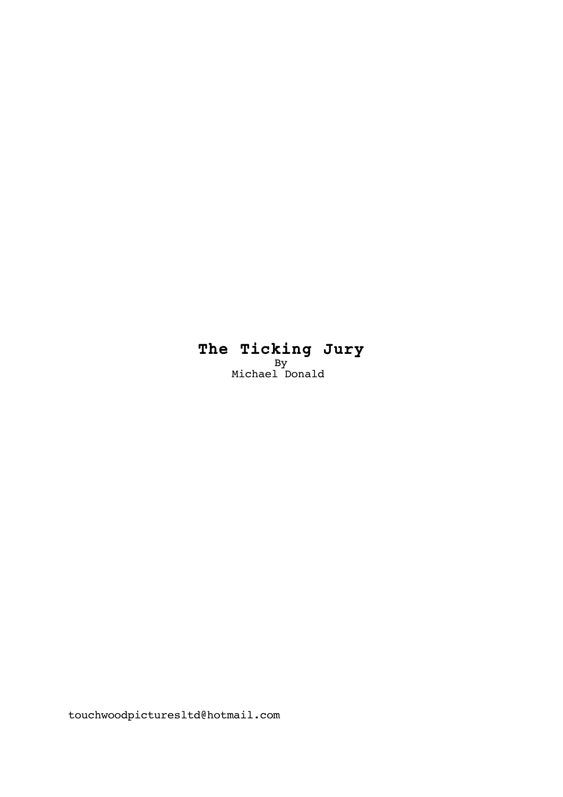# **The Ticking Jury** By Michael Donald

touchwoodpicturesltd@hotmail.com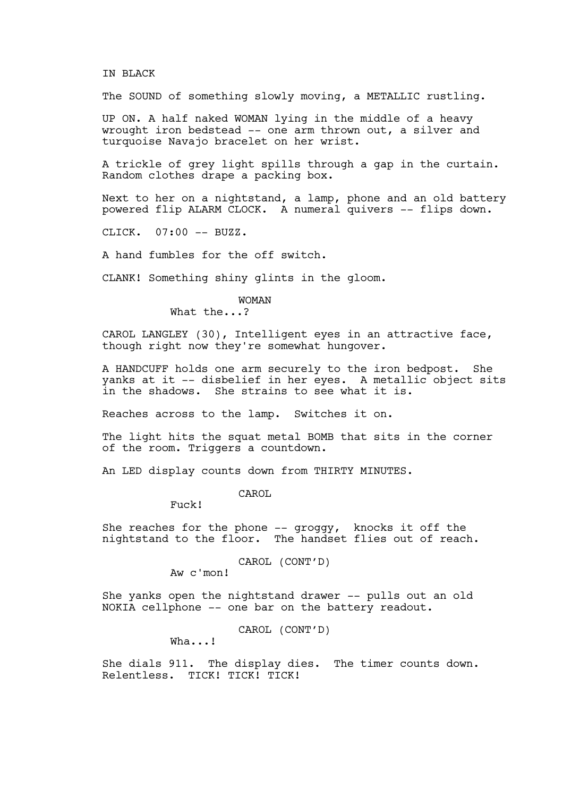#### IN BLACK

The SOUND of something slowly moving, a METALLIC rustling.

UP ON. A half naked WOMAN lying in the middle of a heavy wrought iron bedstead -- one arm thrown out, a silver and turquoise Navajo bracelet on her wrist.

A trickle of grey light spills through a gap in the curtain. Random clothes drape a packing box.

Next to her on a nightstand, a lamp, phone and an old battery powered flip ALARM CLOCK. A numeral quivers -- flips down.

CLICK. 07:00 -- BUZZ.

A hand fumbles for the off switch.

CLANK! Something shiny glints in the gloom.

# WOMAN

What the...?

CAROL LANGLEY (30), Intelligent eyes in an attractive face, though right now they're somewhat hungover.

A HANDCUFF holds one arm securely to the iron bedpost. She yanks at it -- disbelief in her eyes. A metallic object sits in the shadows. She strains to see what it is.

Reaches across to the lamp. Switches it on.

The light hits the squat metal BOMB that sits in the corner of the room. Triggers a countdown.

An LED display counts down from THIRTY MINUTES.

#### CAROL

Fuck!

She reaches for the phone  $-$ - groggy, knocks it off the nightstand to the floor. The handset flies out of reach.

# CAROL (CONT'D)

Aw c'mon!

She yanks open the nightstand drawer -- pulls out an old NOKIA cellphone -- one bar on the battery readout.

CAROL (CONT'D)

Wha...!

She dials 911. The display dies. The timer counts down. Relentless. TICK! TICK! TICK!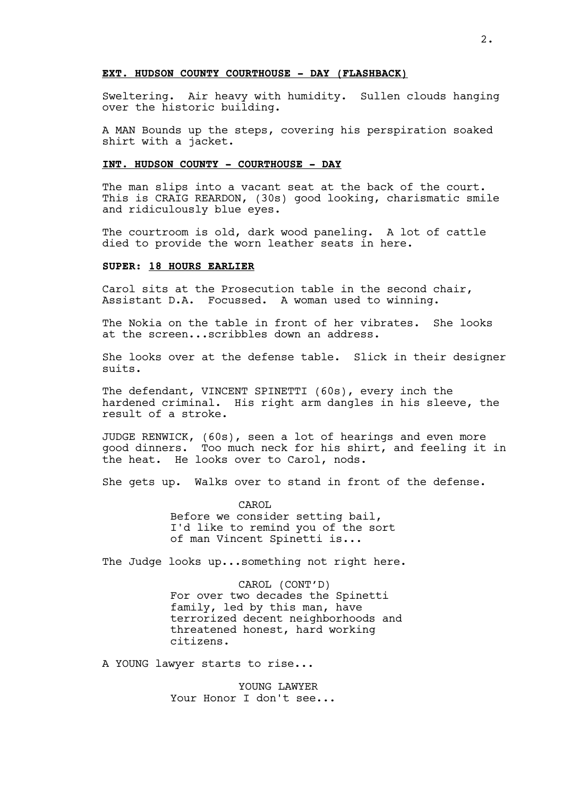#### **EXT. HUDSON COUNTY COURTHOUSE - DAY (FLASHBACK)**

Sweltering. Air heavy with humidity. Sullen clouds hanging over the historic building.

A MAN Bounds up the steps, covering his perspiration soaked shirt with a jacket.

# **INT. HUDSON COUNTY - COURTHOUSE - DAY**

The man slips into a vacant seat at the back of the court. This is CRAIG REARDON, (30s) good looking, charismatic smile and ridiculously blue eyes.

The courtroom is old, dark wood paneling. A lot of cattle died to provide the worn leather seats in here.

# **SUPER: 18 HOURS EARLIER**

Carol sits at the Prosecution table in the second chair, Assistant D.A. Focussed. A woman used to winning.

The Nokia on the table in front of her vibrates. She looks at the screen...scribbles down an address.

She looks over at the defense table. Slick in their designer suits.

The defendant, VINCENT SPINETTI (60s), every inch the hardened criminal. His right arm dangles in his sleeve, the result of a stroke.

JUDGE RENWICK, (60s), seen a lot of hearings and even more good dinners. Too much neck for his shirt, and feeling it in the heat. He looks over to Carol, nods.

She gets up. Walks over to stand in front of the defense.

CAROL Before we consider setting bail, I'd like to remind you of the sort of man Vincent Spinetti is...

The Judge looks up...something not right here.

CAROL (CONT'D) For over two decades the Spinetti family, led by this man, have terrorized decent neighborhoods and threatened honest, hard working citizens.

A YOUNG lawyer starts to rise...

YOUNG LAWYER Your Honor I don't see...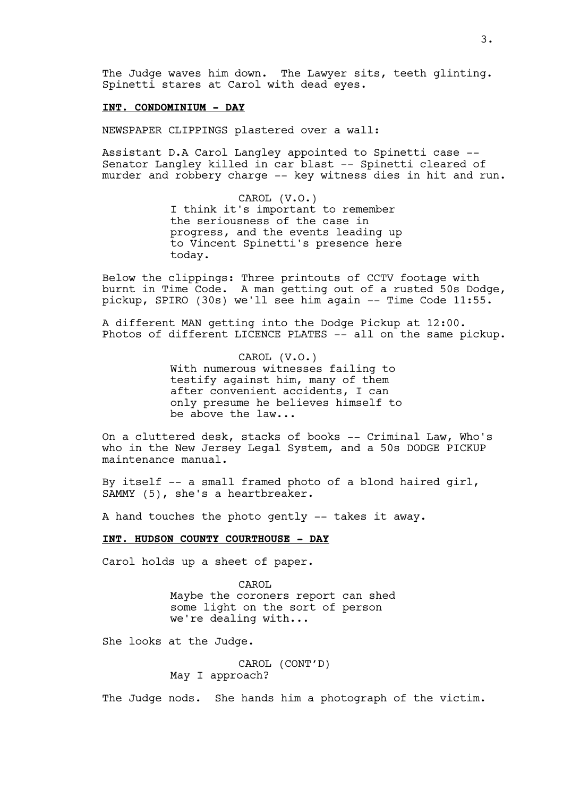The Judge waves him down. The Lawyer sits, teeth glinting. Spinetti stares at Carol with dead eyes.

### **INT. CONDOMINIUM - DAY**

NEWSPAPER CLIPPINGS plastered over a wall:

Assistant D.A Carol Langley appointed to Spinetti case -- Senator Langley killed in car blast -- Spinetti cleared of murder and robbery charge -- key witness dies in hit and run.

> CAROL (V.O.) I think it's important to remember the seriousness of the case in progress, and the events leading up to Vincent Spinetti's presence here today.

Below the clippings: Three printouts of CCTV footage with burnt in Time Code. A man getting out of a rusted 50s Dodge, pickup, SPIRO (30s) we'll see him again -- Time Code 11:55.

A different MAN getting into the Dodge Pickup at 12:00. Photos of different LICENCE PLATES -- all on the same pickup.

> CAROL (V.O.) With numerous witnesses failing to testify against him, many of them after convenient accidents, I can only presume he believes himself to be above the law...

On a cluttered desk, stacks of books -- Criminal Law, Who's who in the New Jersey Legal System, and a 50s DODGE PICKUP maintenance manual.

By itself -- a small framed photo of a blond haired girl, SAMMY (5), she's a heartbreaker.

A hand touches the photo gently -- takes it away.

### **INT. HUDSON COUNTY COURTHOUSE - DAY**

Carol holds up a sheet of paper.

CAROL Maybe the coroners report can shed some light on the sort of person we're dealing with...

She looks at the Judge.

CAROL (CONT'D) May I approach?

The Judge nods. She hands him a photograph of the victim.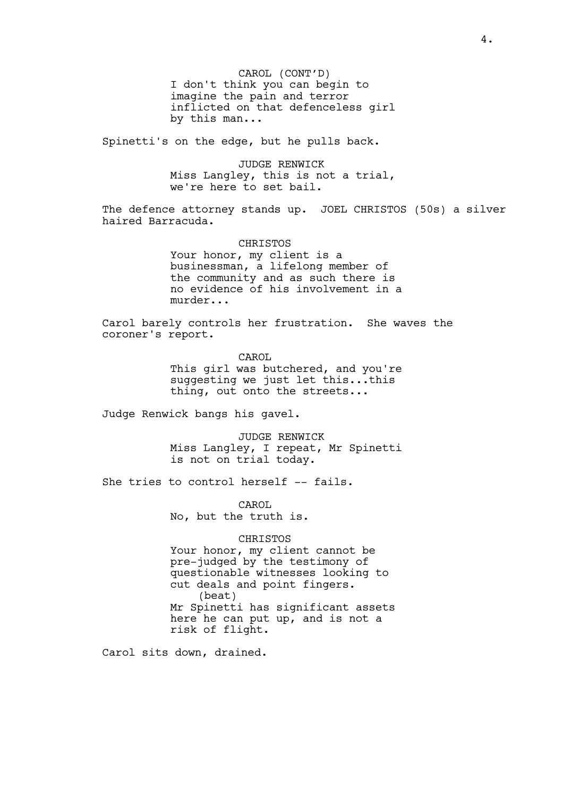CAROL (CONT'D) I don't think you can begin to imagine the pain and terror inflicted on that defenceless girl by this man...

Spinetti's on the edge, but he pulls back.

JUDGE RENWICK Miss Langley, this is not a trial, we're here to set bail.

The defence attorney stands up. JOEL CHRISTOS (50s) a silver haired Barracuda.

> CHRISTOS Your honor, my client is a businessman, a lifelong member of the community and as such there is no evidence of his involvement in a murder...

Carol barely controls her frustration. She waves the coroner's report.

> CAROL This girl was butchered, and you're suggesting we just let this...this thing, out onto the streets...

Judge Renwick bangs his gavel.

JUDGE RENWICK Miss Langley, I repeat, Mr Spinetti is not on trial today.

She tries to control herself -- fails.

CAROL No, but the truth is.

### CHRISTOS

Your honor, my client cannot be pre-judged by the testimony of questionable witnesses looking to cut deals and point fingers. (beat) Mr Spinetti has significant assets here he can put up, and is not a risk of flight.

Carol sits down, drained.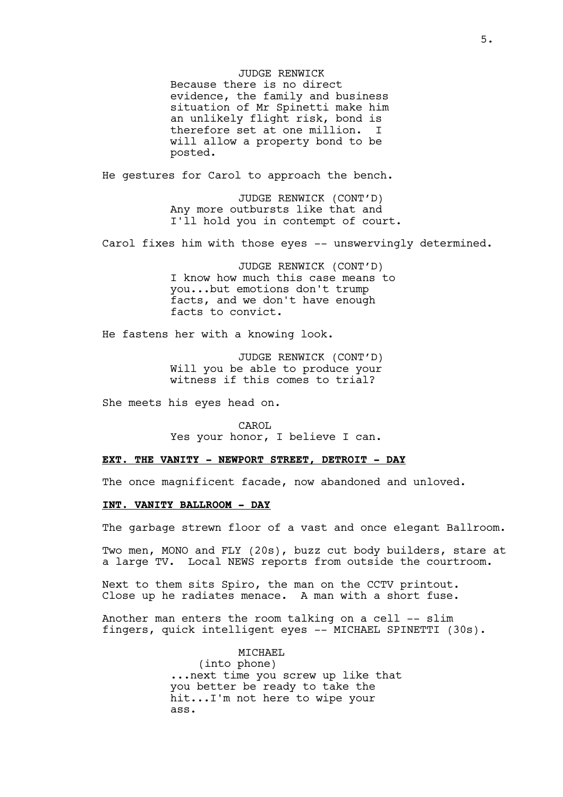JUDGE RENWICK Because there is no direct evidence, the family and business situation of Mr Spinetti make him an unlikely flight risk, bond is therefore set at one million. I will allow a property bond to be posted.

He gestures for Carol to approach the bench.

JUDGE RENWICK (CONT'D) Any more outbursts like that and I'll hold you in contempt of court.

Carol fixes him with those eyes -- unswervingly determined.

JUDGE RENWICK (CONT'D) I know how much this case means to you...but emotions don't trump facts, and we don't have enough facts to convict.

He fastens her with a knowing look.

JUDGE RENWICK (CONT'D) Will you be able to produce your witness if this comes to trial?

She meets his eyes head on.

CAROL Yes your honor, I believe I can.

#### **EXT. THE VANITY - NEWPORT STREET, DETROIT - DAY**

The once magnificent facade, now abandoned and unloved.

### **INT. VANITY BALLROOM - DAY**

The garbage strewn floor of a vast and once elegant Ballroom.

Two men, MONO and FLY (20s), buzz cut body builders, stare at a large TV. Local NEWS reports from outside the courtroom.

Next to them sits Spiro, the man on the CCTV printout. Close up he radiates menace. A man with a short fuse.

Another man enters the room talking on a cell -- slim fingers, quick intelligent eyes -- MICHAEL SPINETTI (30s).

> MICHAEL (into phone) ...next time you screw up like that you better be ready to take the hit...I'm not here to wipe your ass.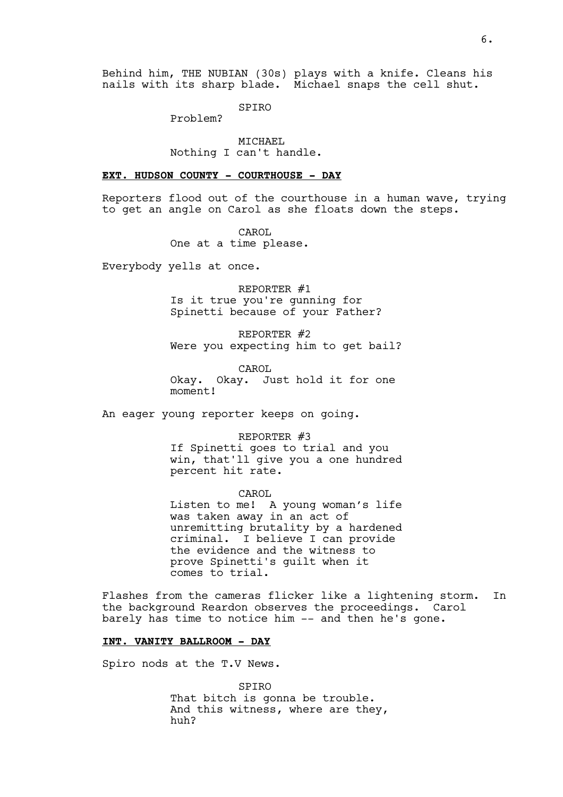Behind him, THE NUBIAN (30s) plays with a knife. Cleans his nails with its sharp blade. Michael snaps the cell shut.

SPIRO

Problem?

MICHAEL Nothing I can't handle.

#### **EXT. HUDSON COUNTY - COURTHOUSE - DAY**

Reporters flood out of the courthouse in a human wave, trying to get an angle on Carol as she floats down the steps.

> CAROL One at a time please.

Everybody yells at once.

REPORTER #1 Is it true you're gunning for Spinetti because of your Father?

REPORTER #2 Were you expecting him to get bail?

CAROL Okay. Okay. Just hold it for one moment!

An eager young reporter keeps on going.

#### REPORTER #3

If Spinetti goes to trial and you win, that'll give you a one hundred percent hit rate.

CAROL Listen to me! A young woman's life was taken away in an act of unremitting brutality by a hardened criminal. I believe I can provide the evidence and the witness to prove Spinetti's guilt when it comes to trial.

Flashes from the cameras flicker like a lightening storm. In the background Reardon observes the proceedings. Carol barely has time to notice him -- and then he's gone.

#### **INT. VANITY BALLROOM - DAY**

Spiro nods at the T.V News.

SPIRO That bitch is gonna be trouble. And this witness, where are they, huh?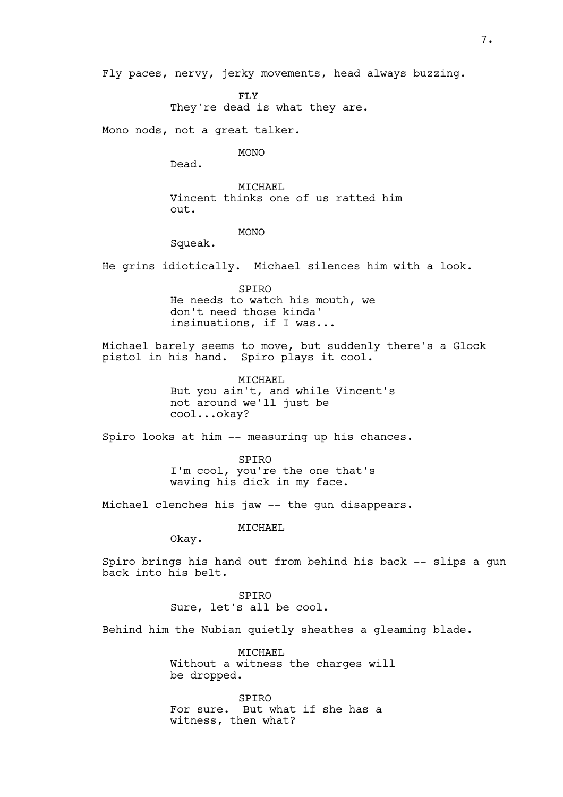Fly paces, nervy, jerky movements, head always buzzing.

FLY

They're dead is what they are.

Mono nods, not a great talker.

MONO

Dead.

MICHAEL Vincent thinks one of us ratted him out.

MONO

Squeak.

He grins idiotically. Michael silences him with a look.

SPIRO He needs to watch his mouth, we don't need those kinda' insinuations, if I was...

Michael barely seems to move, but suddenly there's a Glock pistol in his hand. Spiro plays it cool.

> MICHAEL But you ain't, and while Vincent's not around we'll just be cool...okay?

Spiro looks at him -- measuring up his chances.

SPIRO I'm cool, you're the one that's waving his dick in my face.

Michael clenches his jaw -- the gun disappears.

MICHAEL

Okay.

Spiro brings his hand out from behind his back -- slips a gun back into his belt.

> SPIRO Sure, let's all be cool.

Behind him the Nubian quietly sheathes a gleaming blade.

MICHAEL Without a witness the charges will be dropped.

SPIRO For sure. But what if she has a witness, then what?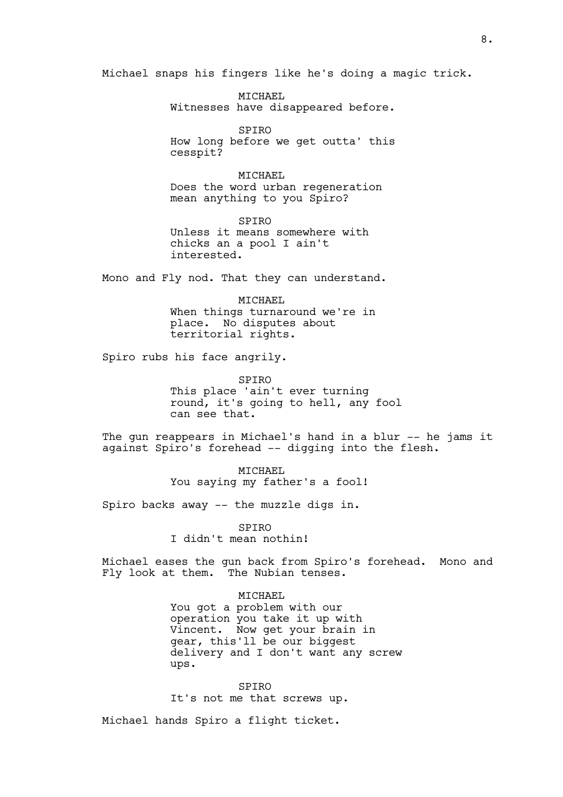Michael snaps his fingers like he's doing a magic trick.

MICHAEL Witnesses have disappeared before.

SPIRO How long before we get outta' this cesspit?

MICHAEL Does the word urban regeneration mean anything to you Spiro?

SPIRO Unless it means somewhere with chicks an a pool I ain't interested.

Mono and Fly nod. That they can understand.

MICHAEL When things turnaround we're in place. No disputes about territorial rights.

Spiro rubs his face angrily.

SPIRO This place 'ain't ever turning round, it's going to hell, any fool can see that.

The gun reappears in Michael's hand in a blur -- he jams it against Spiro's forehead -- digging into the flesh.

> MICHAEL You saying my father's a fool!

Spiro backs away -- the muzzle digs in.

SPIRO I didn't mean nothin!

Michael eases the gun back from Spiro's forehead. Mono and Fly look at them. The Nubian tenses.

MICHAEL

You got a problem with our operation you take it up with Vincent. Now get your brain in gear, this'll be our biggest delivery and I don't want any screw ups.

SPIRO It's not me that screws up.

Michael hands Spiro a flight ticket.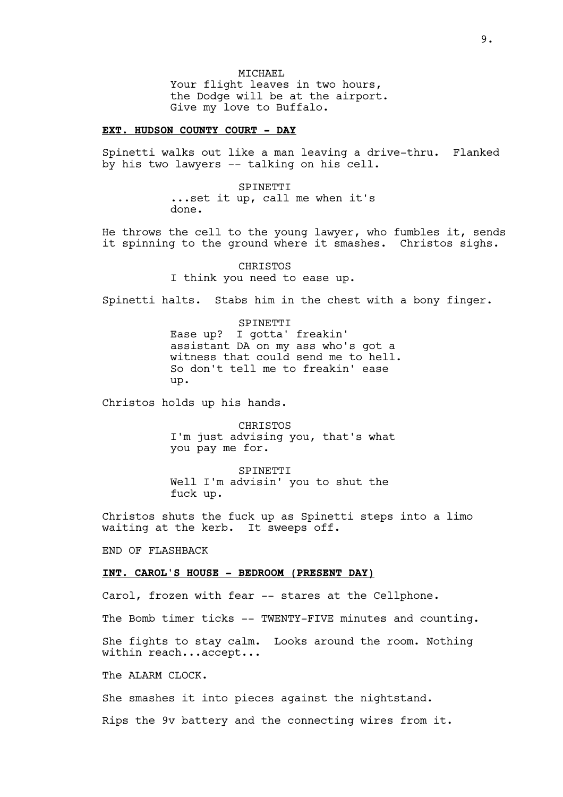### **EXT. HUDSON COUNTY COURT - DAY**

Spinetti walks out like a man leaving a drive-thru. Flanked by his two lawyers -- talking on his cell.

> SPINETTI ...set it up, call me when it's done.

He throws the cell to the young lawyer, who fumbles it, sends it spinning to the ground where it smashes. Christos sighs.

> CHRISTOS I think you need to ease up.

Spinetti halts. Stabs him in the chest with a bony finger.

SPINETTI Ease up? I gotta' freakin' assistant DA on my ass who's got a witness that could send me to hell. So don't tell me to freakin' ease up.

Christos holds up his hands.

CHRISTOS I'm just advising you, that's what you pay me for.

SPINETTI Well I'm advisin' you to shut the fuck up.

Christos shuts the fuck up as Spinetti steps into a limo waiting at the kerb. It sweeps off.

END OF FLASHBACK

#### **INT. CAROL'S HOUSE - BEDROOM (PRESENT DAY)**

Carol, frozen with fear -- stares at the Cellphone.

The Bomb timer ticks -- TWENTY-FIVE minutes and counting.

She fights to stay calm. Looks around the room. Nothing within reach...accept...

The ALARM CLOCK.

She smashes it into pieces against the nightstand.

Rips the 9v battery and the connecting wires from it.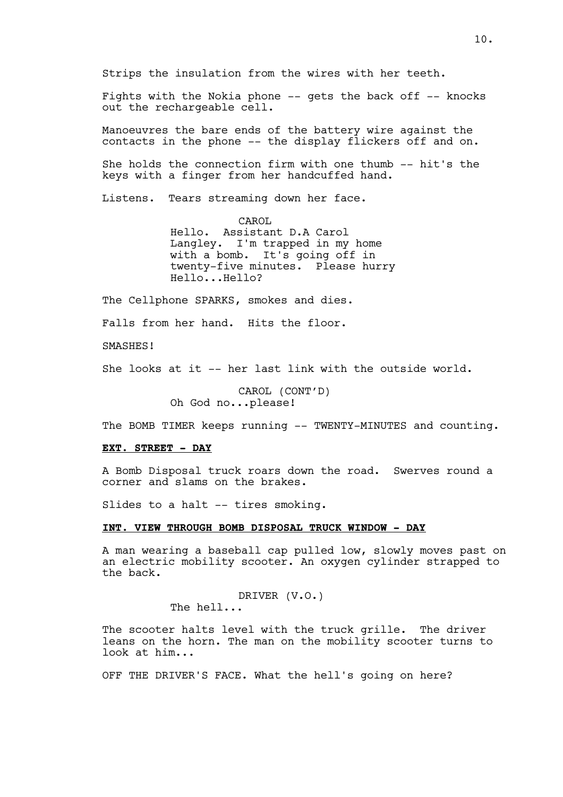Strips the insulation from the wires with her teeth.

Fights with the Nokia phone -- gets the back off -- knocks out the rechargeable cell.

Manoeuvres the bare ends of the battery wire against the contacts in the phone -- the display flickers off and on.

She holds the connection firm with one thumb -- hit's the keys with a finger from her handcuffed hand.

Listens. Tears streaming down her face.

CAROL Hello. Assistant D.A Carol Langley. I'm trapped in my home with a bomb. It's going off in twenty-five minutes. Please hurry Hello...Hello?

The Cellphone SPARKS, smokes and dies.

Falls from her hand. Hits the floor.

SMASHES!

She looks at it -- her last link with the outside world.

CAROL (CONT'D) Oh God no...please!

The BOMB TIMER keeps running -- TWENTY-MINUTES and counting.

# **EXT. STREET - DAY**

A Bomb Disposal truck roars down the road. Swerves round a corner and slams on the brakes.

Slides to a halt -- tires smoking.

## **INT. VIEW THROUGH BOMB DISPOSAL TRUCK WINDOW - DAY**

A man wearing a baseball cap pulled low, slowly moves past on an electric mobility scooter. An oxygen cylinder strapped to the back.

> DRIVER (V.O.) The hell...

The scooter halts level with the truck grille. The driver leans on the horn. The man on the mobility scooter turns to look at him...

OFF THE DRIVER'S FACE. What the hell's going on here?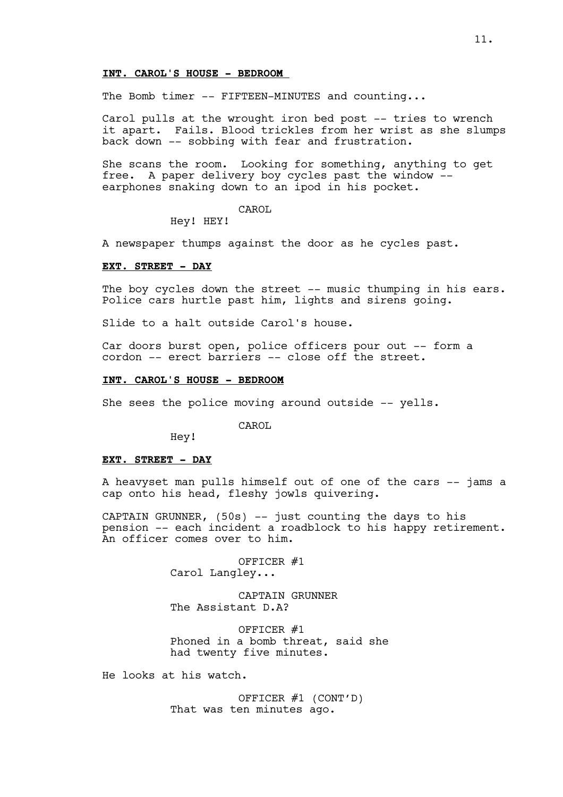# **INT. CAROL'S HOUSE - BEDROOM**

The Bomb timer -- FIFTEEN-MINUTES and counting...

Carol pulls at the wrought iron bed post -- tries to wrench it apart. Fails. Blood trickles from her wrist as she slumps back down -- sobbing with fear and frustration.

She scans the room. Looking for something, anything to get free. A paper delivery boy cycles past the window - earphones snaking down to an ipod in his pocket.

#### CAROL

Hey! HEY!

A newspaper thumps against the door as he cycles past.

# **EXT. STREET - DAY**

The boy cycles down the street -- music thumping in his ears. Police cars hurtle past him, lights and sirens going.

Slide to a halt outside Carol's house.

Car doors burst open, police officers pour out -- form a cordon -- erect barriers -- close off the street.

#### **INT. CAROL'S HOUSE - BEDROOM**

She sees the police moving around outside -- yells.

CAROL

Hey!

#### **EXT. STREET - DAY**

A heavyset man pulls himself out of one of the cars -- jams a cap onto his head, fleshy jowls quivering.

CAPTAIN GRUNNER, (50s) -- just counting the days to his pension -- each incident a roadblock to his happy retirement. An officer comes over to him.

> OFFICER #1 Carol Langley...

CAPTAIN GRUNNER The Assistant D.A?

OFFICER #1 Phoned in a bomb threat, said she had twenty five minutes.

He looks at his watch.

OFFICER #1 (CONT'D) That was ten minutes ago.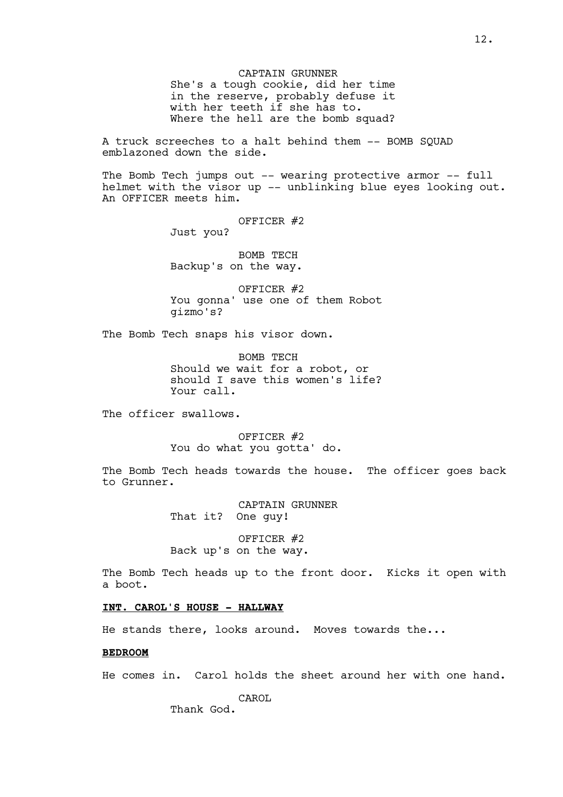CAPTAIN GRUNNER She's a tough cookie, did her time in the reserve, probably defuse it with her teeth if she has to. Where the hell are the bomb squad?

A truck screeches to a halt behind them -- BOMB SQUAD emblazoned down the side.

The Bomb Tech jumps out -- wearing protective armor -- full helmet with the visor up -- unblinking blue eyes looking out. An OFFICER meets him.

OFFICER #2

Just you?

BOMB TECH Backup's on the way.

OFFICER #2 You gonna' use one of them Robot gizmo's?

The Bomb Tech snaps his visor down.

BOMB TECH Should we wait for a robot, or should I save this women's life? Your call.

The officer swallows.

OFFICER #2 You do what you gotta' do.

The Bomb Tech heads towards the house. The officer goes back to Grunner.

> CAPTAIN GRUNNER That it? One guy!

OFFICER #2 Back up's on the way.

The Bomb Tech heads up to the front door. Kicks it open with a boot.

# **INT. CAROL'S HOUSE - HALLWAY**

He stands there, looks around. Moves towards the...

### **BEDROOM**

He comes in. Carol holds the sheet around her with one hand.

CAROL Thank God.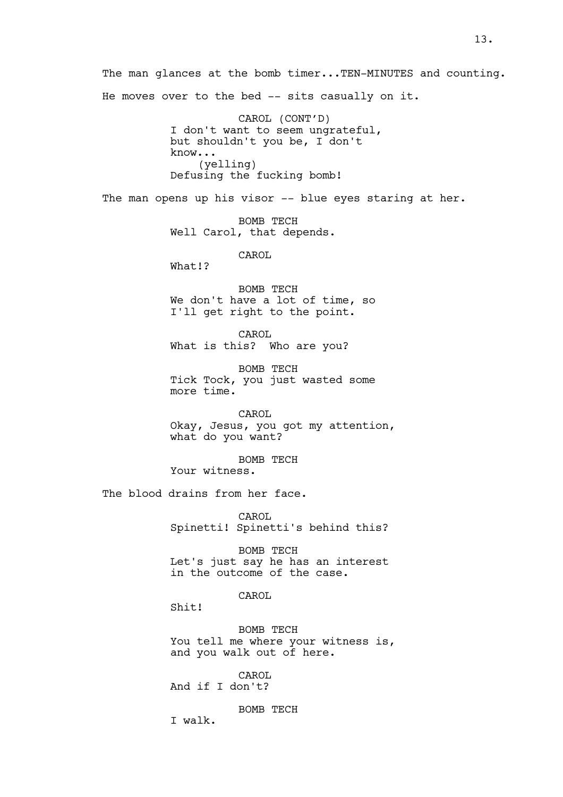The man glances at the bomb timer...TEN-MINUTES and counting. He moves over to the bed -- sits casually on it. CAROL (CONT'D) I don't want to seem ungrateful, but shouldn't you be, I don't know... (yelling) Defusing the fucking bomb! The man opens up his visor -- blue eyes staring at her. BOMB TECH Well Carol, that depends. CAROL What!? BOMB TECH We don't have a lot of time, so I'll get right to the point. CAROL What is this? Who are you? BOMB TECH Tick Tock, you just wasted some more time. CAROL Okay, Jesus, you got my attention, what do you want? BOMB TECH Your witness. The blood drains from her face. CAROL Spinetti! Spinetti's behind this? BOMB TECH Let's just say he has an interest in the outcome of the case. CAROL Shit! BOMB TECH You tell me where your witness is, and you walk out of here. CAROL And if I don't? BOMB TECH I walk.

13.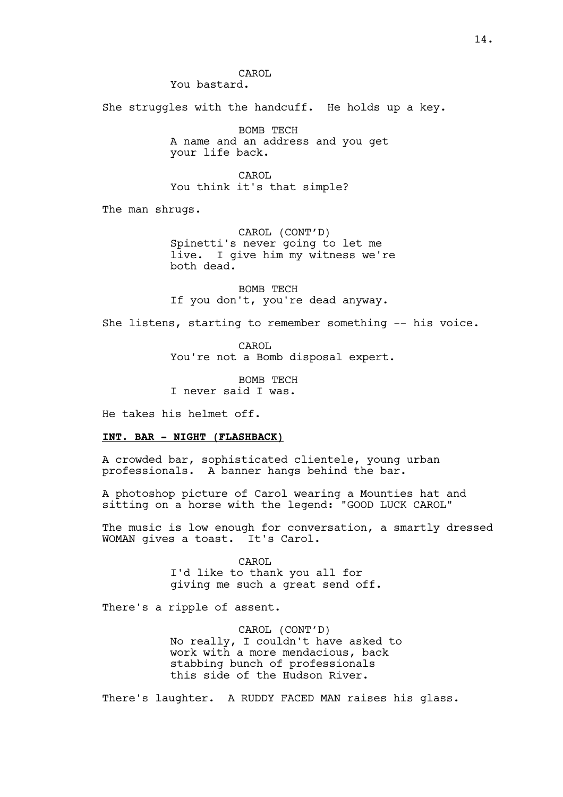CAROL You bastard.

She struggles with the handcuff. He holds up a key.

BOMB TECH A name and an address and you get your life back.

CAROL You think it's that simple?

The man shrugs.

CAROL (CONT'D) Spinetti's never going to let me live. I give him my witness we're both dead.

BOMB TECH If you don't, you're dead anyway.

She listens, starting to remember something -- his voice.

CAROL You're not a Bomb disposal expert.

BOMB TECH I never said I was.

He takes his helmet off.

### **INT. BAR - NIGHT (FLASHBACK)**

A crowded bar, sophisticated clientele, young urban professionals. A banner hangs behind the bar.

A photoshop picture of Carol wearing a Mounties hat and sitting on a horse with the legend: "GOOD LUCK CAROL"

The music is low enough for conversation, a smartly dressed WOMAN gives a toast. It's Carol.

> CAROL. I'd like to thank you all for giving me such a great send off.

There's a ripple of assent.

CAROL (CONT'D) No really, I couldn't have asked to work with a more mendacious, back stabbing bunch of professionals this side of the Hudson River.

There's laughter. A RUDDY FACED MAN raises his glass.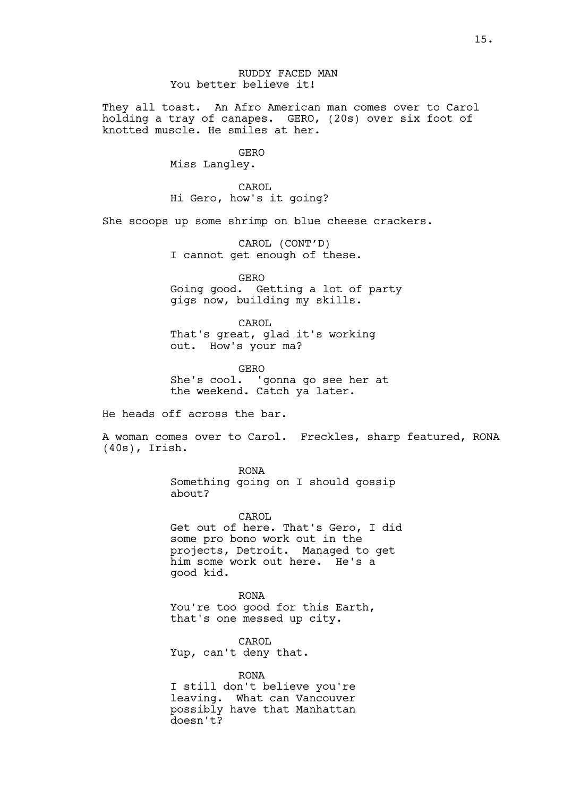RUDDY FACED MAN You better believe it!

They all toast. An Afro American man comes over to Carol holding a tray of canapes. GERO, (20s) over six foot of knotted muscle. He smiles at her.

GERO

Miss Langley.

CAROL Hi Gero, how's it going?

She scoops up some shrimp on blue cheese crackers.

CAROL (CONT'D) I cannot get enough of these.

GERO Going good. Getting a lot of party gigs now, building my skills.

CAROL That's great, glad it's working out. How's your ma?

GERO She's cool. 'gonna go see her at the weekend. Catch ya later.

He heads off across the bar.

A woman comes over to Carol. Freckles, sharp featured, RONA (40s), Irish.

> RONA Something going on I should gossip about?

> > CAROL.

Get out of here. That's Gero, I did some pro bono work out in the projects, Detroit. Managed to get him some work out here. He's a good kid.

RONA You're too good for this Earth, that's one messed up city.

CAROL. Yup, can't deny that.

RONA I still don't believe you're leaving. What can Vancouver possibly have that Manhattan doesn't?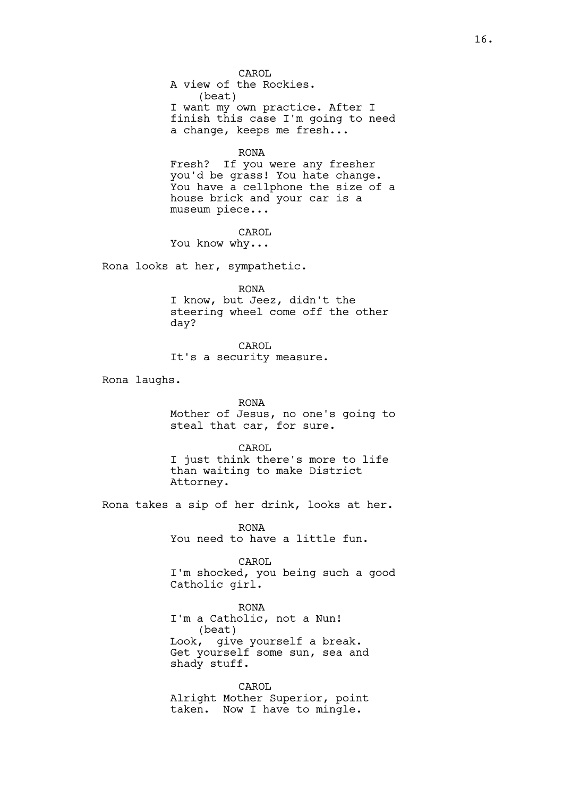CAROL A view of the Rockies. (beat) I want my own practice. After I finish this case I'm going to need a change, keeps me fresh...

#### RONA

Fresh? If you were any fresher you'd be grass! You hate change. You have a cellphone the size of a house brick and your car is a museum piece...

CAROL

You know why...

Rona looks at her, sympathetic.

RONA I know, but Jeez, didn't the steering wheel come off the other day?

CAROL It's a security measure.

Rona laughs.

# RONA

Mother of Jesus, no one's going to steal that car, for sure.

CAROL I just think there's more to life than waiting to make District Attorney.

Rona takes a sip of her drink, looks at her.

RONA You need to have a little fun.

CAROL I'm shocked, you being such a good Catholic girl.

RONA I'm a Catholic, not a Nun! (beat) Look, give yourself a break. Get yourself some sun, sea and shady stuff.

CAROL Alright Mother Superior, point taken. Now I have to mingle.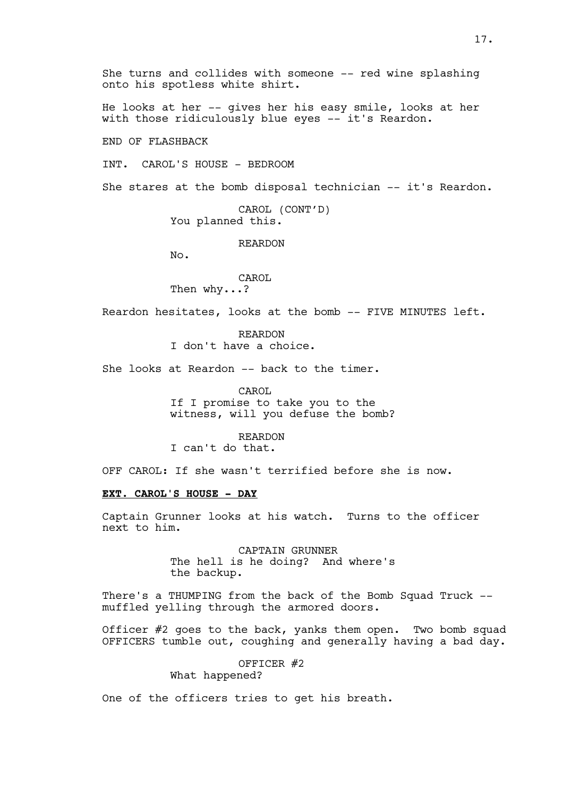He looks at her -- gives her his easy smile, looks at her with those ridiculously blue eyes -- it's Reardon.

END OF FLASHBACK

INT. CAROL'S HOUSE - BEDROOM

She stares at the bomb disposal technician -- it's Reardon.

CAROL (CONT'D) You planned this.

REARDON

No.

CAROL Then why...?

Reardon hesitates, looks at the bomb -- FIVE MINUTES left.

REARDON I don't have a choice.

She looks at Reardon -- back to the timer.

CAROL If I promise to take you to the witness, will you defuse the bomb?

REARDON I can't do that.

OFF CAROL: If she wasn't terrified before she is now.

# **EXT. CAROL'S HOUSE - DAY**

Captain Grunner looks at his watch. Turns to the officer next to him.

> CAPTAIN GRUNNER The hell is he doing? And where's the backup.

There's a THUMPING from the back of the Bomb Squad Truck - muffled yelling through the armored doors.

Officer #2 goes to the back, yanks them open. Two bomb squad OFFICERS tumble out, coughing and generally having a bad day.

OFFICER #2

What happened?

One of the officers tries to get his breath.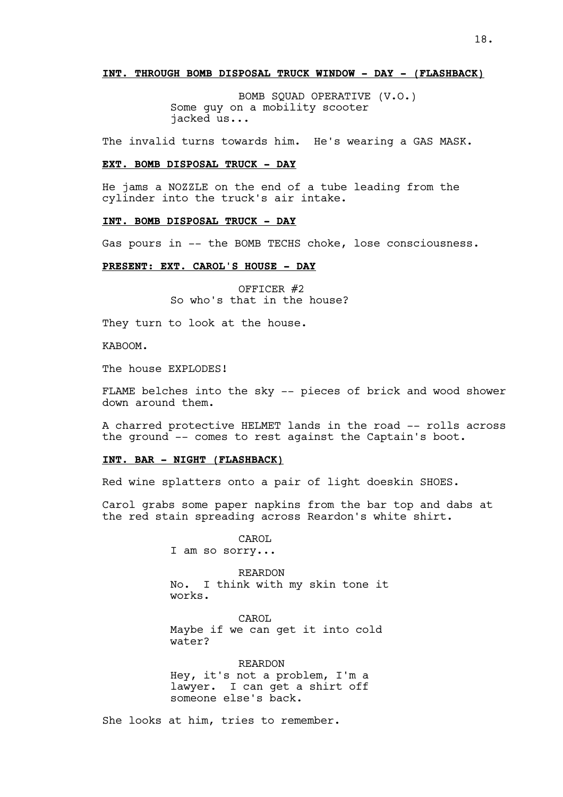#### **INT. THROUGH BOMB DISPOSAL TRUCK WINDOW - DAY - (FLASHBACK)**

BOMB SQUAD OPERATIVE (V.O.) Some guy on a mobility scooter jacked us...

The invalid turns towards him. He's wearing a GAS MASK.

### **EXT. BOMB DISPOSAL TRUCK - DAY**

He jams a NOZZLE on the end of a tube leading from the cylinder into the truck's air intake.

#### **INT. BOMB DISPOSAL TRUCK - DAY**

Gas pours in -- the BOMB TECHS choke, lose consciousness.

## **PRESENT: EXT. CAROL'S HOUSE - DAY**

OFFICER #2 So who's that in the house?

They turn to look at the house.

KABOOM.

The house EXPLODES!

FLAME belches into the sky -- pieces of brick and wood shower down around them.

A charred protective HELMET lands in the road -- rolls across the ground -- comes to rest against the Captain's boot.

### **INT. BAR - NIGHT (FLASHBACK)**

Red wine splatters onto a pair of light doeskin SHOES.

Carol grabs some paper napkins from the bar top and dabs at the red stain spreading across Reardon's white shirt.

> CAROL I am so sorry...

REARDON No. I think with my skin tone it works.

CAROL Maybe if we can get it into cold water?

REARDON Hey, it's not a problem, I'm a lawyer. I can get a shirt off someone else's back.

She looks at him, tries to remember.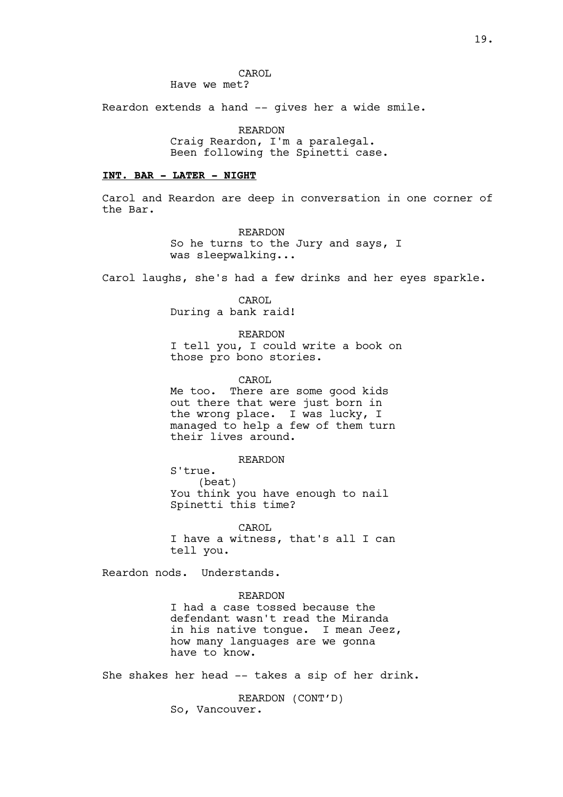CAROL Have we met?

Reardon extends a hand -- gives her a wide smile.

REARDON Craig Reardon, I'm a paralegal. Been following the Spinetti case.

#### **INT. BAR - LATER - NIGHT**

Carol and Reardon are deep in conversation in one corner of the Bar.

> REARDON So he turns to the Jury and says, I was sleepwalking...

Carol laughs, she's had a few drinks and her eyes sparkle.

CAROL During a bank raid!

REARDON I tell you, I could write a book on those pro bono stories.

CAROL

Me too. There are some good kids out there that were just born in the wrong place. I was lucky, I managed to help a few of them turn their lives around.

#### REARDON

S'true. (beat) You think you have enough to nail Spinetti this time?

CAROL I have a witness, that's all I can tell you.

Reardon nods. Understands.

### REARDON

I had a case tossed because the defendant wasn't read the Miranda in his native tongue. I mean Jeez, how many languages are we gonna have to know.

She shakes her head -- takes a sip of her drink.

REARDON (CONT'D) So, Vancouver.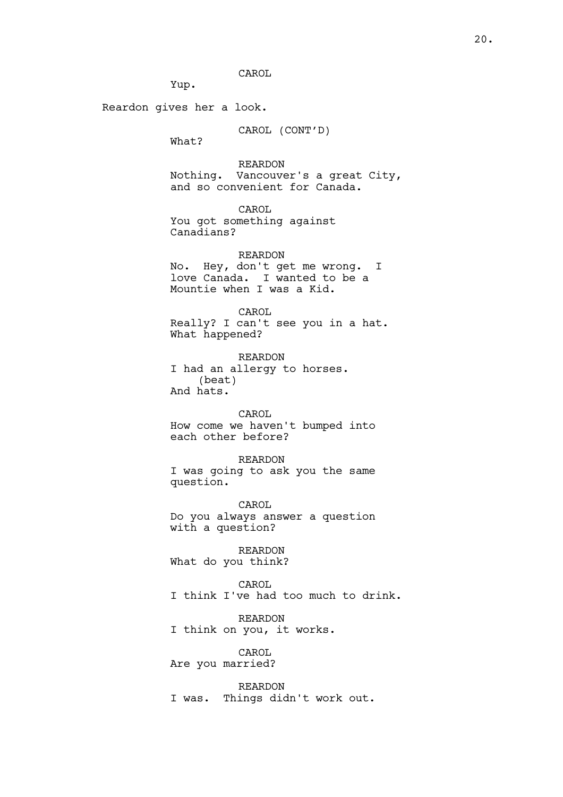CAROL

Yup.

Reardon gives her a look.

CAROL (CONT'D)

What?

REARDON Nothing. Vancouver's a great City, and so convenient for Canada.

CAROL

You got something against Canadians?

REARDON No. Hey, don't get me wrong. I love Canada. I wanted to be a Mountie when I was a Kid.

CAROL Really? I can't see you in a hat. What happened?

REARDON I had an allergy to horses. (beat) And hats.

CAROL How come we haven't bumped into each other before?

REARDON I was going to ask you the same question.

CAROL Do you always answer a question with a question?

REARDON What do you think?

CAROL I think I've had too much to drink.

REARDON I think on you, it works.

CAROL Are you married?

REARDON I was. Things didn't work out.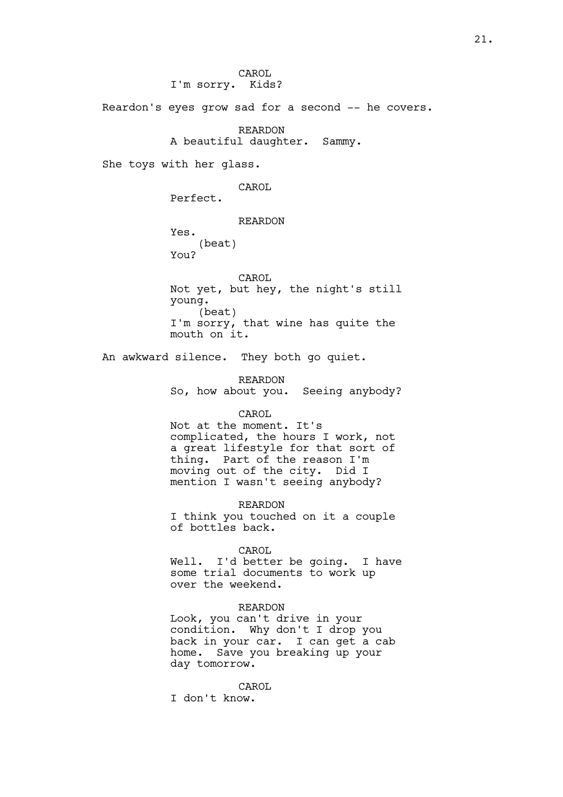CAROL I'm sorry. Kids?

Reardon's eyes grow sad for a second -- he covers.

REARDON A beautiful daughter. Sammy.

She toys with her glass.

CAROL

Perfect.

REARDON

Yes. (beat) You?

CAROL Not yet, but hey, the night's still young. (beat) I'm sorry, that wine has quite the mouth on it.

An awkward silence. They both go quiet.

REARDON So, how about you. Seeing anybody?

#### CAROL

Not at the moment. It's complicated, the hours I work, not a great lifestyle for that sort of thing. Part of the reason I'm moving out of the city. Did I mention I wasn't seeing anybody?

REARDON

I think you touched on it a couple of bottles back.

CAROL

Well. I'd better be going. I have some trial documents to work up over the weekend.

### REARDON

Look, you can't drive in your condition. Why don't I drop you back in your car. I can get a cab home. Save you breaking up your day tomorrow.

CAROL I don't know.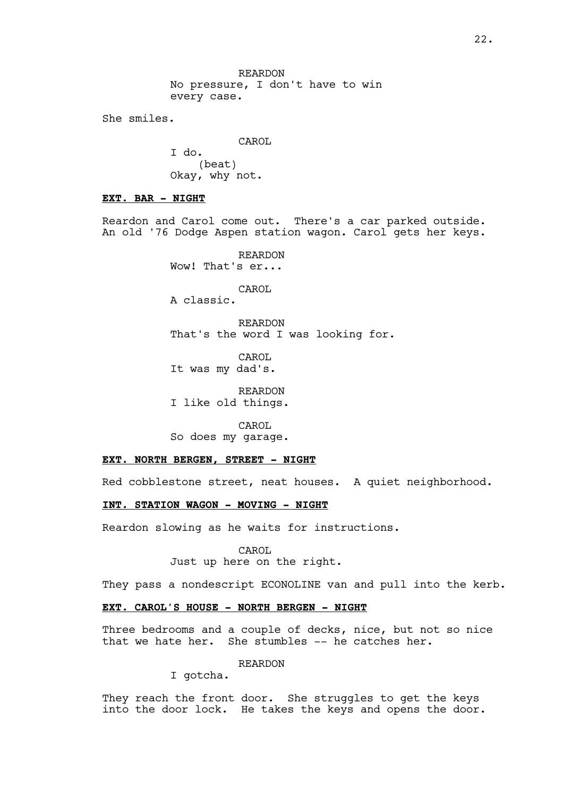REARDON No pressure, I don't have to win every case.

She smiles.

CAROL

I do. (beat) Okay, why not.

### **EXT. BAR - NIGHT**

Reardon and Carol come out. There's a car parked outside. An old '76 Dodge Aspen station wagon. Carol gets her keys.

> REARDON Wow! That's er...

> > CAROL

A classic.

REARDON That's the word I was looking for.

CAROL It was my dad's.

REARDON I like old things.

CAROL So does my garage.

#### **EXT. NORTH BERGEN, STREET - NIGHT**

Red cobblestone street, neat houses. A quiet neighborhood.

# **INT. STATION WAGON - MOVING - NIGHT**

Reardon slowing as he waits for instructions.

CAROL Just up here on the right.

They pass a nondescript ECONOLINE van and pull into the kerb.

# **EXT. CAROL'S HOUSE - NORTH BERGEN - NIGHT**

Three bedrooms and a couple of decks, nice, but not so nice that we hate her. She stumbles -- he catches her.

#### REARDON

I gotcha.

They reach the front door. She struggles to get the keys into the door lock. He takes the keys and opens the door.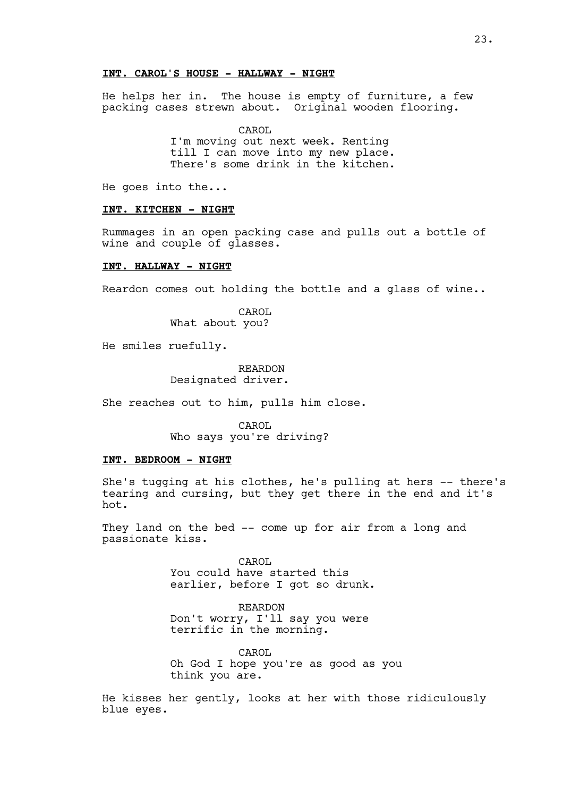# **INT. CAROL'S HOUSE - HALLWAY - NIGHT**

He helps her in. The house is empty of furniture, a few packing cases strewn about. Original wooden flooring.

CAROL

I'm moving out next week. Renting till I can move into my new place. There's some drink in the kitchen.

He goes into the...

#### **INT. KITCHEN - NIGHT**

Rummages in an open packing case and pulls out a bottle of wine and couple of glasses.

#### **INT. HALLWAY - NIGHT**

Reardon comes out holding the bottle and a glass of wine..

CAROL What about you?

He smiles ruefully.

REARDON Designated driver.

She reaches out to him, pulls him close.

CAROL Who says you're driving?

### **INT. BEDROOM - NIGHT**

She's tugging at his clothes, he's pulling at hers -- there's tearing and cursing, but they get there in the end and it's hot.

They land on the bed -- come up for air from a long and passionate kiss.

> CAROL You could have started this earlier, before I got so drunk.

REARDON Don't worry, I'll say you were terrific in the morning.

CAROL Oh God I hope you're as good as you think you are.

He kisses her gently, looks at her with those ridiculously blue eyes.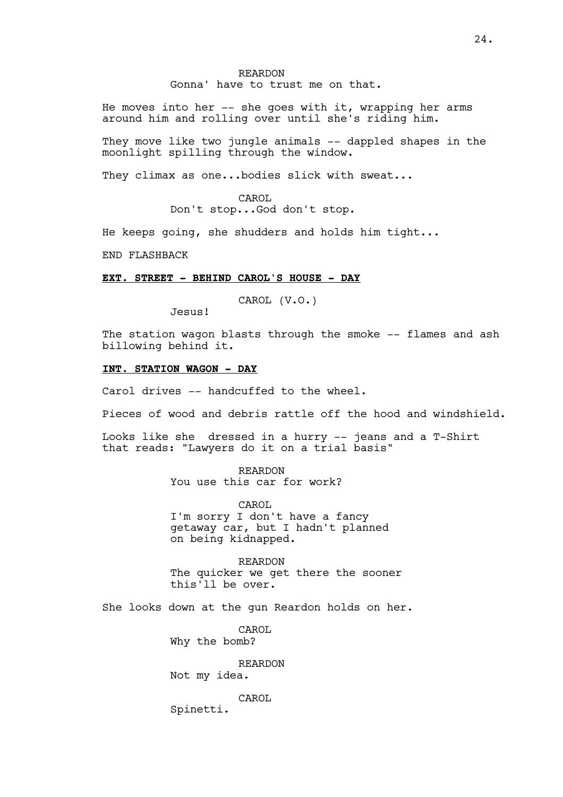### REARDON Gonna' have to trust me on that.

He moves into her -- she goes with it, wrapping her arms around him and rolling over until she's riding him.

They move like two jungle animals -- dappled shapes in the moonlight spilling through the window.

They climax as one...bodies slick with sweat...

CAROL Don't stop...God don't stop.

He keeps going, she shudders and holds him tight...

END FLASHBACK

# **EXT. STREET - BEHIND CAROL'S HOUSE - DAY**

CAROL (V.O.)

The station wagon blasts through the smoke -- flames and ash billowing behind it.

## **INT. STATION WAGON - DAY**

Jesus!

Carol drives -- handcuffed to the wheel.

Pieces of wood and debris rattle off the hood and windshield.

Looks like she dressed in a hurry -- jeans and a T-Shirt that reads: "Lawyers do it on a trial basis"

> REARDON You use this car for work?

CAROL I'm sorry I don't have a fancy getaway car, but I hadn't planned on being kidnapped.

REARDON The quicker we get there the sooner this'll be over.

She looks down at the gun Reardon holds on her.

CAROL Why the bomb?

REARDON

Not my idea.

CAROL

Spinetti.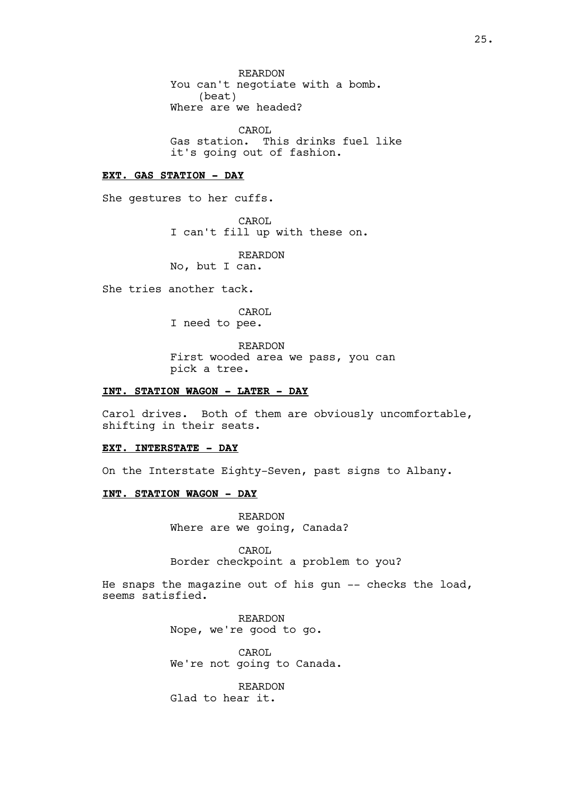REARDON You can't negotiate with a bomb. (beat) Where are we headed?

CAROL Gas station. This drinks fuel like it's going out of fashion.

#### **EXT. GAS STATION - DAY**

She gestures to her cuffs.

CAROL I can't fill up with these on.

REARDON No, but I can.

She tries another tack.

CAROL

I need to pee.

REARDON

First wooded area we pass, you can pick a tree.

## **INT. STATION WAGON - LATER - DAY**

Carol drives. Both of them are obviously uncomfortable, shifting in their seats.

#### **EXT. INTERSTATE - DAY**

On the Interstate Eighty-Seven, past signs to Albany.

# **INT. STATION WAGON - DAY**

REARDON Where are we going, Canada?

CAROL Border checkpoint a problem to you?

He snaps the magazine out of his gun -- checks the load, seems satisfied.

> REARDON Nope, we're good to go.

CAROL We're not going to Canada.

REARDON Glad to hear it.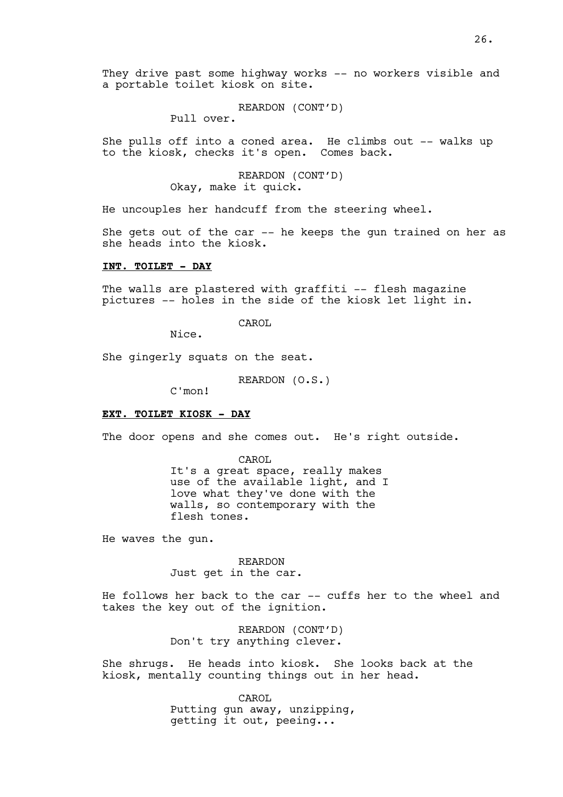They drive past some highway works -- no workers visible and a portable toilet kiosk on site.

# REARDON (CONT'D)

Pull over.

She pulls off into a coned area. He climbs out -- walks up to the kiosk, checks it's open. Comes back.

# REARDON (CONT'D) Okay, make it quick.

He uncouples her handcuff from the steering wheel.

She gets out of the car -- he keeps the gun trained on her as she heads into the kiosk.

# **INT. TOILET - DAY**

The walls are plastered with graffiti -- flesh magazine pictures -- holes in the side of the kiosk let light in.

CAROL

Nice.

She gingerly squats on the seat.

REARDON (O.S.)

C'mon!

## **EXT. TOILET KIOSK - DAY**

The door opens and she comes out. He's right outside.

CAROL It's a great space, really makes use of the available light, and I love what they've done with the walls, so contemporary with the flesh tones.

He waves the gun.

REARDON Just get in the car.

He follows her back to the car -- cuffs her to the wheel and takes the key out of the ignition.

> REARDON (CONT'D) Don't try anything clever.

She shrugs. He heads into kiosk. She looks back at the kiosk, mentally counting things out in her head.

CAROL

Putting gun away, unzipping, getting it out, peeing...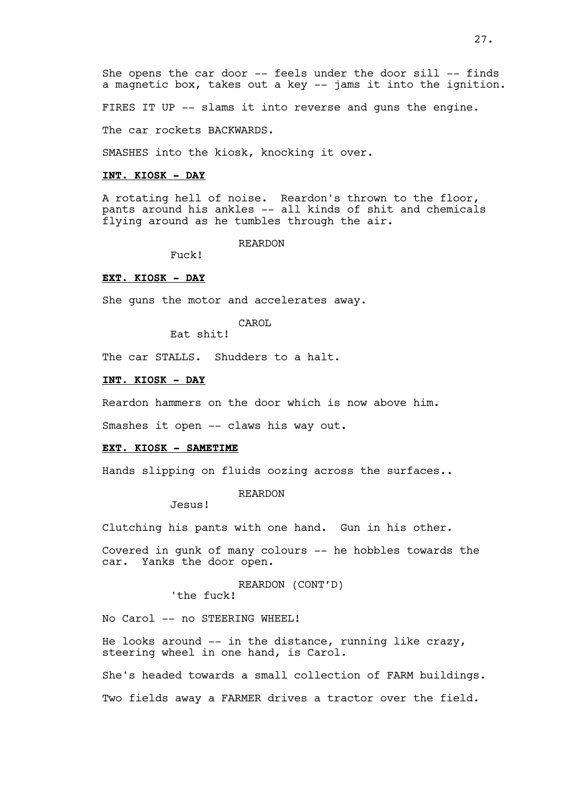She opens the car door -- feels under the door sill -- finds a magnetic box, takes out a key -- jams it into the ignition.

FIRES IT UP -- slams it into reverse and guns the engine.

The car rockets BACKWARDS.

SMASHES into the kiosk, knocking it over.

#### **INT. KIOSK - DAY**

A rotating hell of noise. Reardon's thrown to the floor, pants around his ankles -- all kinds of shit and chemicals flying around as he tumbles through the air.

#### REARDON

Fuck!

### **EXT. KIOSK - DAY**

She guns the motor and accelerates away.

CAROL

Eat shit!

The car STALLS. Shudders to a halt.

### **INT. KIOSK - DAY**

Reardon hammers on the door which is now above him.

Smashes it open -- claws his way out.

#### **EXT. KIOSK - SAMETIME**

Hands slipping on fluids oozing across the surfaces..

#### REARDON

Jesus!

Clutching his pants with one hand. Gun in his other.

Covered in gunk of many colours -- he hobbles towards the car. Yanks the door open.

> REARDON (CONT'D) 'the fuck!

No Carol -- no STEERING WHEEL!

He looks around  $--$  in the distance, running like crazy, steering wheel in one hand, is Carol.

She's headed towards a small collection of FARM buildings. Two fields away a FARMER drives a tractor over the field.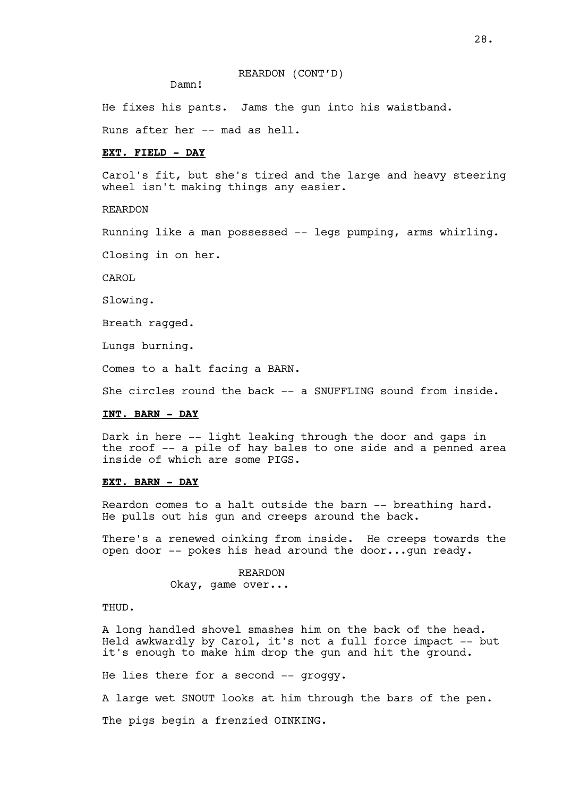### REARDON (CONT'D)

Damn!

He fixes his pants. Jams the gun into his waistband.

Runs after her -- mad as hell.

## **EXT. FIELD - DAY**

Carol's fit, but she's tired and the large and heavy steering wheel isn't making things any easier.

REARDON

Running like a man possessed -- legs pumping, arms whirling.

Closing in on her.

CAROL

Slowing.

Breath ragged.

Lungs burning.

Comes to a halt facing a BARN.

She circles round the back -- a SNUFFLING sound from inside.

### **INT. BARN - DAY**

Dark in here -- light leaking through the door and gaps in the roof -- a pile of hay bales to one side and a penned area inside of which are some PIGS.

### **EXT. BARN - DAY**

Reardon comes to a halt outside the barn -- breathing hard. He pulls out his gun and creeps around the back.

There's a renewed oinking from inside. He creeps towards the open door -- pokes his head around the door...gun ready.

> REARDON Okay, game over...

THUD.

A long handled shovel smashes him on the back of the head. Held awkwardly by Carol, it's not a full force impact -- but it's enough to make him drop the gun and hit the ground.

He lies there for a second -- groggy.

A large wet SNOUT looks at him through the bars of the pen.

The pigs begin a frenzied OINKING.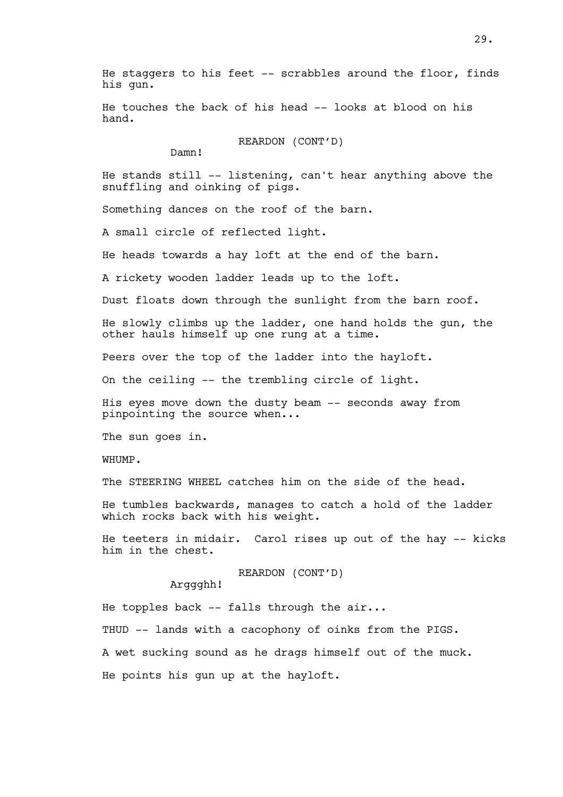He staggers to his feet -- scrabbles around the floor, finds his gun.

He touches the back of his head -- looks at blood on his hand.

REARDON (CONT'D)

Damn!

He stands still -- listening, can't hear anything above the snuffling and oinking of pigs.

Something dances on the roof of the barn.

A small circle of reflected light.

He heads towards a hay loft at the end of the barn.

A rickety wooden ladder leads up to the loft.

Dust floats down through the sunlight from the barn roof.

He slowly climbs up the ladder, one hand holds the gun, the other hauls himself up one rung at a time.

Peers over the top of the ladder into the hayloft.

On the ceiling -- the trembling circle of light.

His eyes move down the dusty beam -- seconds away from pinpointing the source when...

The sun goes in.

WHUMP.

The STEERING WHEEL catches him on the side of the head.

He tumbles backwards, manages to catch a hold of the ladder which rocks back with his weight.

He teeters in midair. Carol rises up out of the hay -- kicks him in the chest.

REARDON (CONT'D)

Arggghh!

He topples back  $-$ - falls through the air...

THUD -- lands with a cacophony of oinks from the PIGS.

A wet sucking sound as he drags himself out of the muck.

He points his gun up at the hayloft.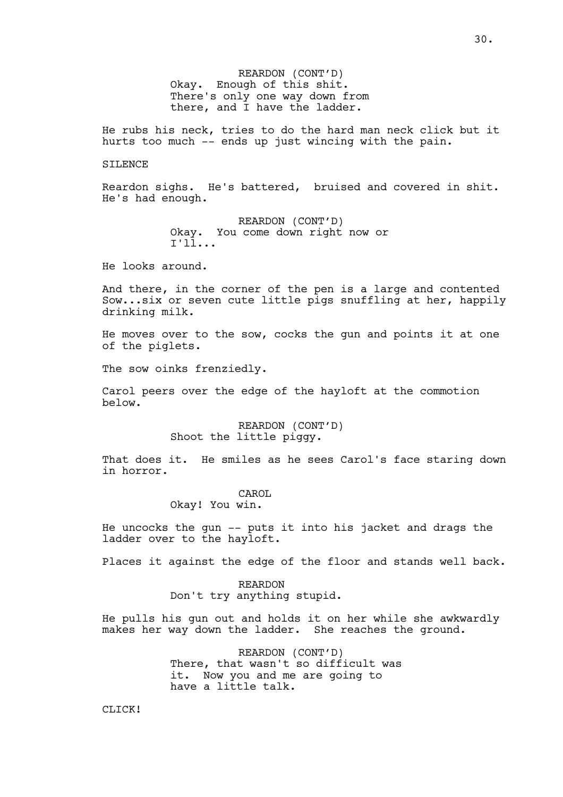REARDON (CONT'D) Okay. Enough of this shit. There's only one way down from there, and I have the ladder.

He rubs his neck, tries to do the hard man neck click but it hurts too much -- ends up just wincing with the pain.

### SILENCE

Reardon sighs. He's battered, bruised and covered in shit. He's had enough.

> REARDON (CONT'D) Okay. You come down right now or I'll...

He looks around.

And there, in the corner of the pen is a large and contented Sow...six or seven cute little pigs snuffling at her, happily drinking milk.

He moves over to the sow, cocks the gun and points it at one of the piglets.

The sow oinks frenziedly.

Carol peers over the edge of the hayloft at the commotion below.

> REARDON (CONT'D) Shoot the little piggy.

That does it. He smiles as he sees Carol's face staring down in horror.

### CAROL

Okay! You win.

He uncocks the gun -- puts it into his jacket and drags the ladder over to the hayloft.

Places it against the edge of the floor and stands well back.

REARDON Don't try anything stupid.

He pulls his gun out and holds it on her while she awkwardly makes her way down the ladder. She reaches the ground.

> REARDON (CONT'D) There, that wasn't so difficult was it. Now you and me are going to have a little talk.

CLICK!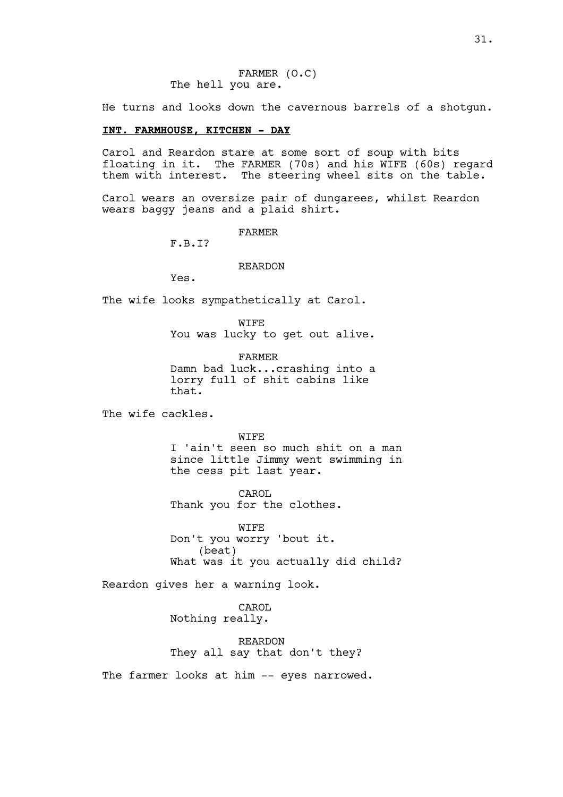He turns and looks down the cavernous barrels of a shotgun.

# **INT. FARMHOUSE, KITCHEN - DAY**

Carol and Reardon stare at some sort of soup with bits floating in it. The FARMER (70s) and his WIFE (60s) regard them with interest. The steering wheel sits on the table.

Carol wears an oversize pair of dungarees, whilst Reardon wears baggy jeans and a plaid shirt.

FARMER

F.B.I?

REARDON

Yes.

The wife looks sympathetically at Carol.

WIFE You was lucky to get out alive.

FARMER Damn bad luck...crashing into a lorry full of shit cabins like that.

The wife cackles.

WIFE

I 'ain't seen so much shit on a man since little Jimmy went swimming in the cess pit last year.

CAROL Thank you for the clothes.

WIFE Don't you worry 'bout it. (beat) What was it you actually did child?

Reardon gives her a warning look.

CAROL Nothing really.

REARDON They all say that don't they?

The farmer looks at him -- eyes narrowed.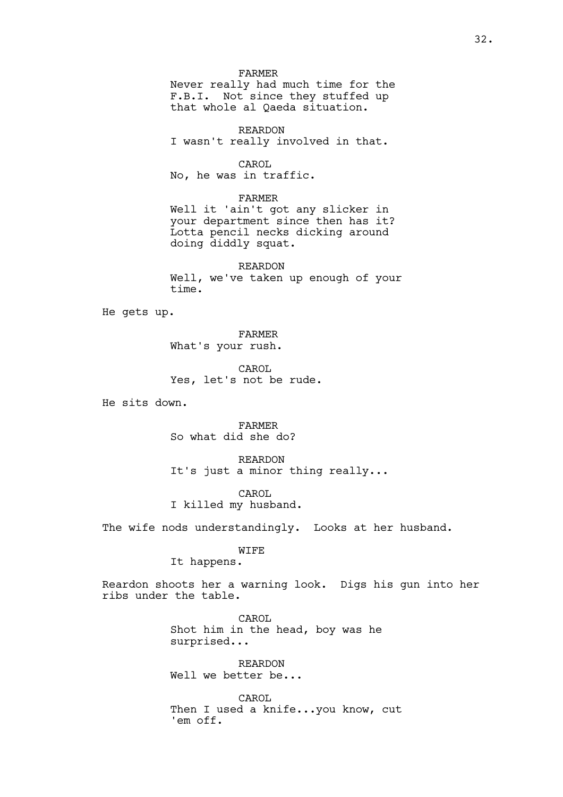#### FARMER

Never really had much time for the F.B.I. Not since they stuffed up that whole al Qaeda situation.

REARDON I wasn't really involved in that.

CAROL No, he was in traffic.

FARMER

Well it 'ain't got any slicker in your department since then has it? Lotta pencil necks dicking around doing diddly squat.

REARDON Well, we've taken up enough of your time.

He gets up.

FARMER What's your rush.

CAROL Yes, let's not be rude.

He sits down.

FARMER So what did she do?

REARDON It's just a minor thing really...

CAROL I killed my husband.

The wife nods understandingly. Looks at her husband.

# WIFE

It happens.

Reardon shoots her a warning look. Digs his gun into her ribs under the table.

> CAROL Shot him in the head, boy was he surprised...

REARDON Well we better be...

CAROL Then I used a knife...you know, cut 'em off.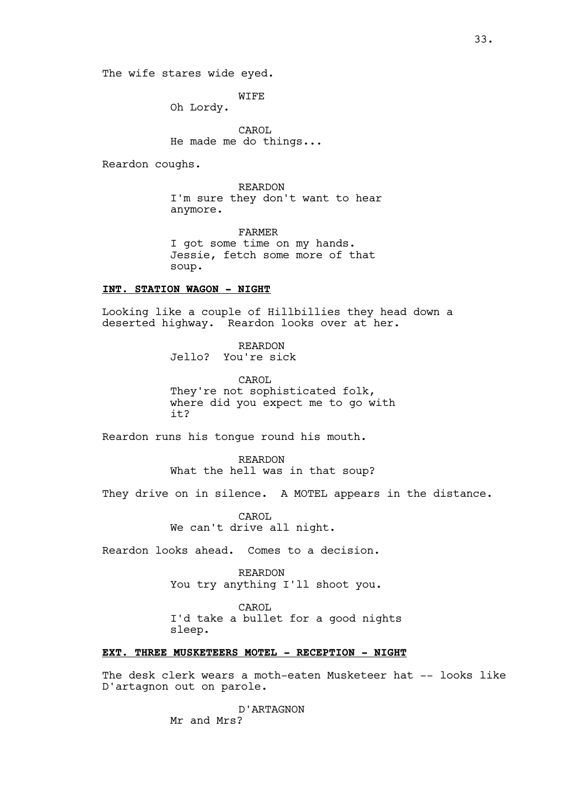The wife stares wide eyed.

WIFE

Oh Lordy.

CAROL He made me do things...

Reardon coughs.

REARDON I'm sure they don't want to hear anymore.

FARMER I got some time on my hands. Jessie, fetch some more of that soup.

# **INT. STATION WAGON - NIGHT**

Looking like a couple of Hillbillies they head down a deserted highway. Reardon looks over at her.

> REARDON Jello? You're sick

CAROL They're not sophisticated folk, where did you expect me to go with it?

Reardon runs his tongue round his mouth.

REARDON What the hell was in that soup?

They drive on in silence. A MOTEL appears in the distance.

CAROL We can't drive all night.

Reardon looks ahead. Comes to a decision.

REARDON You try anything I'll shoot you.

CAROL

I'd take a bullet for a good nights sleep.

# **EXT. THREE MUSKETEERS MOTEL - RECEPTION - NIGHT**

The desk clerk wears a moth-eaten Musketeer hat -- looks like D'artagnon out on parole.

> D'ARTAGNON Mr and Mrs?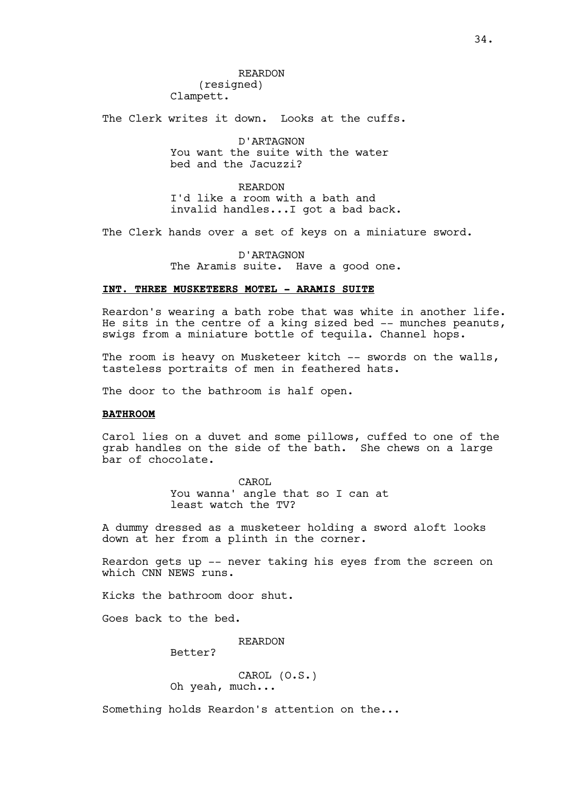The Clerk writes it down. Looks at the cuffs.

D'ARTAGNON You want the suite with the water bed and the Jacuzzi?

REARDON I'd like a room with a bath and invalid handles...I got a bad back.

The Clerk hands over a set of keys on a miniature sword.

D'ARTAGNON The Aramis suite. Have a good one.

# **INT. THREE MUSKETEERS MOTEL - ARAMIS SUITE**

Reardon's wearing a bath robe that was white in another life. He sits in the centre of a king sized bed  $-$ - munches peanuts, swigs from a miniature bottle of tequila. Channel hops.

The room is heavy on Musketeer kitch -- swords on the walls, tasteless portraits of men in feathered hats.

The door to the bathroom is half open.

# **BATHROOM**

Carol lies on a duvet and some pillows, cuffed to one of the grab handles on the side of the bath. She chews on a large bar of chocolate.

> CAROL<sub>1</sub> You wanna' angle that so I can at least watch the TV?

A dummy dressed as a musketeer holding a sword aloft looks down at her from a plinth in the corner.

Reardon gets up -- never taking his eyes from the screen on which CNN NEWS runs.

Kicks the bathroom door shut.

Goes back to the bed.

REARDON

Better?

CAROL (O.S.) Oh yeah, much...

Something holds Reardon's attention on the...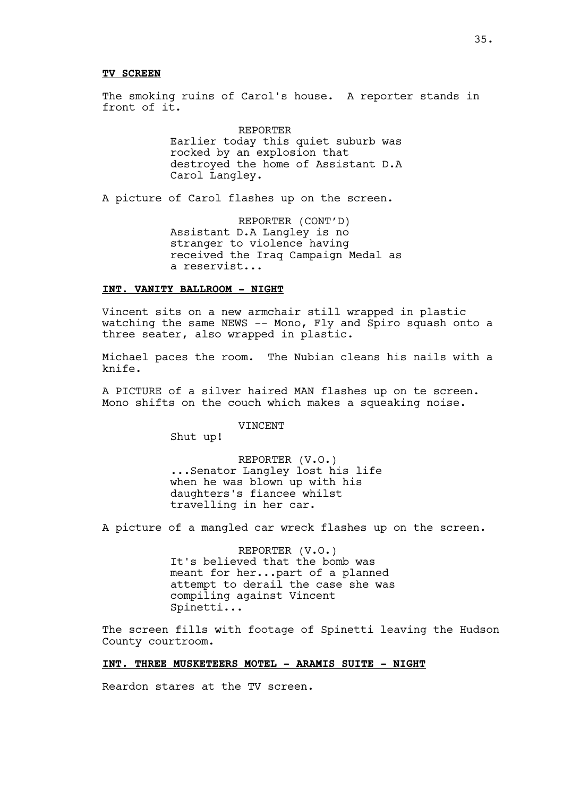#### **TV SCREEN**

The smoking ruins of Carol's house. A reporter stands in front of it.

> REPORTER Earlier today this quiet suburb was rocked by an explosion that destroyed the home of Assistant D.A Carol Langley.

A picture of Carol flashes up on the screen.

REPORTER (CONT'D) Assistant D.A Langley is no stranger to violence having received the Iraq Campaign Medal as a reservist...

## **INT. VANITY BALLROOM - NIGHT**

Vincent sits on a new armchair still wrapped in plastic watching the same NEWS -- Mono, Fly and Spiro squash onto a three seater, also wrapped in plastic.

Michael paces the room. The Nubian cleans his nails with a knife.

A PICTURE of a silver haired MAN flashes up on te screen. Mono shifts on the couch which makes a squeaking noise.

VINCENT

Shut up!

REPORTER (V.O.) ...Senator Langley lost his life when he was blown up with his daughters's fiancee whilst travelling in her car.

A picture of a mangled car wreck flashes up on the screen.

REPORTER (V.O.) It's believed that the bomb was meant for her...part of a planned attempt to derail the case she was compiling against Vincent Spinetti...

The screen fills with footage of Spinetti leaving the Hudson County courtroom.

# **INT. THREE MUSKETEERS MOTEL - ARAMIS SUITE - NIGHT**

Reardon stares at the TV screen.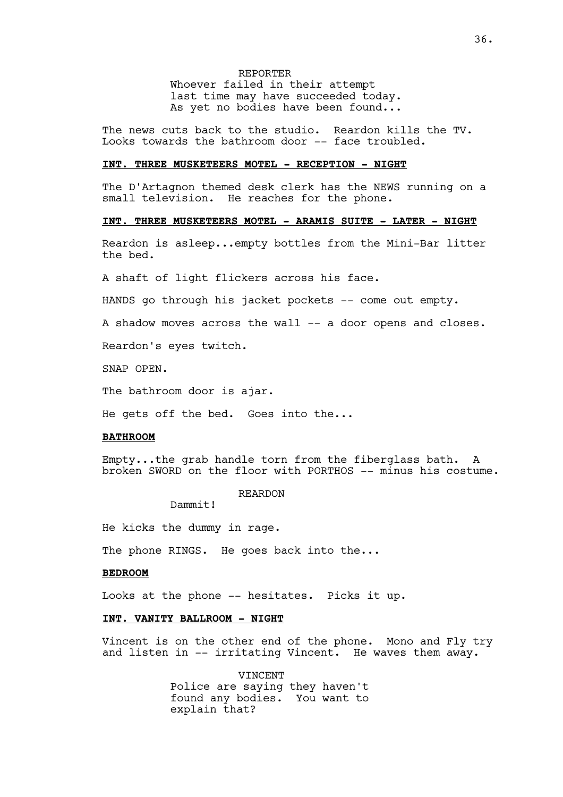REPORTER Whoever failed in their attempt last time may have succeeded today. As yet no bodies have been found...

The news cuts back to the studio. Reardon kills the TV. Looks towards the bathroom door -- face troubled.

## **INT. THREE MUSKETEERS MOTEL - RECEPTION - NIGHT**

The D'Artagnon themed desk clerk has the NEWS running on a small television. He reaches for the phone.

## **INT. THREE MUSKETEERS MOTEL - ARAMIS SUITE - LATER - NIGHT**

Reardon is asleep...empty bottles from the Mini-Bar litter the bed.

A shaft of light flickers across his face.

HANDS go through his jacket pockets -- come out empty.

A shadow moves across the wall -- a door opens and closes.

Reardon's eyes twitch.

SNAP OPEN.

The bathroom door is ajar.

He gets off the bed. Goes into the...

#### **BATHROOM**

Empty...the grab handle torn from the fiberglass bath. A broken SWORD on the floor with PORTHOS -- minus his costume.

#### REARDON

Dammit!

He kicks the dummy in rage.

The phone RINGS. He goes back into the...

#### **BEDROOM**

Looks at the phone -- hesitates. Picks it up.

#### **INT. VANITY BALLROOM - NIGHT**

Vincent is on the other end of the phone. Mono and Fly try and listen in -- irritating Vincent. He waves them away.

> VINCENT Police are saying they haven't found any bodies. You want to explain that?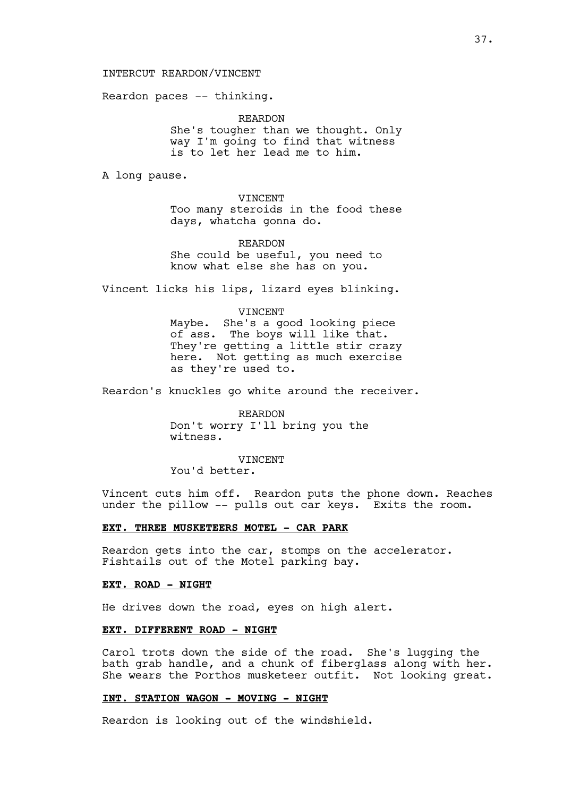### INTERCUT REARDON/VINCENT

Reardon paces -- thinking.

REARDON She's tougher than we thought. Only way I'm going to find that witness is to let her lead me to him.

A long pause.

VINCENT Too many steroids in the food these days, whatcha gonna do.

REARDON She could be useful, you need to know what else she has on you.

Vincent licks his lips, lizard eyes blinking.

#### VINCENT

Maybe. She's a good looking piece of ass. The boys will like that. They're getting a little stir crazy here. Not getting as much exercise as they're used to.

Reardon's knuckles go white around the receiver.

REARDON Don't worry I'll bring you the witness.

VINCENT

You'd better.

Vincent cuts him off. Reardon puts the phone down. Reaches under the pillow -- pulls out car keys. Exits the room.

## **EXT. THREE MUSKETEERS MOTEL - CAR PARK**

Reardon gets into the car, stomps on the accelerator. Fishtails out of the Motel parking bay.

#### **EXT. ROAD - NIGHT**

He drives down the road, eyes on high alert.

### **EXT. DIFFERENT ROAD - NIGHT**

Carol trots down the side of the road. She's lugging the bath grab handle, and a chunk of fiberglass along with her. She wears the Porthos musketeer outfit. Not looking great.

#### **INT. STATION WAGON - MOVING - NIGHT**

Reardon is looking out of the windshield.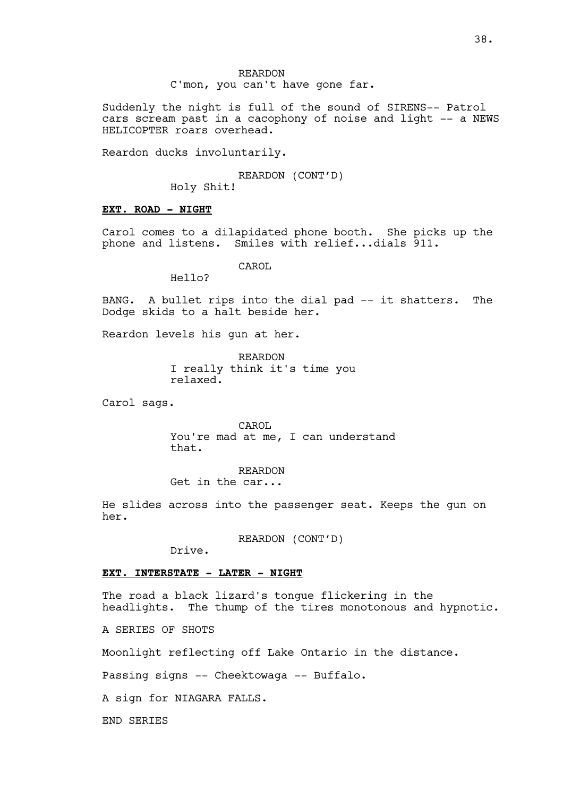REARDON C'mon, you can't have gone far.

Suddenly the night is full of the sound of SIRENS-- Patrol cars scream past in a cacophony of noise and light -- a NEWS HELICOPTER roars overhead.

Reardon ducks involuntarily.

REARDON (CONT'D)

Holy Shit!

#### **EXT. ROAD - NIGHT**

Carol comes to a dilapidated phone booth. She picks up the phone and listens. Smiles with relief...dials 911.

CAROL.

Hello?

BANG. A bullet rips into the dial pad -- it shatters. The Dodge skids to a halt beside her.

Reardon levels his gun at her.

REARDON I really think it's time you relaxed.

Carol sags.

CAROL You're mad at me, I can understand that.

REARDON Get in the car...

He slides across into the passenger seat. Keeps the gun on her.

REARDON (CONT'D)

Drive.

## **EXT. INTERSTATE - LATER - NIGHT**

The road a black lizard's tongue flickering in the headlights. The thump of the tires monotonous and hypnotic.

A SERIES OF SHOTS

Moonlight reflecting off Lake Ontario in the distance.

Passing signs -- Cheektowaga -- Buffalo.

A sign for NIAGARA FALLS.

END SERIES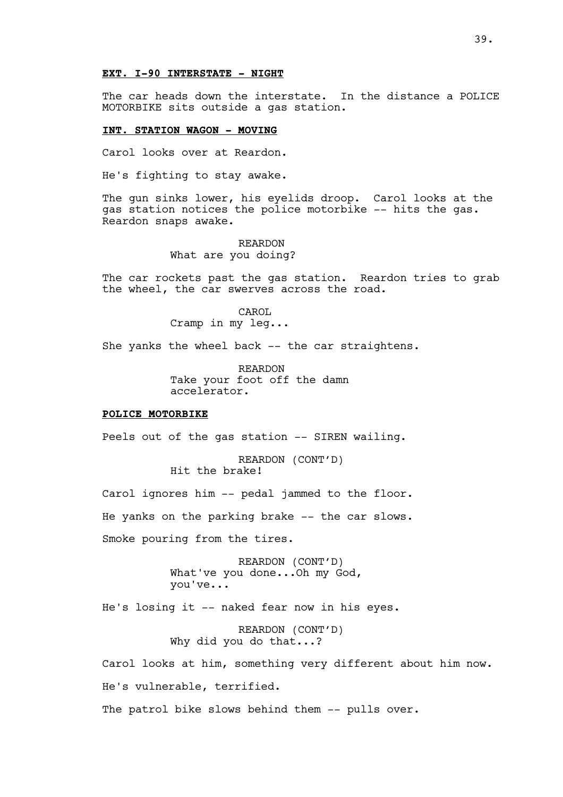#### **EXT. I-90 INTERSTATE - NIGHT**

The car heads down the interstate. In the distance a POLICE MOTORBIKE sits outside a gas station.

## **INT. STATION WAGON - MOVING**

Carol looks over at Reardon.

He's fighting to stay awake.

The gun sinks lower, his eyelids droop. Carol looks at the gas station notices the police motorbike -- hits the gas. Reardon snaps awake.

> REARDON What are you doing?

The car rockets past the gas station. Reardon tries to grab the wheel, the car swerves across the road.

> CAROL Cramp in my leg...

She yanks the wheel back -- the car straightens.

REARDON Take your foot off the damn accelerator.

#### **POLICE MOTORBIKE**

Peels out of the gas station -- SIREN wailing.

REARDON (CONT'D) Hit the brake!

Carol ignores him -- pedal jammed to the floor. He yanks on the parking brake -- the car slows. Smoke pouring from the tires.

> REARDON (CONT'D) What've you done...Oh my God, you've...

He's losing it -- naked fear now in his eyes.

REARDON (CONT'D) Why did you do that...?

Carol looks at him, something very different about him now. He's vulnerable, terrified.

The patrol bike slows behind them -- pulls over.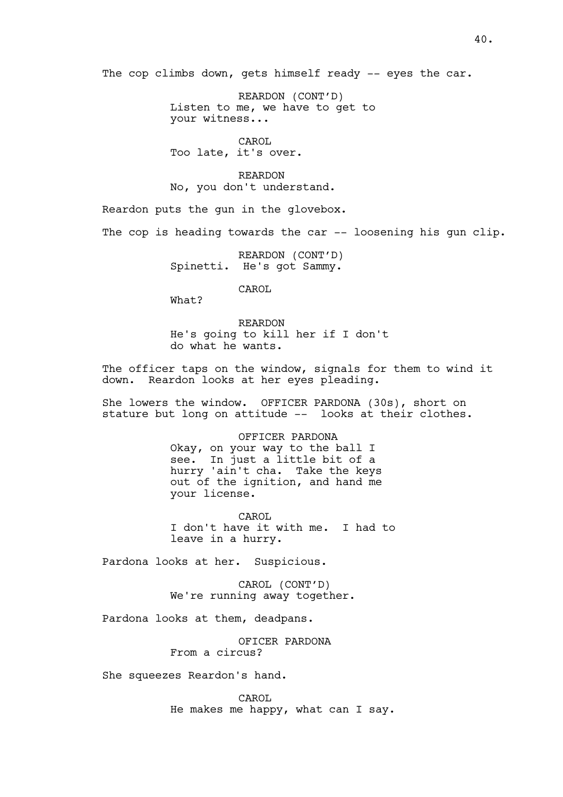The cop climbs down, gets himself ready -- eyes the car.

REARDON (CONT'D) Listen to me, we have to get to your witness...

CAROL Too late, it's over.

REARDON No, you don't understand.

Reardon puts the gun in the glovebox.

The cop is heading towards the car -- loosening his gun clip.

REARDON (CONT'D) Spinetti. He's got Sammy.

CAROL

What?

REARDON He's going to kill her if I don't do what he wants.

The officer taps on the window, signals for them to wind it down. Reardon looks at her eyes pleading.

She lowers the window. OFFICER PARDONA (30s), short on stature but long on attitude -- looks at their clothes.

> OFFICER PARDONA Okay, on your way to the ball I see. In just a little bit of a hurry 'ain't cha. Take the keys out of the ignition, and hand me your license.

CAROL I don't have it with me. I had to leave in a hurry.

Pardona looks at her. Suspicious.

CAROL (CONT'D) We're running away together.

Pardona looks at them, deadpans.

OFICER PARDONA From a circus?

She squeezes Reardon's hand.

CAROL He makes me happy, what can I say.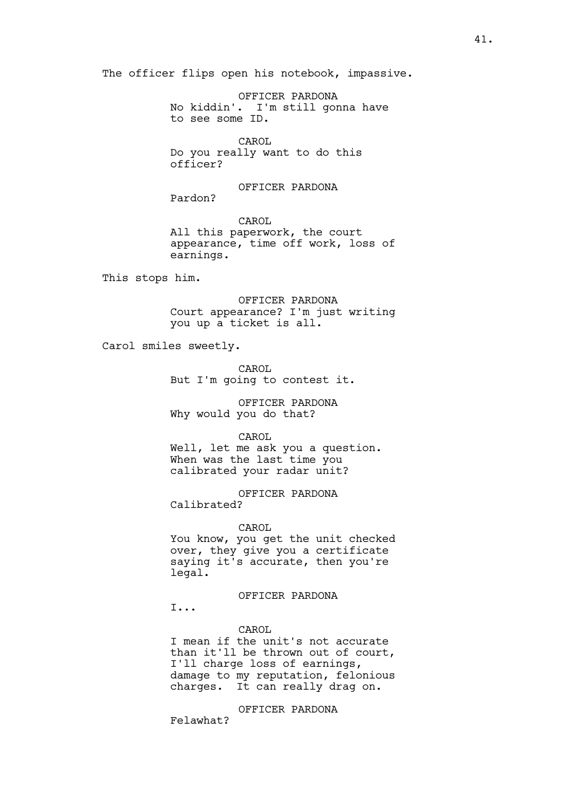The officer flips open his notebook, impassive.

OFFICER PARDONA No kiddin'. I'm still gonna have to see some ID.

CAROL Do you really want to do this officer?

OFFICER PARDONA Pardon?

CAROL All this paperwork, the court appearance, time off work, loss of earnings.

This stops him.

OFFICER PARDONA Court appearance? I'm just writing you up a ticket is all.

Carol smiles sweetly.

CAROL But I'm going to contest it.

OFFICER PARDONA Why would you do that?

CAROL

Well, let me ask you a question. When was the last time you calibrated your radar unit?

OFFICER PARDONA Calibrated?

CAROL

You know, you get the unit checked over, they give you a certificate saying it's accurate, then you're legal.

OFFICER PARDONA

I...

CAROL

I mean if the unit's not accurate than it'll be thrown out of court, I'll charge loss of earnings, damage to my reputation, felonious charges. It can really drag on.

OFFICER PARDONA

Felawhat?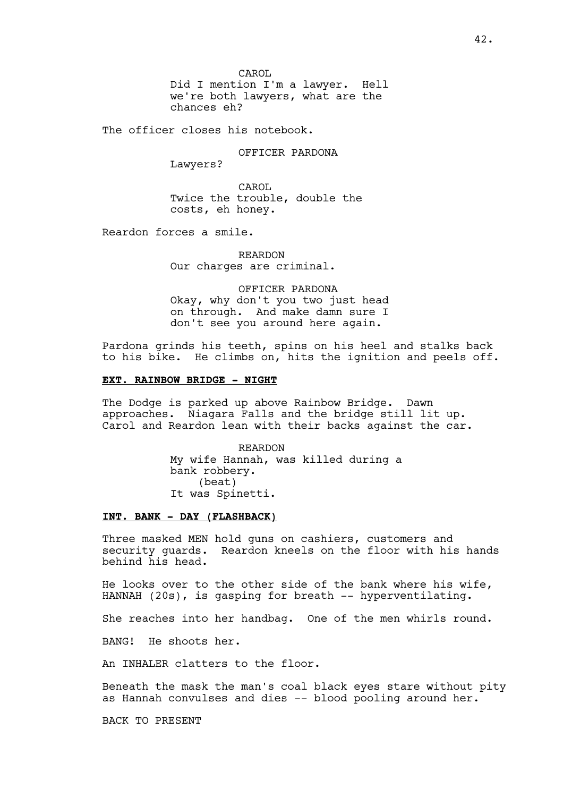CAROL Did I mention I'm a lawyer. Hell we're both lawyers, what are the chances eh?

The officer closes his notebook.

OFFICER PARDONA

Lawyers?

CAROL Twice the trouble, double the costs, eh honey.

Reardon forces a smile.

REARDON Our charges are criminal.

OFFICER PARDONA Okay, why don't you two just head on through. And make damn sure I don't see you around here again.

Pardona grinds his teeth, spins on his heel and stalks back to his bike. He climbs on, hits the ignition and peels off.

## **EXT. RAINBOW BRIDGE - NIGHT**

The Dodge is parked up above Rainbow Bridge. Dawn approaches. Niagara Falls and the bridge still lit up. Carol and Reardon lean with their backs against the car.

> REARDON My wife Hannah, was killed during a bank robbery. (beat) It was Spinetti.

## **INT. BANK - DAY (FLASHBACK)**

Three masked MEN hold guns on cashiers, customers and security guards. Reardon kneels on the floor with his hands behind his head.

He looks over to the other side of the bank where his wife, HANNAH (20s), is gasping for breath -- hyperventilating.

She reaches into her handbag. One of the men whirls round.

BANG! He shoots her.

An INHALER clatters to the floor.

Beneath the mask the man's coal black eyes stare without pity as Hannah convulses and dies -- blood pooling around her.

BACK TO PRESENT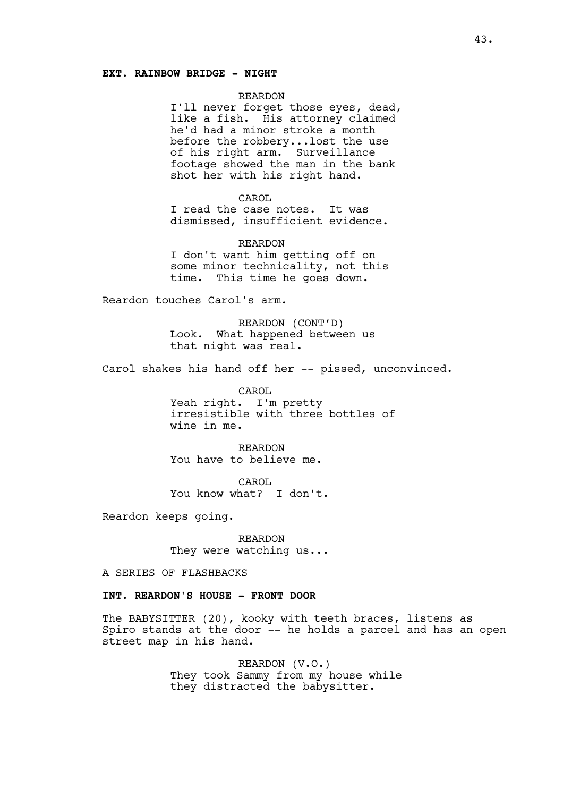### **EXT. RAINBOW BRIDGE - NIGHT**

#### REARDON

I'll never forget those eyes, dead, like a fish. His attorney claimed he'd had a minor stroke a month before the robbery...lost the use of his right arm. Surveillance footage showed the man in the bank shot her with his right hand.

#### CAROL

I read the case notes. It was dismissed, insufficient evidence.

REARDON I don't want him getting off on some minor technicality, not this time. This time he goes down.

Reardon touches Carol's arm.

REARDON (CONT'D) Look. What happened between us that night was real.

Carol shakes his hand off her -- pissed, unconvinced.

CAROL Yeah right. I'm pretty irresistible with three bottles of wine in me.

REARDON You have to believe me.

CAROL You know what? I don't.

Reardon keeps going.

REARDON They were watching us...

A SERIES OF FLASHBACKS

# **INT. REARDON'S HOUSE - FRONT DOOR**

The BABYSITTER (20), kooky with teeth braces, listens as Spiro stands at the door -- he holds a parcel and has an open street map in his hand.

> REARDON (V.O.) They took Sammy from my house while they distracted the babysitter.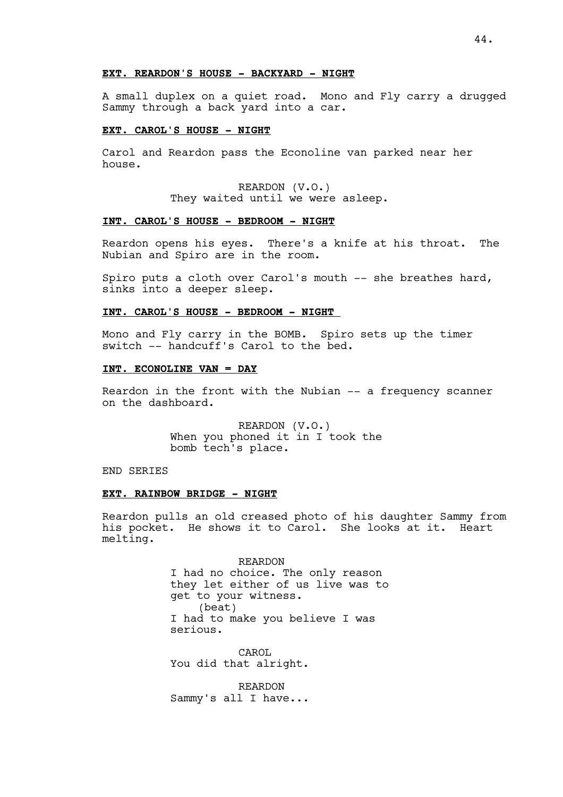## **EXT. REARDON'S HOUSE - BACKYARD - NIGHT**

A small duplex on a quiet road. Mono and Fly carry a drugged Sammy through a back yard into a car.

#### **EXT. CAROL'S HOUSE - NIGHT**

Carol and Reardon pass the Econoline van parked near her house.

> REARDON (V.O.) They waited until we were asleep.

## **INT. CAROL'S HOUSE - BEDROOM - NIGHT**

Reardon opens his eyes. There's a knife at his throat. The Nubian and Spiro are in the room.

Spiro puts a cloth over Carol's mouth -- she breathes hard, sinks into a deeper sleep.

#### **INT. CAROL'S HOUSE - BEDROOM - NIGHT**

Mono and Fly carry in the BOMB. Spiro sets up the timer switch -- handcuff's Carol to the bed.

#### **INT. ECONOLINE VAN = DAY**

Reardon in the front with the Nubian -- a frequency scanner on the dashboard.

> REARDON (V.O.) When you phoned it in I took the bomb tech's place.

END SERIES

## **EXT. RAINBOW BRIDGE - NIGHT**

Reardon pulls an old creased photo of his daughter Sammy from his pocket. He shows it to Carol. She looks at it. Heart melting.

> REARDON I had no choice. The only reason they let either of us live was to get to your witness. (beat) I had to make you believe I was serious.

CAROL You did that alright.

REARDON Sammy's all I have...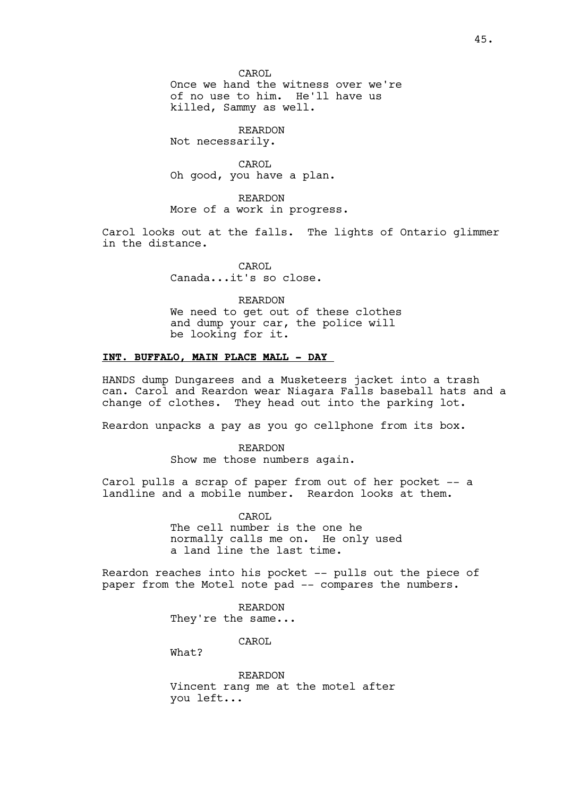CAROL Once we hand the witness over we're of no use to him. He'll have us killed, Sammy as well.

REARDON Not necessarily.

CAROL Oh good, you have a plan.

REARDON More of a work in progress.

Carol looks out at the falls. The lights of Ontario glimmer in the distance.

> CAROL Canada...it's so close.

REARDON We need to get out of these clothes and dump your car, the police will be looking for it.

## **INT. BUFFALO, MAIN PLACE MALL - DAY**

HANDS dump Dungarees and a Musketeers jacket into a trash can. Carol and Reardon wear Niagara Falls baseball hats and a change of clothes. They head out into the parking lot.

Reardon unpacks a pay as you go cellphone from its box.

REARDON Show me those numbers again.

Carol pulls a scrap of paper from out of her pocket -- a landline and a mobile number. Reardon looks at them.

> CAROL The cell number is the one he normally calls me on. He only used a land line the last time.

Reardon reaches into his pocket -- pulls out the piece of paper from the Motel note pad -- compares the numbers.

> REARDON They're the same...

> > CAROL

What?

REARDON Vincent rang me at the motel after you left...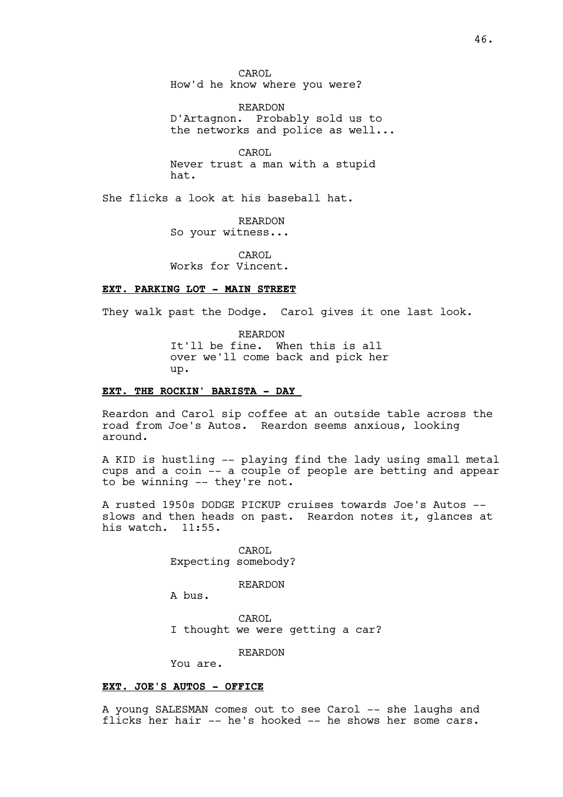CAROL How'd he know where you were?

REARDON D'Artagnon. Probably sold us to the networks and police as well...

CAROL Never trust a man with a stupid hat.

She flicks a look at his baseball hat.

REARDON So your witness...

CAROL Works for Vincent.

### **EXT. PARKING LOT - MAIN STREET**

They walk past the Dodge. Carol gives it one last look.

REARDON It'll be fine. When this is all over we'll come back and pick her up.

## **EXT. THE ROCKIN' BARISTA - DAY**

Reardon and Carol sip coffee at an outside table across the road from Joe's Autos. Reardon seems anxious, looking around.

A KID is hustling -- playing find the lady using small metal cups and a coin -- a couple of people are betting and appear to be winning -- they're not.

A rusted 1950s DODGE PICKUP cruises towards Joe's Autos - slows and then heads on past. Reardon notes it, glances at his watch. 11:55.

> CAROL Expecting somebody?

> > REARDON

A bus.

CAROL I thought we were getting a car?

REARDON

You are.

## **EXT. JOE'S AUTOS - OFFICE**

A young SALESMAN comes out to see Carol -- she laughs and flicks her hair -- he's hooked -- he shows her some cars.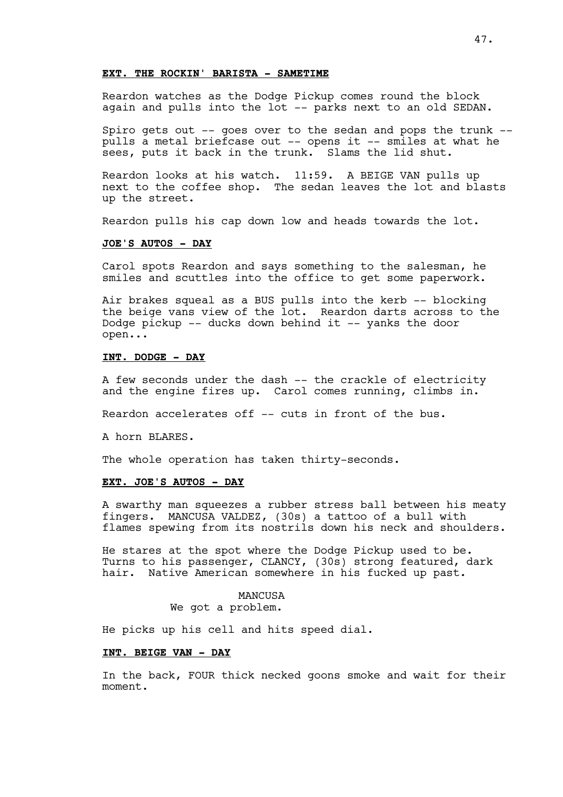## **EXT. THE ROCKIN' BARISTA - SAMETIME**

Reardon watches as the Dodge Pickup comes round the block again and pulls into the lot -- parks next to an old SEDAN.

Spiro gets out -- goes over to the sedan and pops the trunk - pulls a metal briefcase out -- opens it -- smiles at what he sees, puts it back in the trunk. Slams the lid shut.

Reardon looks at his watch. 11:59. A BEIGE VAN pulls up next to the coffee shop. The sedan leaves the lot and blasts up the street.

Reardon pulls his cap down low and heads towards the lot.

## **JOE'S AUTOS - DAY**

Carol spots Reardon and says something to the salesman, he smiles and scuttles into the office to get some paperwork.

Air brakes squeal as a BUS pulls into the kerb -- blocking the beige vans view of the lot. Reardon darts across to the Dodge pickup -- ducks down behind it -- yanks the door open...

## **INT. DODGE - DAY**

A few seconds under the dash -- the crackle of electricity and the engine fires up. Carol comes running, climbs in.

Reardon accelerates off -- cuts in front of the bus.

A horn BLARES.

The whole operation has taken thirty-seconds.

## **EXT. JOE'S AUTOS - DAY**

A swarthy man squeezes a rubber stress ball between his meaty fingers. MANCUSA VALDEZ, (30s) a tattoo of a bull with flames spewing from its nostrils down his neck and shoulders.

He stares at the spot where the Dodge Pickup used to be. Turns to his passenger, CLANCY, (30s) strong featured, dark hair. Native American somewhere in his fucked up past.

> MANCUSA We got a problem.

He picks up his cell and hits speed dial.

### **INT. BEIGE VAN - DAY**

In the back, FOUR thick necked goons smoke and wait for their moment.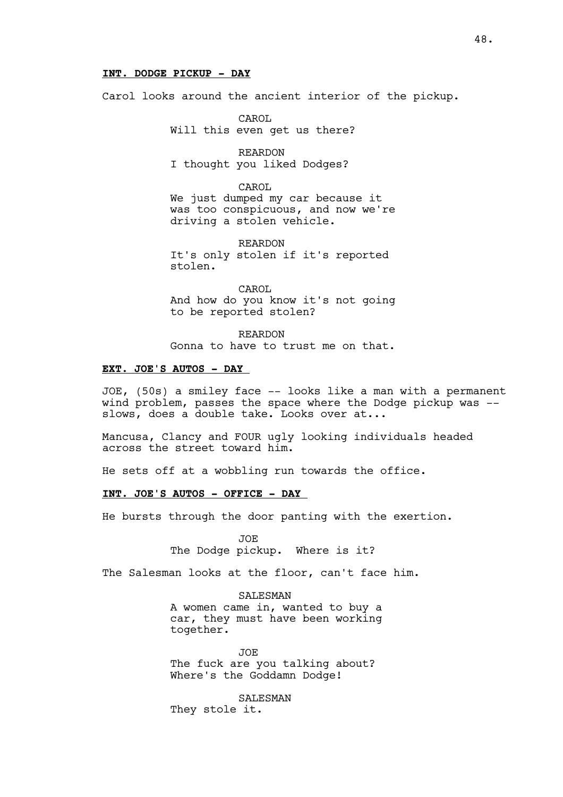## **INT. DODGE PICKUP - DAY**

Carol looks around the ancient interior of the pickup.

CAROL Will this even get us there?

REARDON I thought you liked Dodges?

CAROL We just dumped my car because it was too conspicuous, and now we're driving a stolen vehicle.

REARDON It's only stolen if it's reported stolen.

CAROL And how do you know it's not going to be reported stolen?

REARDON Gonna to have to trust me on that.

## **EXT. JOE'S AUTOS - DAY**

JOE, (50s) a smiley face -- looks like a man with a permanent wind problem, passes the space where the Dodge pickup was - slows, does a double take. Looks over at...

Mancusa, Clancy and FOUR ugly looking individuals headed across the street toward him.

He sets off at a wobbling run towards the office.

## **INT. JOE'S AUTOS - OFFICE - DAY**

He bursts through the door panting with the exertion.

JOE The Dodge pickup. Where is it?

The Salesman looks at the floor, can't face him.

**SALESMAN** A women came in, wanted to buy a car, they must have been working together.

JOE The fuck are you talking about? Where's the Goddamn Dodge!

SALESMAN They stole it.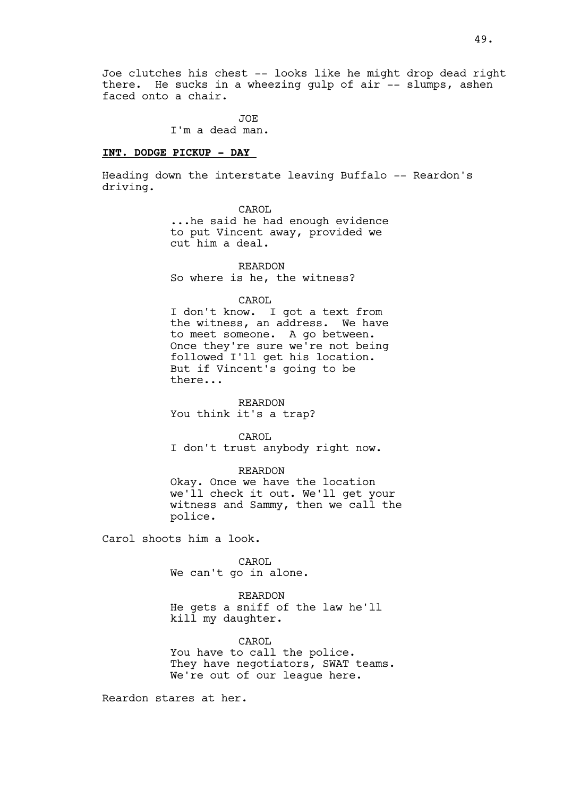Joe clutches his chest -- looks like he might drop dead right there. He sucks in a wheezing gulp of air -- slumps, ashen faced onto a chair.

> JOE I'm a dead man.

## **INT. DODGE PICKUP - DAY**

Heading down the interstate leaving Buffalo -- Reardon's driving.

> CAROL ...he said he had enough evidence to put Vincent away, provided we cut him a deal.

REARDON So where is he, the witness?

CAROL

I don't know. I got a text from the witness, an address. We have to meet someone. A go between. Once they're sure we're not being followed I'll get his location. But if Vincent's going to be there...

REARDON You think it's a trap?

CAROL

I don't trust anybody right now.

REARDON Okay. Once we have the location we'll check it out. We'll get your witness and Sammy, then we call the police.

Carol shoots him a look.

CAROL We can't go in alone.

REARDON He gets a sniff of the law he'll kill my daughter.

CAROL. You have to call the police. They have negotiators, SWAT teams. We're out of our league here.

Reardon stares at her.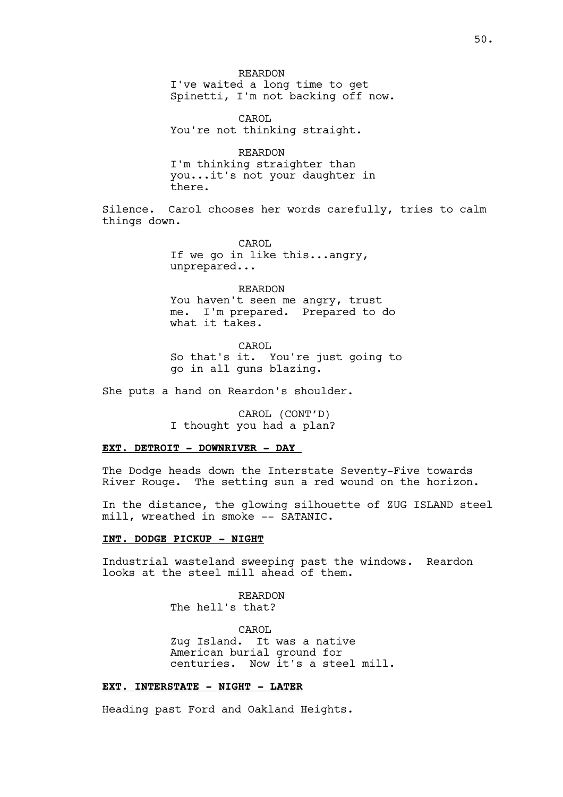REARDON I've waited a long time to get Spinetti, I'm not backing off now.

CAROL You're not thinking straight.

REARDON I'm thinking straighter than you...it's not your daughter in there.

Silence. Carol chooses her words carefully, tries to calm things down.

> CAROL If we go in like this...angry, unprepared...

REARDON You haven't seen me angry, trust me. I'm prepared. Prepared to do what it takes.

CAROL So that's it. You're just going to go in all guns blazing.

She puts a hand on Reardon's shoulder.

CAROL (CONT'D) I thought you had a plan?

### **EXT. DETROIT - DOWNRIVER - DAY**

The Dodge heads down the Interstate Seventy-Five towards River Rouge. The setting sun a red wound on the horizon.

In the distance, the glowing silhouette of ZUG ISLAND steel mill, wreathed in smoke -- SATANIC.

#### **INT. DODGE PICKUP - NIGHT**

Industrial wasteland sweeping past the windows. Reardon looks at the steel mill ahead of them.

> REARDON The hell's that?

CAROL Zug Island. It was a native American burial ground for centuries. Now it's a steel mill.

## **EXT. INTERSTATE - NIGHT - LATER**

Heading past Ford and Oakland Heights.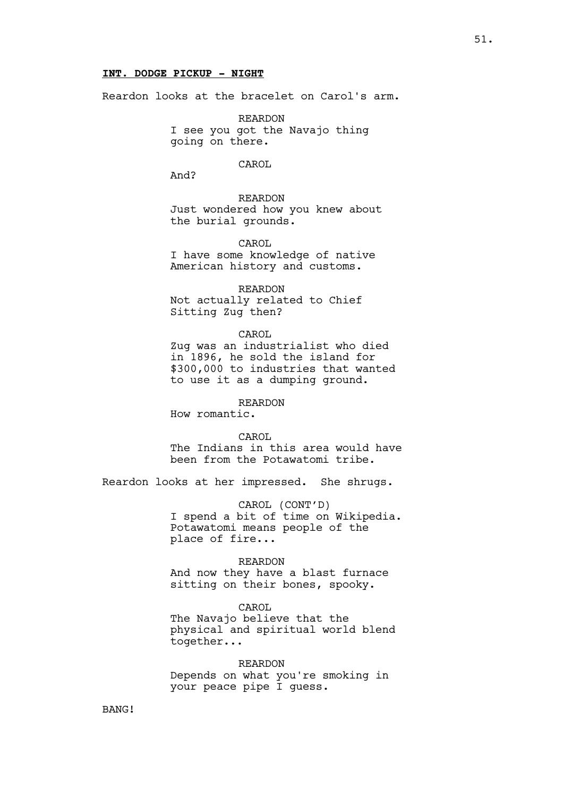### **INT. DODGE PICKUP - NIGHT**

Reardon looks at the bracelet on Carol's arm.

REARDON I see you got the Navajo thing going on there.

CAROL

And?

REARDON Just wondered how you knew about the burial grounds.

CAROL I have some knowledge of native

American history and customs.

REARDON Not actually related to Chief Sitting Zug then?

CAROL Zug was an industrialist who died in 1896, he sold the island for \$300,000 to industries that wanted to use it as a dumping ground.

REARDON

How romantic.

CAROL

The Indians in this area would have been from the Potawatomi tribe.

Reardon looks at her impressed. She shrugs.

CAROL (CONT'D) I spend a bit of time on Wikipedia. Potawatomi means people of the place of fire...

REARDON And now they have a blast furnace sitting on their bones, spooky.

CAROL

The Navajo believe that the physical and spiritual world blend together...

REARDON Depends on what you're smoking in your peace pipe I guess.

BANG!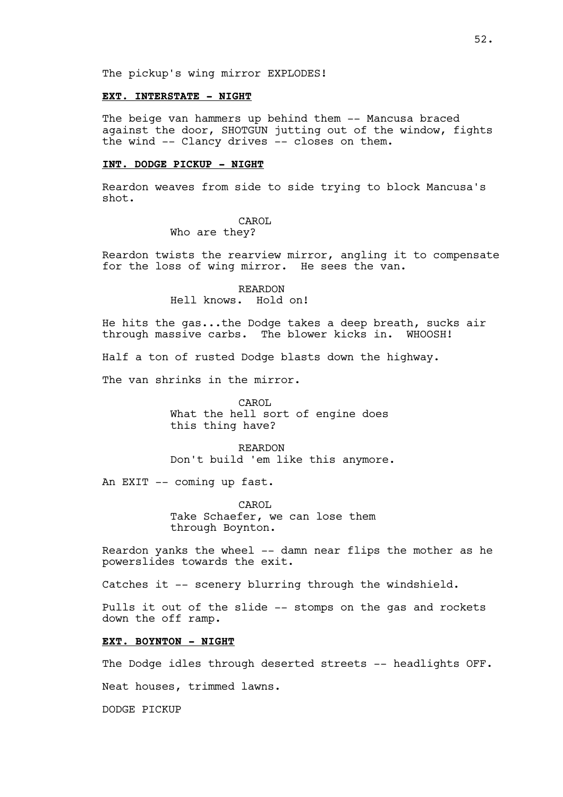#### **EXT. INTERSTATE - NIGHT**

The beige van hammers up behind them -- Mancusa braced against the door, SHOTGUN jutting out of the window, fights the wind -- Clancy drives -- closes on them.

#### **INT. DODGE PICKUP - NIGHT**

Reardon weaves from side to side trying to block Mancusa's shot.

#### CAROL Who are they?

Reardon twists the rearview mirror, angling it to compensate for the loss of wing mirror. He sees the van.

> REARDON Hell knows. Hold on!

He hits the gas...the Dodge takes a deep breath, sucks air through massive carbs. The blower kicks in. WHOOSH!

Half a ton of rusted Dodge blasts down the highway.

The van shrinks in the mirror.

CAROL. What the hell sort of engine does this thing have?

REARDON Don't build 'em like this anymore.

An EXIT -- coming up fast.

CAROL Take Schaefer, we can lose them through Boynton.

Reardon yanks the wheel -- damn near flips the mother as he powerslides towards the exit.

Catches it -- scenery blurring through the windshield.

Pulls it out of the slide -- stomps on the gas and rockets down the off ramp.

### **EXT. BOYNTON - NIGHT**

The Dodge idles through deserted streets -- headlights OFF.

Neat houses, trimmed lawns.

DODGE PICKUP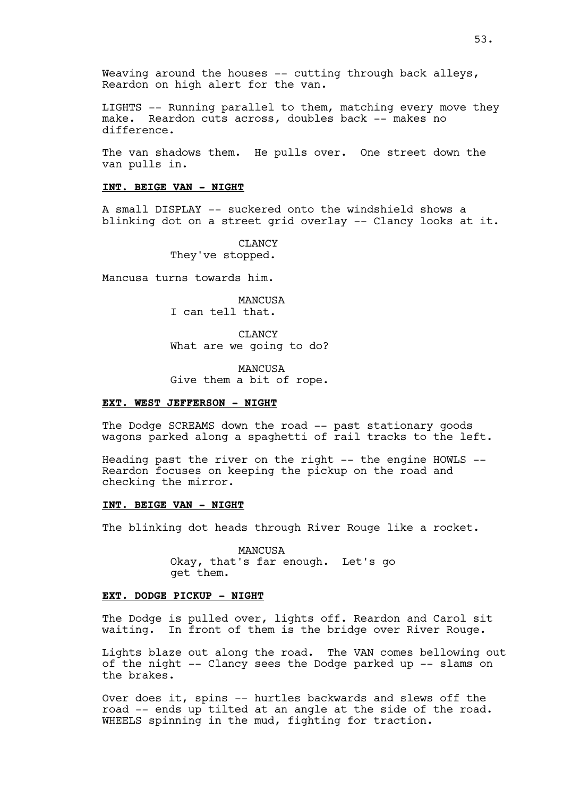LIGHTS -- Running parallel to them, matching every move they make. Reardon cuts across, doubles back -- makes no difference.

The van shadows them. He pulls over. One street down the van pulls in.

#### **INT. BEIGE VAN - NIGHT**

A small DISPLAY -- suckered onto the windshield shows a blinking dot on a street grid overlay -- Clancy looks at it.

> CLANCY They've stopped.

Mancusa turns towards him.

MANCUSA I can tell that.

CLANCY What are we going to do?

MANCUSA Give them a bit of rope.

#### **EXT. WEST JEFFERSON - NIGHT**

The Dodge SCREAMS down the road -- past stationary goods wagons parked along a spaghetti of rail tracks to the left.

Heading past the river on the right -- the engine HOWLS -- Reardon focuses on keeping the pickup on the road and checking the mirror.

### **INT. BEIGE VAN - NIGHT**

The blinking dot heads through River Rouge like a rocket.

MANCUSA Okay, that's far enough. Let's go get them.

## **EXT. DODGE PICKUP - NIGHT**

The Dodge is pulled over, lights off. Reardon and Carol sit waiting. In front of them is the bridge over River Rouge.

Lights blaze out along the road. The VAN comes bellowing out of the night -- Clancy sees the Dodge parked up -- slams on the brakes.

Over does it, spins -- hurtles backwards and slews off the road -- ends up tilted at an angle at the side of the road. WHEELS spinning in the mud, fighting for traction.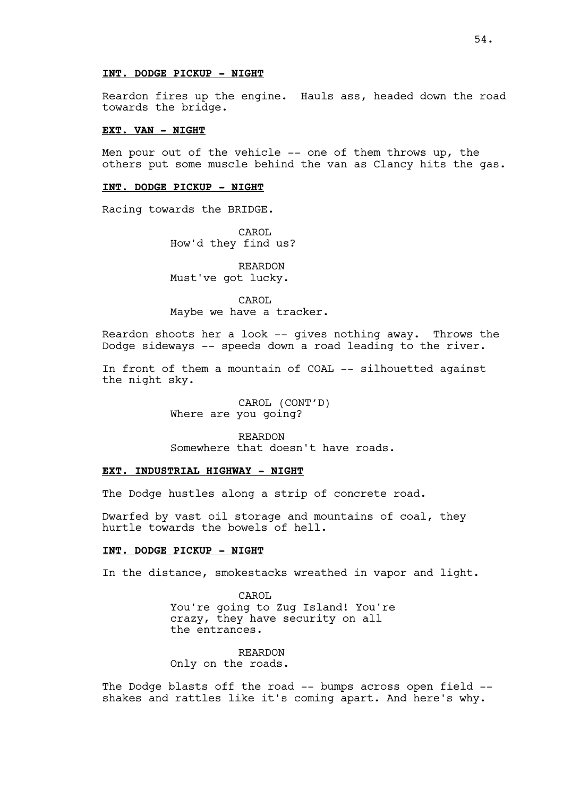#### **INT. DODGE PICKUP - NIGHT**

Reardon fires up the engine. Hauls ass, headed down the road towards the bridge.

#### **EXT. VAN - NIGHT**

Men pour out of the vehicle -- one of them throws up, the others put some muscle behind the van as Clancy hits the gas.

#### **INT. DODGE PICKUP - NIGHT**

Racing towards the BRIDGE.

CAROL How'd they find us?

REARDON Must've got lucky.

CAROL Maybe we have a tracker.

Reardon shoots her a look -- gives nothing away. Throws the Dodge sideways -- speeds down a road leading to the river.

In front of them a mountain of COAL -- silhouetted against the night sky.

> CAROL (CONT'D) Where are you going?

REARDON Somewhere that doesn't have roads.

# **EXT. INDUSTRIAL HIGHWAY - NIGHT**

The Dodge hustles along a strip of concrete road.

Dwarfed by vast oil storage and mountains of coal, they hurtle towards the bowels of hell.

#### **INT. DODGE PICKUP - NIGHT**

In the distance, smokestacks wreathed in vapor and light.

CAROL You're going to Zug Island! You're crazy, they have security on all the entrances.

REARDON Only on the roads.

The Dodge blasts off the road -- bumps across open field - shakes and rattles like it's coming apart. And here's why.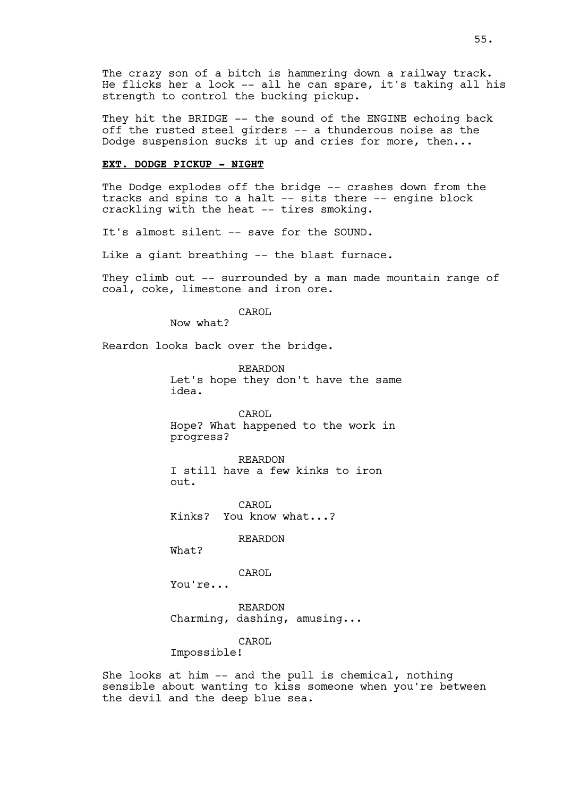The crazy son of a bitch is hammering down a railway track. He flicks her a look -- all he can spare, it's taking all his strength to control the bucking pickup.

They hit the BRIDGE -- the sound of the ENGINE echoing back off the rusted steel girders -- a thunderous noise as the Dodge suspension sucks it up and cries for more, then...

#### **EXT. DODGE PICKUP - NIGHT**

The Dodge explodes off the bridge -- crashes down from the tracks and spins to a halt -- sits there -- engine block crackling with the heat -- tires smoking.

It's almost silent -- save for the SOUND.

Like a giant breathing -- the blast furnace.

They climb out -- surrounded by a man made mountain range of coal, coke, limestone and iron ore.

CAROL

Now what?

Reardon looks back over the bridge.

REARDON Let's hope they don't have the same idea.

CAROL Hope? What happened to the work in progress?

REARDON I still have a few kinks to iron out.

CAROL Kinks? You know what...?

REARDON

What?

CAROL

You're...

REARDON Charming, dashing, amusing...

CAROL.

Impossible!

She looks at him -- and the pull is chemical, nothing sensible about wanting to kiss someone when you're between the devil and the deep blue sea.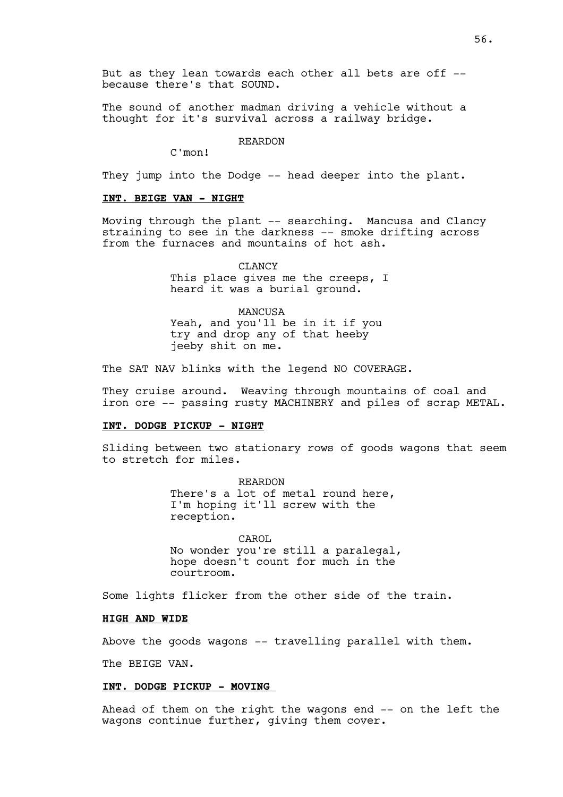But as they lean towards each other all bets are off -because there's that SOUND.

The sound of another madman driving a vehicle without a thought for it's survival across a railway bridge.

#### REARDON

C'mon!

They jump into the Dodge -- head deeper into the plant.

#### **INT. BEIGE VAN - NIGHT**

Moving through the plant -- searching. Mancusa and Clancy straining to see in the darkness -- smoke drifting across from the furnaces and mountains of hot ash.

> CLANCY This place gives me the creeps, I heard it was a burial ground.

MANCUSA Yeah, and you'll be in it if you try and drop any of that heeby jeeby shit on me.

The SAT NAV blinks with the legend NO COVERAGE.

They cruise around. Weaving through mountains of coal and iron ore -- passing rusty MACHINERY and piles of scrap METAL.

#### **INT. DODGE PICKUP - NIGHT**

Sliding between two stationary rows of goods wagons that seem to stretch for miles.

> REARDON There's a lot of metal round here, I'm hoping it'll screw with the reception.

CAROL No wonder you're still a paralegal, hope doesn't count for much in the courtroom.

Some lights flicker from the other side of the train.

#### **HIGH AND WIDE**

Above the goods wagons -- travelling parallel with them.

The BEIGE VAN.

### **INT. DODGE PICKUP - MOVING**

Ahead of them on the right the wagons end -- on the left the wagons continue further, giving them cover.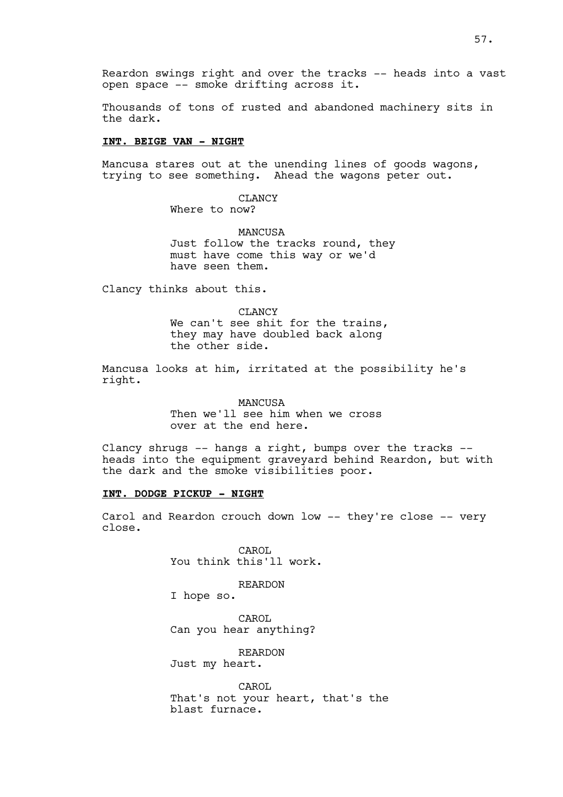Thousands of tons of rusted and abandoned machinery sits in the dark.

### **INT. BEIGE VAN - NIGHT**

Mancusa stares out at the unending lines of goods wagons, trying to see something. Ahead the wagons peter out.

> CLANCY Where to now?

MANCUSA Just follow the tracks round, they must have come this way or we'd have seen them.

Clancy thinks about this.

CLANCY We can't see shit for the trains, they may have doubled back along the other side.

Mancusa looks at him, irritated at the possibility he's right.

> **MANCUSA** Then we'll see him when we cross over at the end here.

Clancy shrugs  $-$ - hangs a right, bumps over the tracks  $-$ heads into the equipment graveyard behind Reardon, but with the dark and the smoke visibilities poor.

#### **INT. DODGE PICKUP - NIGHT**

Carol and Reardon crouch down low -- they're close -- very close.

> CAROL You think this'll work.

> > REARDON

I hope so.

CAROL Can you hear anything?

REARDON Just my heart.

CAROL That's not your heart, that's the blast furnace.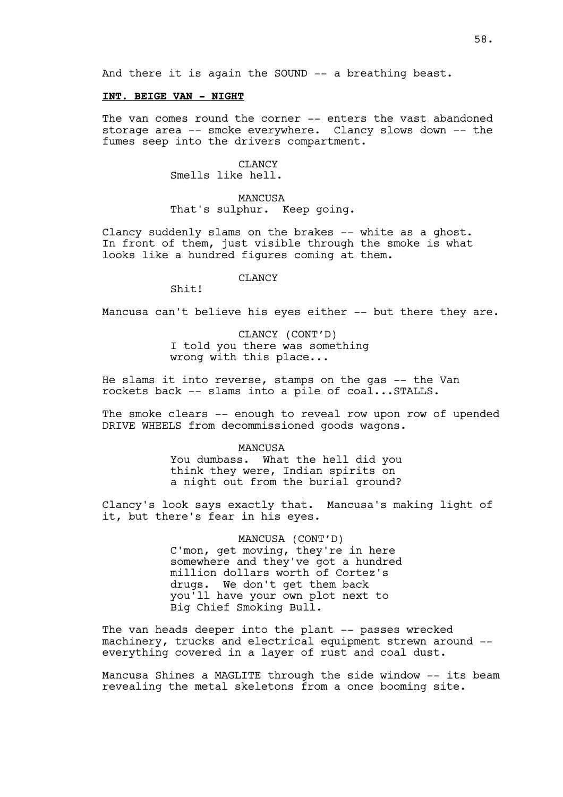And there it is again the SOUND -- a breathing beast.

### **INT. BEIGE VAN - NIGHT**

The van comes round the corner -- enters the vast abandoned storage area -- smoke everywhere. Clancy slows down -- the fumes seep into the drivers compartment.

> CLANCY Smells like hell.

MANCUSA That's sulphur. Keep going.

Clancy suddenly slams on the brakes -- white as a ghost. In front of them, just visible through the smoke is what looks like a hundred figures coming at them.

### CLANCY

Shit!

Mancusa can't believe his eyes either -- but there they are.

CLANCY (CONT'D) I told you there was something wrong with this place...

He slams it into reverse, stamps on the gas -- the Van rockets back -- slams into a pile of coal...STALLS.

The smoke clears -- enough to reveal row upon row of upended DRIVE WHEELS from decommissioned goods wagons.

MANCUSA

You dumbass. What the hell did you think they were, Indian spirits on a night out from the burial ground?

Clancy's look says exactly that. Mancusa's making light of it, but there's fear in his eyes.

> MANCUSA (CONT'D) C'mon, get moving, they're in here somewhere and they've got a hundred million dollars worth of Cortez's drugs. We don't get them back you'll have your own plot next to Big Chief Smoking Bull.

The van heads deeper into the plant -- passes wrecked machinery, trucks and electrical equipment strewn around - everything covered in a layer of rust and coal dust.

Mancusa Shines a MAGLITE through the side window -- its beam revealing the metal skeletons from a once booming site.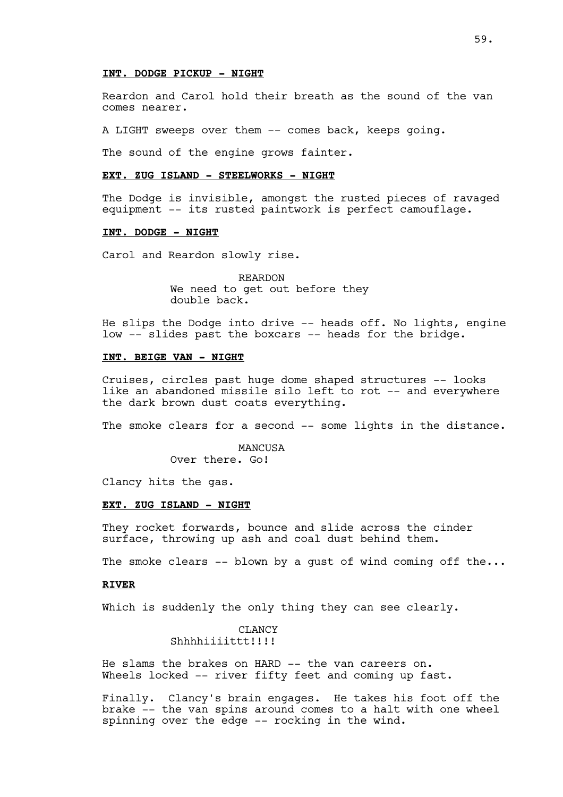#### **INT. DODGE PICKUP - NIGHT**

Reardon and Carol hold their breath as the sound of the van comes nearer.

A LIGHT sweeps over them -- comes back, keeps going.

The sound of the engine grows fainter.

## **EXT. ZUG ISLAND - STEELWORKS - NIGHT**

The Dodge is invisible, amongst the rusted pieces of ravaged equipment -- its rusted paintwork is perfect camouflage.

## **INT. DODGE - NIGHT**

Carol and Reardon slowly rise.

REARDON We need to get out before they double back.

He slips the Dodge into drive -- heads off. No lights, engine low -- slides past the boxcars -- heads for the bridge.

## **INT. BEIGE VAN - NIGHT**

Cruises, circles past huge dome shaped structures -- looks like an abandoned missile silo left to rot -- and everywhere the dark brown dust coats everything.

The smoke clears for a second -- some lights in the distance.

MANCUSA Over there. Go!

Clancy hits the gas.

### **EXT. ZUG ISLAND - NIGHT**

They rocket forwards, bounce and slide across the cinder surface, throwing up ash and coal dust behind them.

The smoke clears  $-$  blown by a qust of wind coming off the...

#### **RIVER**

Which is suddenly the only thing they can see clearly.

## **CLANCY** Shhhhiiiittt!!!!!

He slams the brakes on HARD -- the van careers on. Wheels locked -- river fifty feet and coming up fast.

Finally. Clancy's brain engages. He takes his foot off the brake -- the van spins around comes to a halt with one wheel spinning over the edge -- rocking in the wind.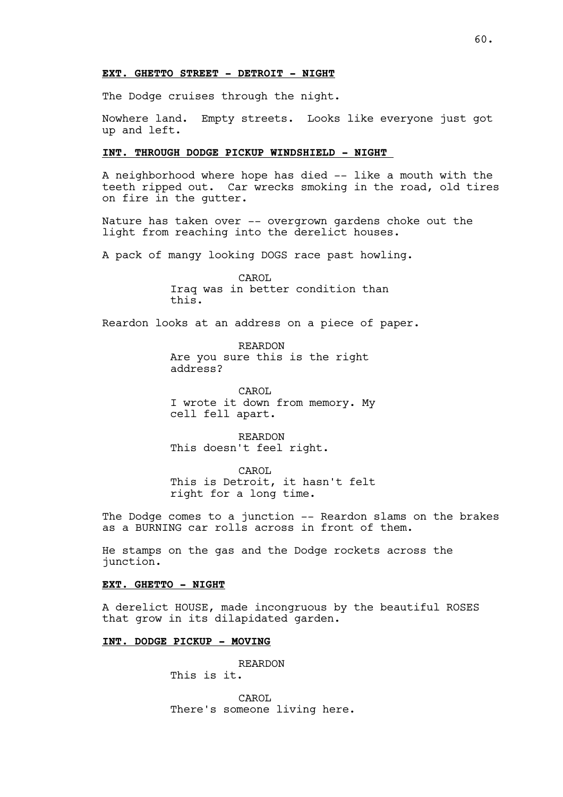## **EXT. GHETTO STREET - DETROIT - NIGHT**

The Dodge cruises through the night.

Nowhere land. Empty streets. Looks like everyone just got up and left.

## **INT. THROUGH DODGE PICKUP WINDSHIELD - NIGHT**

A neighborhood where hope has died -- like a mouth with the teeth ripped out. Car wrecks smoking in the road, old tires on fire in the gutter.

Nature has taken over -- overgrown gardens choke out the light from reaching into the derelict houses.

A pack of mangy looking DOGS race past howling.

CAROL Iraq was in better condition than this.

Reardon looks at an address on a piece of paper.

REARDON Are you sure this is the right address?

CAROL I wrote it down from memory. My cell fell apart.

REARDON This doesn't feel right.

CAROL This is Detroit, it hasn't felt right for a long time.

The Dodge comes to a junction -- Reardon slams on the brakes as a BURNING car rolls across in front of them.

He stamps on the gas and the Dodge rockets across the junction.

## **EXT. GHETTO - NIGHT**

A derelict HOUSE, made incongruous by the beautiful ROSES that grow in its dilapidated garden.

# **INT. DODGE PICKUP - MOVING**

REARDON

This is it.

CAROL There's someone living here.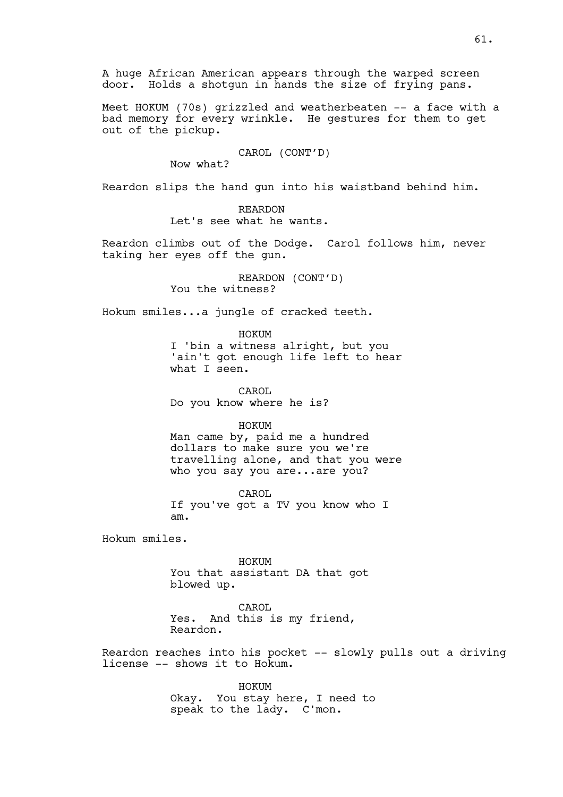A huge African American appears through the warped screen door. Holds a shotgun in hands the size of frying pans.

Meet HOKUM (70s) grizzled and weatherbeaten -- a face with a bad memory for every wrinkle. He gestures for them to get out of the pickup.

CAROL (CONT'D)

Now what?

Reardon slips the hand gun into his waistband behind him.

REARDON Let's see what he wants.

Reardon climbs out of the Dodge. Carol follows him, never taking her eyes off the gun.

> REARDON (CONT'D) You the witness?

Hokum smiles...a jungle of cracked teeth.

HOKUM

I 'bin a witness alright, but you 'ain't got enough life left to hear what I seen.

CAROL Do you know where he is?

HOKUM

Man came by, paid me a hundred dollars to make sure you we're travelling alone, and that you were who you say you are...are you?

CAROL If you've got a TV you know who I am.

Hokum smiles.

HOKUM You that assistant DA that got blowed up.

CAROL Yes. And this is my friend, Reardon.

Reardon reaches into his pocket -- slowly pulls out a driving license -- shows it to Hokum.

> HOKUM Okay. You stay here, I need to speak to the lady. C'mon.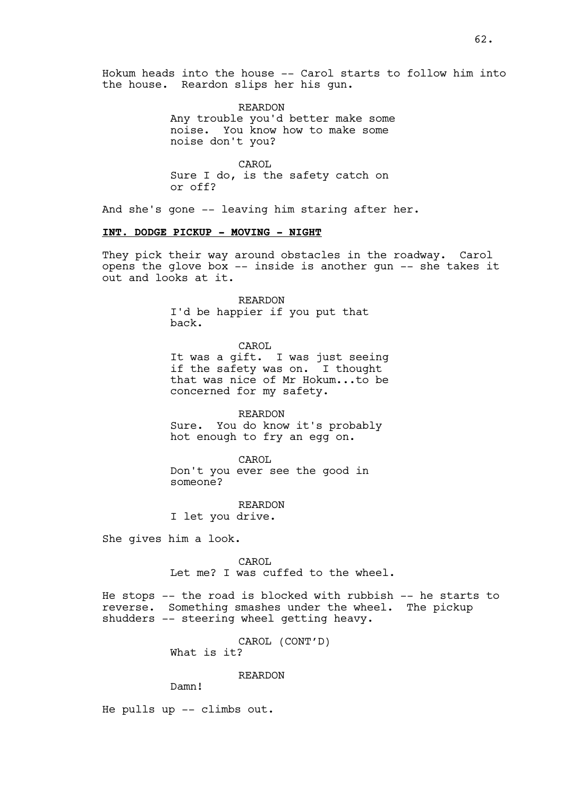Hokum heads into the house -- Carol starts to follow him into the house. Reardon slips her his gun.

> REARDON Any trouble you'd better make some noise. You know how to make some noise don't you?

CAROL Sure I do, is the safety catch on or off?

And she's gone -- leaving him staring after her.

## **INT. DODGE PICKUP - MOVING - NIGHT**

They pick their way around obstacles in the roadway. Carol opens the glove box -- inside is another gun -- she takes it out and looks at it.

> REARDON I'd be happier if you put that back.

> > CAROL

It was a gift. I was just seeing if the safety was on. I thought that was nice of Mr Hokum...to be concerned for my safety.

REARDON Sure. You do know it's probably hot enough to fry an egg on.

CAROL

Don't you ever see the good in someone?

REARDON I let you drive.

She gives him a look.

CAROL Let me? I was cuffed to the wheel.

He stops -- the road is blocked with rubbish -- he starts to reverse. Something smashes under the wheel. The pickup shudders -- steering wheel getting heavy.

> CAROL (CONT'D) What is it?

> > REARDON

Damn!

He pulls up -- climbs out.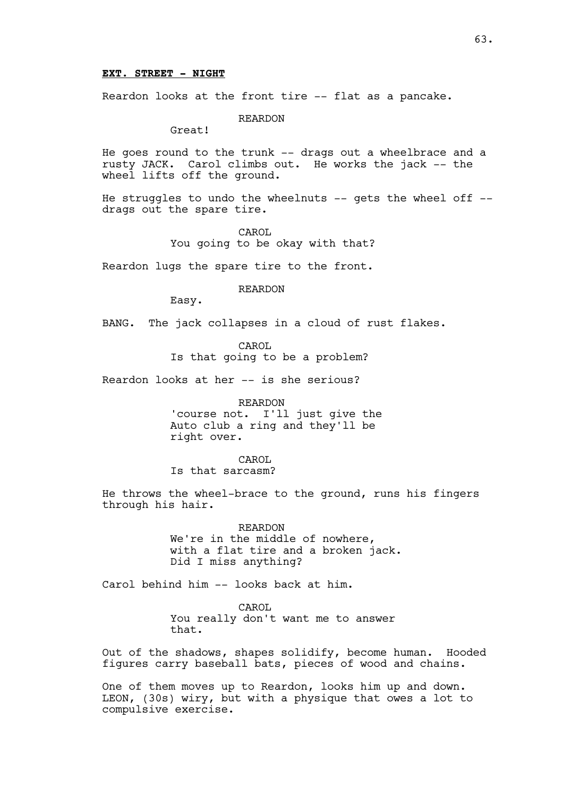#### **EXT. STREET - NIGHT**

Reardon looks at the front tire -- flat as a pancake.

REARDON

Great!

He goes round to the trunk -- drags out a wheelbrace and a rusty JACK. Carol climbs out. He works the jack -- the wheel lifts off the ground.

He struggles to undo the wheelnuts -- gets the wheel off -drags out the spare tire.

> CAROL You going to be okay with that?

Reardon lugs the spare tire to the front.

REARDON

Easy.

BANG. The jack collapses in a cloud of rust flakes.

CAROL

Is that going to be a problem?

Reardon looks at her -- is she serious?

REARDON 'course not. I'll just give the Auto club a ring and they'll be right over.

CAROL Is that sarcasm?

He throws the wheel-brace to the ground, runs his fingers through his hair.

> REARDON We're in the middle of nowhere, with a flat tire and a broken jack. Did I miss anything?

Carol behind him -- looks back at him.

CAROL You really don't want me to answer that.

Out of the shadows, shapes solidify, become human. Hooded figures carry baseball bats, pieces of wood and chains.

One of them moves up to Reardon, looks him up and down. LEON, (30s) wiry, but with a physique that owes a lot to compulsive exercise.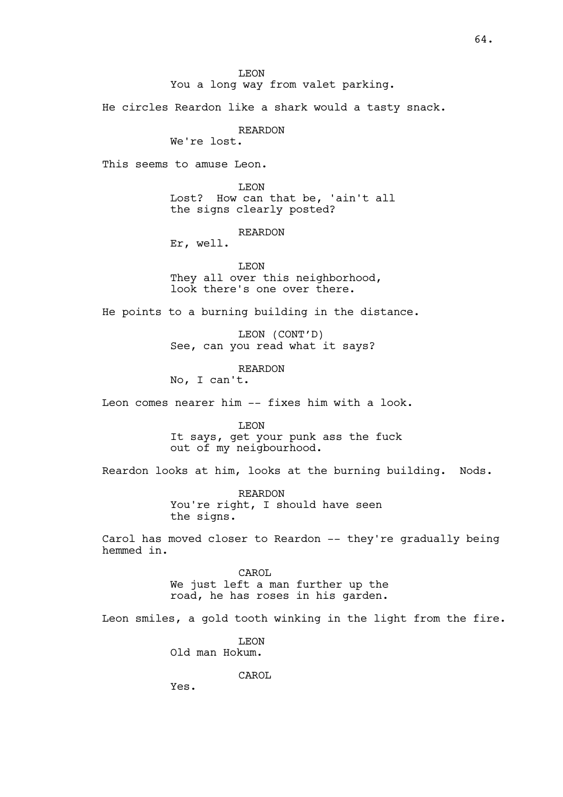He circles Reardon like a shark would a tasty snack.

REARDON

We're lost.

This seems to amuse Leon.

LEON Lost? How can that be, 'ain't all the signs clearly posted?

REARDON

Er, well.

LEON

They all over this neighborhood, look there's one over there.

He points to a burning building in the distance.

LEON (CONT'D) See, can you read what it says?

REARDON

No, I can't.

Leon comes nearer him -- fixes him with a look.

LEON It says, get your punk ass the fuck out of my neigbourhood.

Reardon looks at him, looks at the burning building. Nods.

REARDON You're right, I should have seen the signs.

Carol has moved closer to Reardon -- they're gradually being hemmed in.

> CAROL We just left a man further up the road, he has roses in his garden.

Leon smiles, a gold tooth winking in the light from the fire.

LEON Old man Hokum.

CAROL

Yes.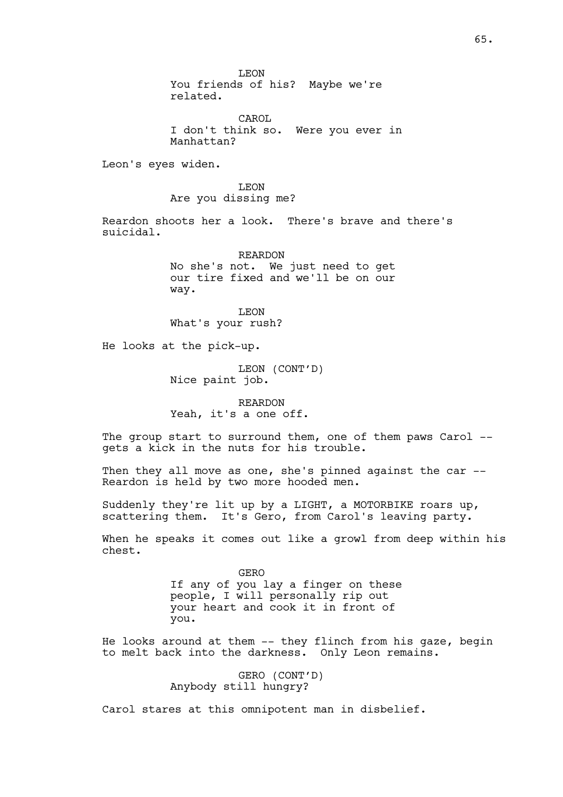LEON You friends of his? Maybe we're related.

CAROL I don't think so. Were you ever in Manhattan?

Leon's eyes widen.

LEON Are you dissing me?

Reardon shoots her a look. There's brave and there's suicidal.

> REARDON No she's not. We just need to get our tire fixed and we'll be on our way.

LEON What's your rush?

He looks at the pick-up.

LEON (CONT'D) Nice paint job.

REARDON Yeah, it's a one off.

The group start to surround them, one of them paws Carol -gets a kick in the nuts for his trouble.

Then they all move as one, she's pinned against the car --Reardon is held by two more hooded men.

Suddenly they're lit up by a LIGHT, a MOTORBIKE roars up, scattering them. It's Gero, from Carol's leaving party.

When he speaks it comes out like a growl from deep within his chest.

> GERO If any of you lay a finger on these people, I will personally rip out your heart and cook it in front of you.

He looks around at them -- they flinch from his gaze, begin to melt back into the darkness. Only Leon remains.

> GERO (CONT'D) Anybody still hungry?

Carol stares at this omnipotent man in disbelief.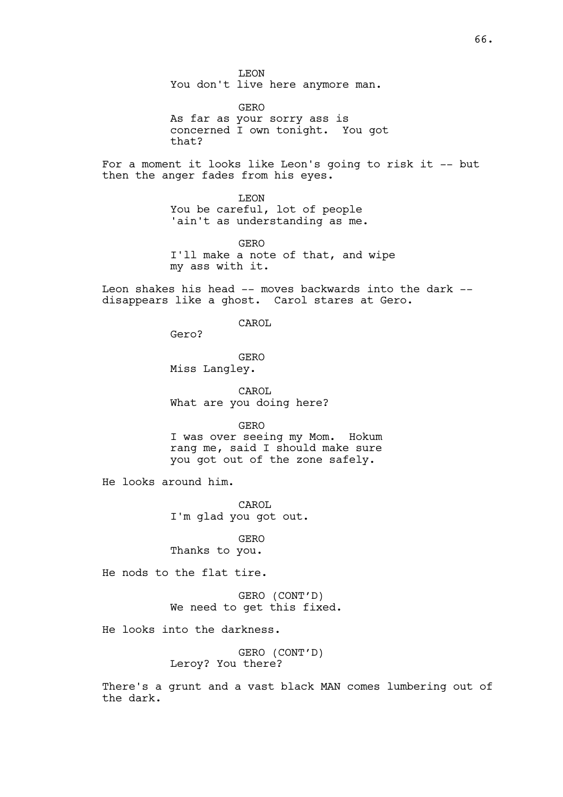LEON You don't live here anymore man.

GERO As far as your sorry ass is concerned I own tonight. You got that?

For a moment it looks like Leon's going to risk it -- but then the anger fades from his eyes.

> LEON You be careful, lot of people 'ain't as understanding as me.

GERO I'll make a note of that, and wipe my ass with it.

Leon shakes his head -- moves backwards into the dark - disappears like a ghost. Carol stares at Gero.

CAROL

Gero?

GERO Miss Langley.

CAROL What are you doing here?

GERO

I was over seeing my Mom. Hokum rang me, said I should make sure you got out of the zone safely.

He looks around him.

CAROL I'm glad you got out.

GERO Thanks to you.

He nods to the flat tire.

GERO (CONT'D) We need to get this fixed.

He looks into the darkness.

GERO (CONT'D) Leroy? You there?

There's a grunt and a vast black MAN comes lumbering out of the dark.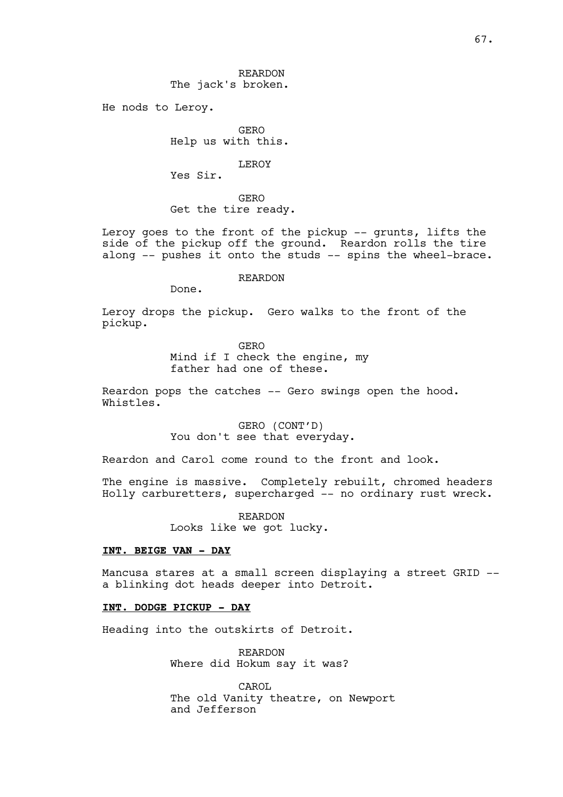REARDON The jack's broken.

He nods to Leroy.

GERO Help us with this.

LEROY

Yes Sir.

GERO Get the tire ready.

Leroy goes to the front of the pickup -- grunts, lifts the side of the pickup off the ground. Reardon rolls the tire along -- pushes it onto the studs -- spins the wheel-brace.

REARDON

Done.

Leroy drops the pickup. Gero walks to the front of the pickup.

GERO

Mind if I check the engine, my father had one of these.

Reardon pops the catches -- Gero swings open the hood. Whistles.

> GERO (CONT'D) You don't see that everyday.

Reardon and Carol come round to the front and look.

The engine is massive. Completely rebuilt, chromed headers Holly carburetters, supercharged -- no ordinary rust wreck.

> REARDON Looks like we got lucky.

## **INT. BEIGE VAN - DAY**

Mancusa stares at a small screen displaying a street GRID - a blinking dot heads deeper into Detroit.

## **INT. DODGE PICKUP - DAY**

Heading into the outskirts of Detroit.

REARDON Where did Hokum say it was?

CAROL The old Vanity theatre, on Newport and Jefferson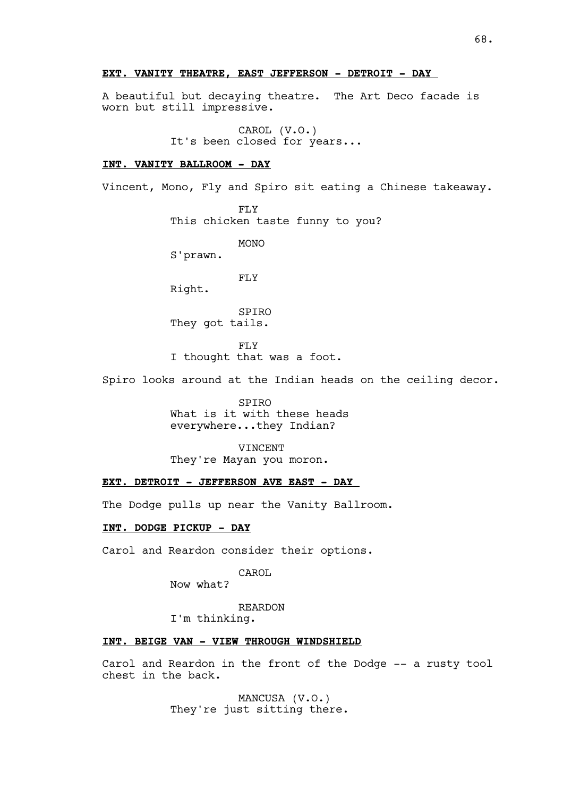## **EXT. VANITY THEATRE, EAST JEFFERSON - DETROIT - DAY**

A beautiful but decaying theatre. The Art Deco facade is worn but still impressive.

> CAROL (V.O.) It's been closed for years...

#### **INT. VANITY BALLROOM - DAY**

Vincent, Mono, Fly and Spiro sit eating a Chinese takeaway.

FLY This chicken taste funny to you?

MONO

S'prawn.

FLY

Right.

SPIRO They got tails.

FLY I thought that was a foot.

Spiro looks around at the Indian heads on the ceiling decor.

SPIRO What is it with these heads everywhere...they Indian?

VINCENT They're Mayan you moron.

# **EXT. DETROIT - JEFFERSON AVE EAST - DAY**

The Dodge pulls up near the Vanity Ballroom.

## **INT. DODGE PICKUP - DAY**

Carol and Reardon consider their options.

CAROL

Now what?

REARDON

I'm thinking.

## **INT. BEIGE VAN - VIEW THROUGH WINDSHIELD**

Carol and Reardon in the front of the Dodge -- a rusty tool chest in the back.

> MANCUSA (V.O.) They're just sitting there.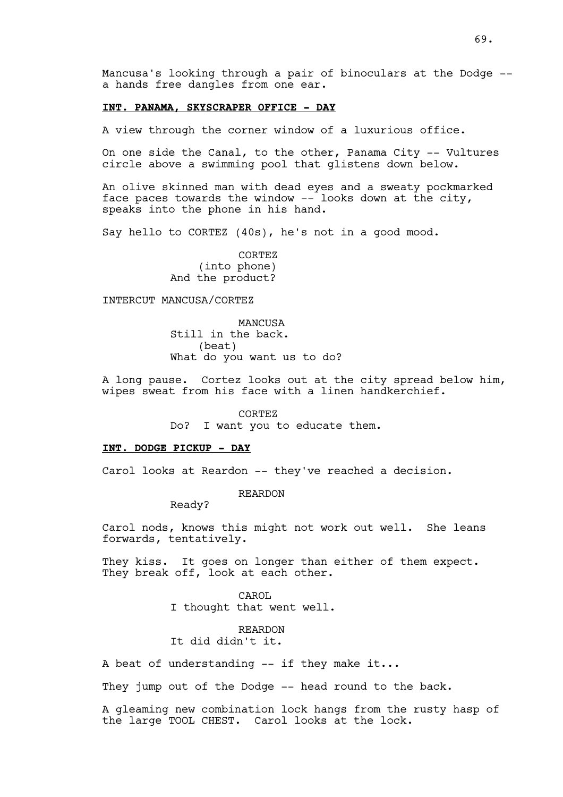Mancusa's looking through a pair of binoculars at the Dodge - a hands free dangles from one ear.

#### **INT. PANAMA, SKYSCRAPER OFFICE - DAY**

A view through the corner window of a luxurious office.

On one side the Canal, to the other, Panama City -- Vultures circle above a swimming pool that glistens down below.

An olive skinned man with dead eyes and a sweaty pockmarked face paces towards the window -- looks down at the city, speaks into the phone in his hand.

Say hello to CORTEZ (40s), he's not in a good mood.

CORTEZ (into phone) And the product?

### INTERCUT MANCUSA/CORTEZ

**MANCUSA** Still in the back. (beat) What do you want us to do?

A long pause. Cortez looks out at the city spread below him, wipes sweat from his face with a linen handkerchief.

CORTEZ

Do? I want you to educate them.

#### **INT. DODGE PICKUP - DAY**

Carol looks at Reardon -- they've reached a decision.

REARDON

Ready?

Carol nods, knows this might not work out well. She leans forwards, tentatively.

They kiss. It goes on longer than either of them expect. They break off, look at each other.

> CAROL I thought that went well.

REARDON It did didn't it.

A beat of understanding  $--$  if they make it...

They jump out of the Dodge -- head round to the back.

A gleaming new combination lock hangs from the rusty hasp of the large TOOL CHEST. Carol looks at the lock.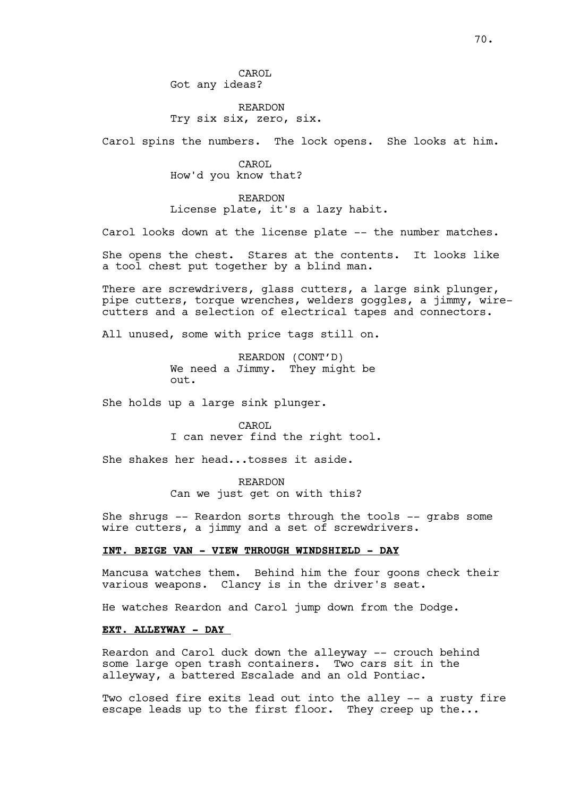# REARDON Try six six, zero, six.

Carol spins the numbers. The lock opens. She looks at him.

CAROL How'd you know that?

REARDON License plate, it's a lazy habit.

Carol looks down at the license plate -- the number matches.

She opens the chest. Stares at the contents. It looks like a tool chest put together by a blind man.

There are screwdrivers, glass cutters, a large sink plunger, pipe cutters, torque wrenches, welders goggles, a jimmy, wirecutters and a selection of electrical tapes and connectors.

All unused, some with price tags still on.

REARDON (CONT'D) We need a Jimmy. They might be out.

She holds up a large sink plunger.

CAROL I can never find the right tool.

She shakes her head...tosses it aside.

REARDON Can we just get on with this?

She shrugs -- Reardon sorts through the tools -- grabs some wire cutters, a jimmy and a set of screwdrivers.

## **INT. BEIGE VAN - VIEW THROUGH WINDSHIELD - DAY**

Mancusa watches them. Behind him the four goons check their various weapons. Clancy is in the driver's seat.

He watches Reardon and Carol jump down from the Dodge.

## **EXT. ALLEYWAY - DAY**

Reardon and Carol duck down the alleyway -- crouch behind some large open trash containers. Two cars sit in the alleyway, a battered Escalade and an old Pontiac.

Two closed fire exits lead out into the alley -- a rusty fire escape leads up to the first floor. They creep up the...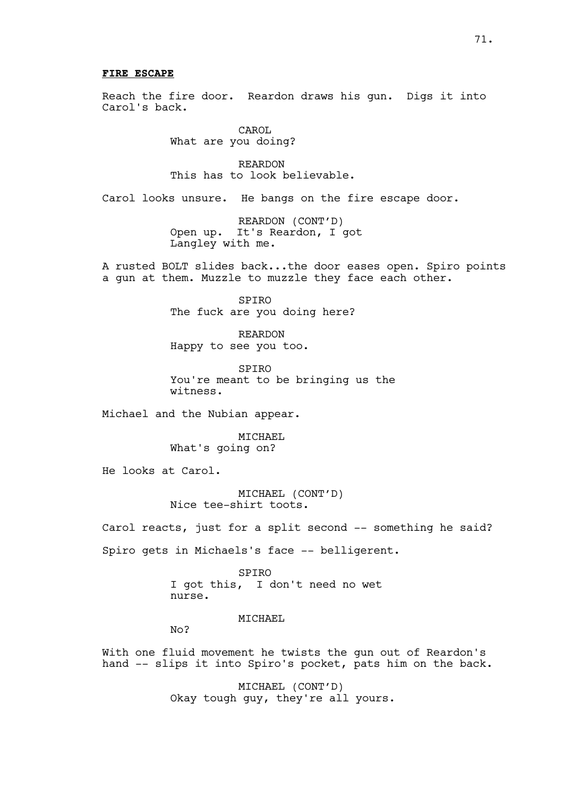### **FIRE ESCAPE**

Reach the fire door. Reardon draws his gun. Digs it into Carol's back.

> CAROL What are you doing?

REARDON This has to look believable.

Carol looks unsure. He bangs on the fire escape door.

REARDON (CONT'D) Open up. It's Reardon, I got Langley with me.

A rusted BOLT slides back...the door eases open. Spiro points a gun at them. Muzzle to muzzle they face each other.

> SPIRO The fuck are you doing here?

REARDON Happy to see you too.

SPIRO You're meant to be bringing us the witness.

Michael and the Nubian appear.

MICHAEL What's going on?

He looks at Carol.

MICHAEL (CONT'D) Nice tee-shirt toots.

Carol reacts, just for a split second -- something he said? Spiro gets in Michaels's face -- belligerent.

> SPIRO I got this, I don't need no wet nurse.

> > MICHAEL

 $N<sub>O</sub>$ 

With one fluid movement he twists the gun out of Reardon's hand -- slips it into Spiro's pocket, pats him on the back.

> MICHAEL (CONT'D) Okay tough guy, they're all yours.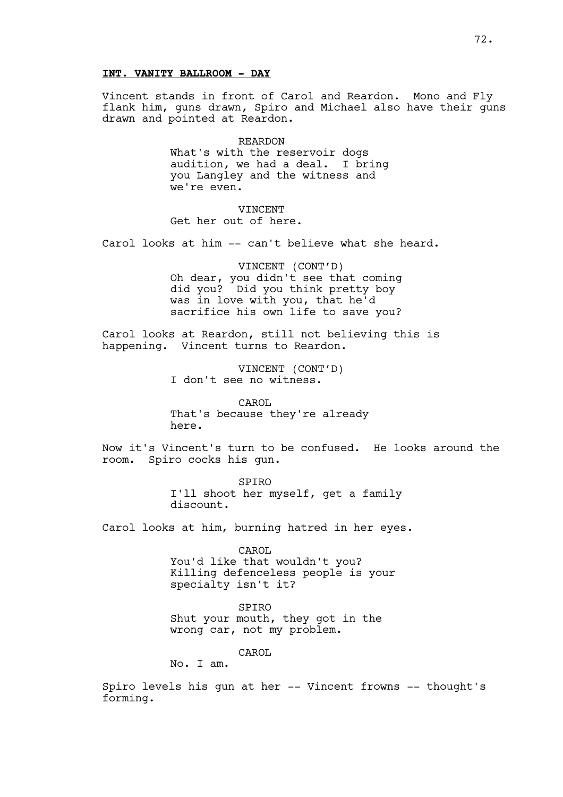# **INT. VANITY BALLROOM - DAY**

Vincent stands in front of Carol and Reardon. Mono and Fly flank him, guns drawn, Spiro and Michael also have their guns drawn and pointed at Reardon.

> REARDON What's with the reservoir dogs audition, we had a deal. I bring you Langley and the witness and we're even.

VINCENT Get her out of here.

Carol looks at him -- can't believe what she heard.

VINCENT (CONT'D) Oh dear, you didn't see that coming did you? Did you think pretty boy was in love with you, that he'd sacrifice his own life to save you?

Carol looks at Reardon, still not believing this is happening. Vincent turns to Reardon.

> VINCENT (CONT'D) I don't see no witness.

CAROL. That's because they're already here.

Now it's Vincent's turn to be confused. He looks around the room. Spiro cocks his gun.

> SPIRO I'll shoot her myself, get a family discount.

Carol looks at him, burning hatred in her eyes.

CAROL You'd like that wouldn't you? Killing defenceless people is your specialty isn't it?

SPIRO Shut your mouth, they got in the wrong car, not my problem.

CAROL

No. I am.

Spiro levels his gun at her -- Vincent frowns -- thought's forming.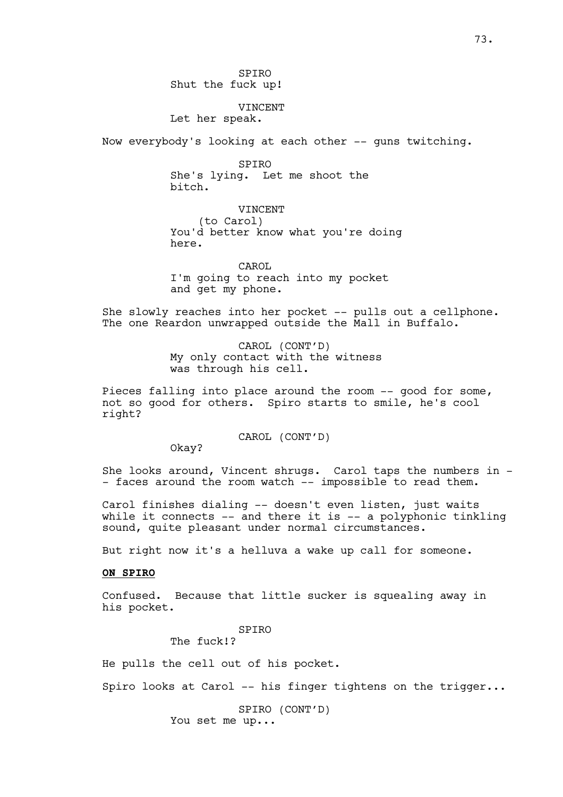SPIRO Shut the fuck up!

## VINCENT

Let her speak.

Now everybody's looking at each other -- guns twitching.

SPIRO She's lying. Let me shoot the bitch.

VINCENT (to Carol) You'd better know what you're doing here.

CAROL I'm going to reach into my pocket and get my phone.

She slowly reaches into her pocket -- pulls out a cellphone. The one Reardon unwrapped outside the Mall in Buffalo.

> CAROL (CONT'D) My only contact with the witness was through his cell.

Pieces falling into place around the room -- good for some, not so good for others. Spiro starts to smile, he's cool right?

CAROL (CONT'D)

Okay?

She looks around, Vincent shrugs. Carol taps the numbers in - - faces around the room watch -- impossible to read them.

Carol finishes dialing -- doesn't even listen, just waits while it connects  $--$  and there it is  $--$  a polyphonic tinkling sound, quite pleasant under normal circumstances.

But right now it's a helluva a wake up call for someone.

## **ON SPIRO**

Confused. Because that little sucker is squealing away in his pocket.

SPIRO

The fuck!?

He pulls the cell out of his pocket.

Spiro looks at Carol -- his finger tightens on the trigger...

SPIRO (CONT'D) You set me up...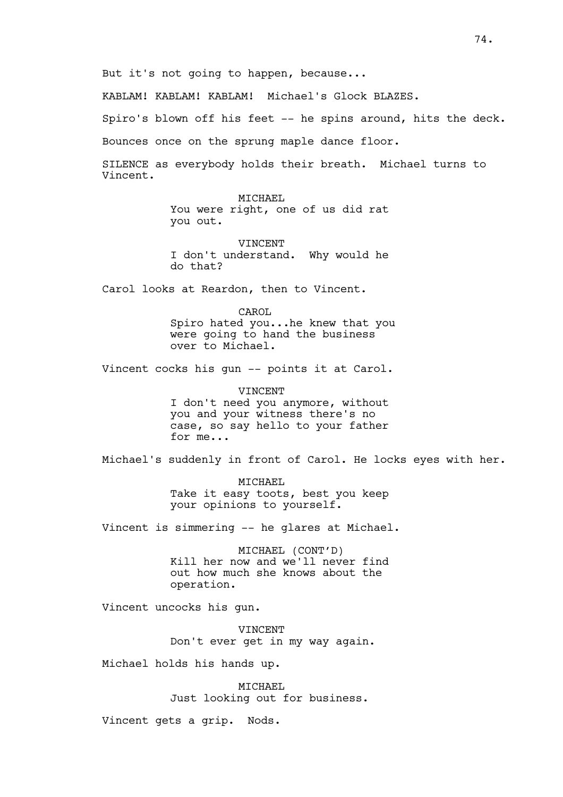KABLAM! KABLAM! KABLAM! Michael's Glock BLAZES.

Spiro's blown off his feet -- he spins around, hits the deck.

Bounces once on the sprung maple dance floor.

SILENCE as everybody holds their breath. Michael turns to Vincent.

> MICHAEL You were right, one of us did rat you out.

> VINCENT I don't understand. Why would he do that?

Carol looks at Reardon, then to Vincent.

CAROL Spiro hated you...he knew that you were going to hand the business over to Michael.

Vincent cocks his gun -- points it at Carol.

**VINCENT** I don't need you anymore, without you and your witness there's no case, so say hello to your father for me...

Michael's suddenly in front of Carol. He locks eyes with her.

MICHAEL Take it easy toots, best you keep your opinions to yourself.

Vincent is simmering -- he glares at Michael.

MICHAEL (CONT'D) Kill her now and we'll never find out how much she knows about the operation.

Vincent uncocks his gun.

**VINCENT** Don't ever get in my way again.

Michael holds his hands up.

MICHAEL Just looking out for business.

Vincent gets a grip. Nods.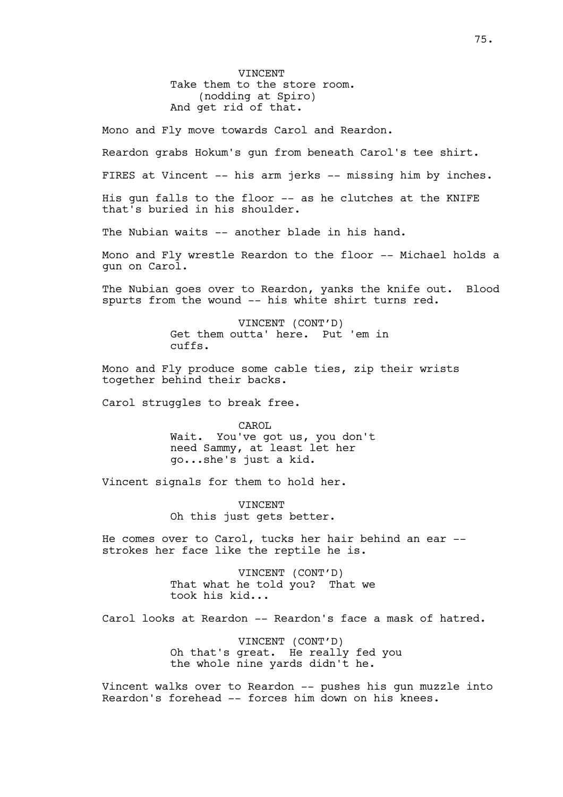VINCENT Take them to the store room. (nodding at Spiro) And get rid of that.

Mono and Fly move towards Carol and Reardon.

Reardon grabs Hokum's gun from beneath Carol's tee shirt.

FIRES at Vincent -- his arm jerks -- missing him by inches.

His gun falls to the floor -- as he clutches at the KNIFE that's buried in his shoulder.

The Nubian waits -- another blade in his hand.

Mono and Fly wrestle Reardon to the floor -- Michael holds a gun on Carol.

The Nubian goes over to Reardon, yanks the knife out. Blood spurts from the wound -- his white shirt turns red.

> VINCENT (CONT'D) Get them outta' here. Put 'em in cuffs.

Mono and Fly produce some cable ties, zip their wrists together behind their backs.

Carol struggles to break free.

CAROL Wait. You've got us, you don't need Sammy, at least let her go...she's just a kid.

Vincent signals for them to hold her.

VINCENT Oh this just gets better.

He comes over to Carol, tucks her hair behind an ear - strokes her face like the reptile he is.

> VINCENT (CONT'D) That what he told you? That we took his kid...

Carol looks at Reardon -- Reardon's face a mask of hatred.

VINCENT (CONT'D) Oh that's great. He really fed you the whole nine yards didn't he.

Vincent walks over to Reardon -- pushes his gun muzzle into Reardon's forehead -- forces him down on his knees.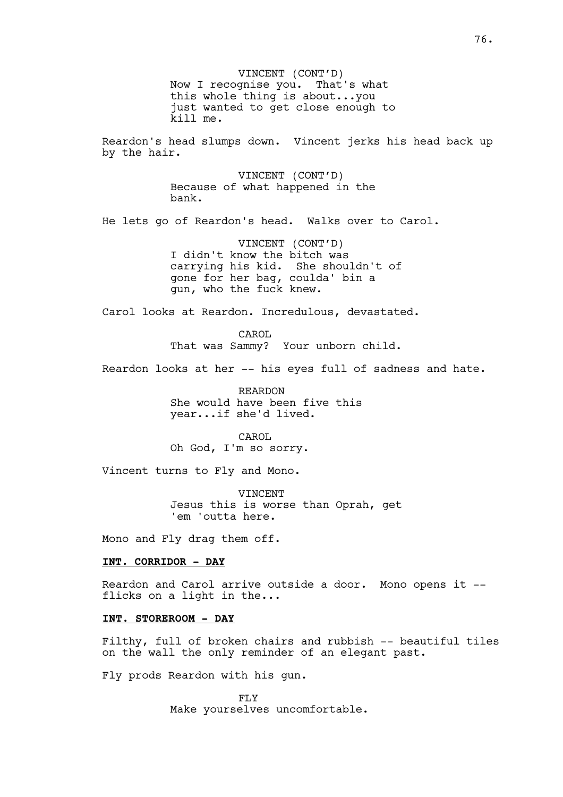VINCENT (CONT'D) Now I recognise you. That's what this whole thing is about...you just wanted to get close enough to kill me. Reardon's head slumps down. Vincent jerks his head back up by the hair. VINCENT (CONT'D) Because of what happened in the bank. He lets go of Reardon's head. Walks over to Carol. VINCENT (CONT'D) I didn't know the bitch was carrying his kid. She shouldn't of gone for her bag, coulda' bin a gun, who the fuck knew. Carol looks at Reardon. Incredulous, devastated. CAROL That was Sammy? Your unborn child. Reardon looks at her -- his eyes full of sadness and hate. REARDON She would have been five this year...if she'd lived. CAROL Oh God, I'm so sorry. Vincent turns to Fly and Mono. VINCENT Jesus this is worse than Oprah, get 'em 'outta here. Mono and Fly drag them off. **INT. CORRIDOR - DAY** Reardon and Carol arrive outside a door. Mono opens it - flicks on a light in the... **INT. STOREROOM - DAY**

Filthy, full of broken chairs and rubbish -- beautiful tiles on the wall the only reminder of an elegant past.

Fly prods Reardon with his gun.

FLY Make yourselves uncomfortable.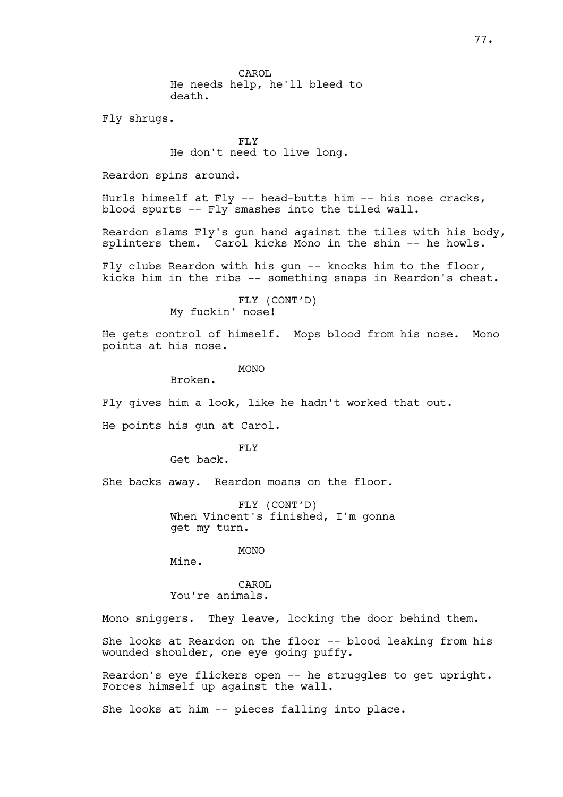CAROL He needs help, he'll bleed to death.

Fly shrugs.

FLY He don't need to live long.

Reardon spins around.

Hurls himself at Fly -- head-butts him -- his nose cracks, blood spurts -- Fly smashes into the tiled wall.

Reardon slams Fly's gun hand against the tiles with his body, splinters them. Carol kicks Mono in the shin -- he howls.

Fly clubs Reardon with his gun -- knocks him to the floor, kicks him in the ribs -- something snaps in Reardon's chest.

> FLY (CONT'D) My fuckin' nose!

He gets control of himself. Mops blood from his nose. Mono points at his nose.

MONO

Broken.

Fly gives him a look, like he hadn't worked that out.

He points his gun at Carol.

FLY

Get back.

She backs away. Reardon moans on the floor.

FLY (CONT'D) When Vincent's finished, I'm gonna get my turn.

MONO

Mine.

CAROL You're animals.

Mono sniggers. They leave, locking the door behind them.

She looks at Reardon on the floor -- blood leaking from his wounded shoulder, one eye going puffy.

Reardon's eye flickers open -- he struggles to get upright. Forces himself up against the wall.

She looks at him -- pieces falling into place.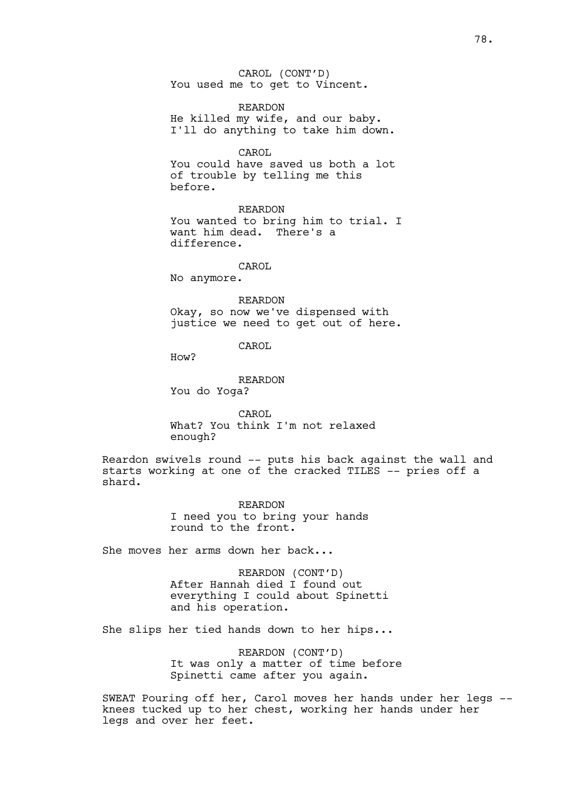CAROL (CONT'D) You used me to get to Vincent.

REARDON He killed my wife, and our baby. I'll do anything to take him down.

CAROL You could have saved us both a lot of trouble by telling me this before.

REARDON You wanted to bring him to trial. I want him dead. There's a difference.

CAROL

No anymore.

REARDON Okay, so now we've dispensed with justice we need to get out of here.

CAROL

How?

REARDON You do Yoga?

CAROL What? You think I'm not relaxed enough?

Reardon swivels round -- puts his back against the wall and starts working at one of the cracked TILES -- pries off a shard.

> REARDON I need you to bring your hands round to the front.

She moves her arms down her back...

REARDON (CONT'D) After Hannah died I found out everything I could about Spinetti and his operation.

She slips her tied hands down to her hips...

REARDON (CONT'D) It was only a matter of time before Spinetti came after you again.

SWEAT Pouring off her, Carol moves her hands under her legs - knees tucked up to her chest, working her hands under her legs and over her feet.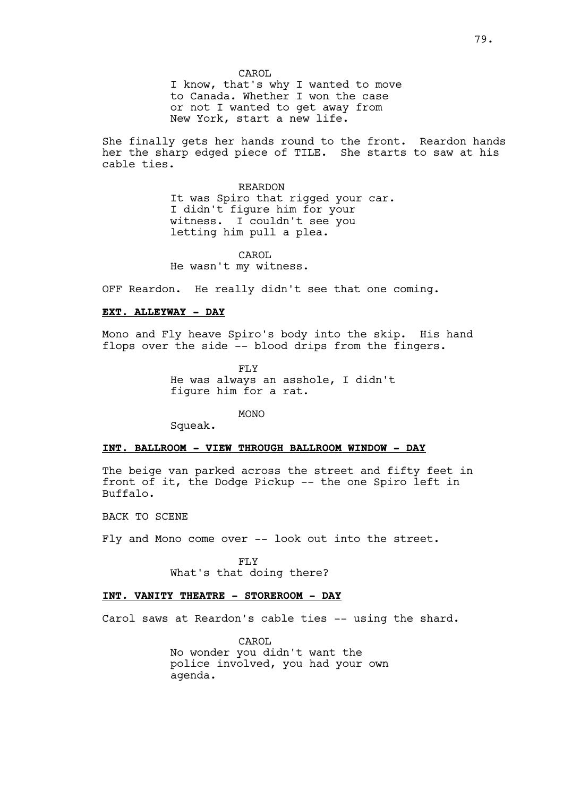CAROL I know, that's why I wanted to move to Canada. Whether I won the case or not I wanted to get away from New York, start a new life.

She finally gets her hands round to the front. Reardon hands her the sharp edged piece of TILE. She starts to saw at his cable ties.

> REARDON It was Spiro that rigged your car. I didn't figure him for your witness. I couldn't see you letting him pull a plea.

CAROL He wasn't my witness.

OFF Reardon. He really didn't see that one coming.

# **EXT. ALLEYWAY - DAY**

Mono and Fly heave Spiro's body into the skip. His hand flops over the side -- blood drips from the fingers.

> FLY He was always an asshole, I didn't figure him for a rat.

> > MONO

Squeak.

## **INT. BALLROOM - VIEW THROUGH BALLROOM WINDOW - DAY**

The beige van parked across the street and fifty feet in front of it, the Dodge Pickup -- the one Spiro left in Buffalo.

BACK TO SCENE

Fly and Mono come over -- look out into the street.

FLY

What's that doing there?

# **INT. VANITY THEATRE - STOREROOM - DAY**

Carol saws at Reardon's cable ties -- using the shard.

CAROL No wonder you didn't want the police involved, you had your own agenda.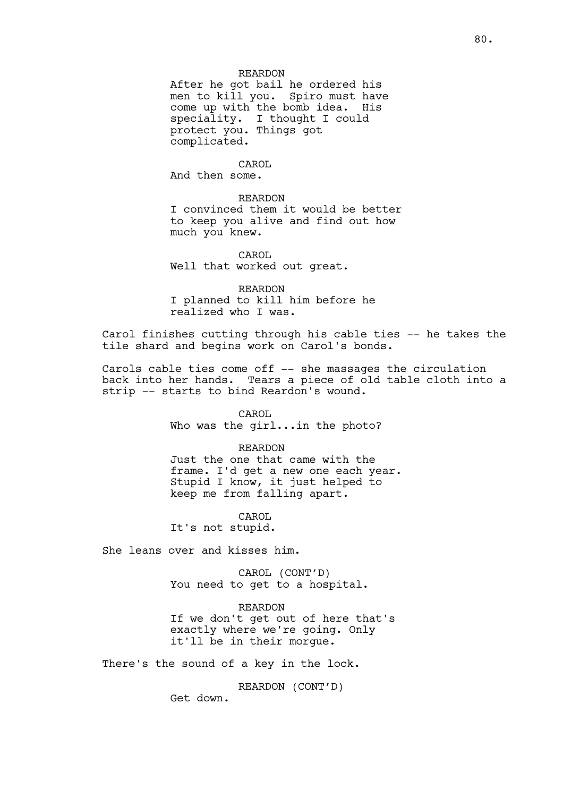# REARDON

After he got bail he ordered his men to kill you. Spiro must have come up with the bomb idea. His speciality. I thought I could protect you. Things got complicated.

CAROL

And then some.

REARDON

I convinced them it would be better to keep you alive and find out how much you knew.

CAROL Well that worked out great.

REARDON I planned to kill him before he realized who I was.

Carol finishes cutting through his cable ties -- he takes the tile shard and begins work on Carol's bonds.

Carols cable ties come off -- she massages the circulation back into her hands. Tears a piece of old table cloth into a strip -- starts to bind Reardon's wound.

> CAROL Who was the girl...in the photo?

REARDON Just the one that came with the frame. I'd get a new one each year. Stupid I know, it just helped to keep me from falling apart.

CAROL It's not stupid.

She leans over and kisses him.

CAROL (CONT'D) You need to get to a hospital.

REARDON If we don't get out of here that's exactly where we're going. Only it'll be in their morgue.

There's the sound of a key in the lock.

REARDON (CONT'D)

Get down.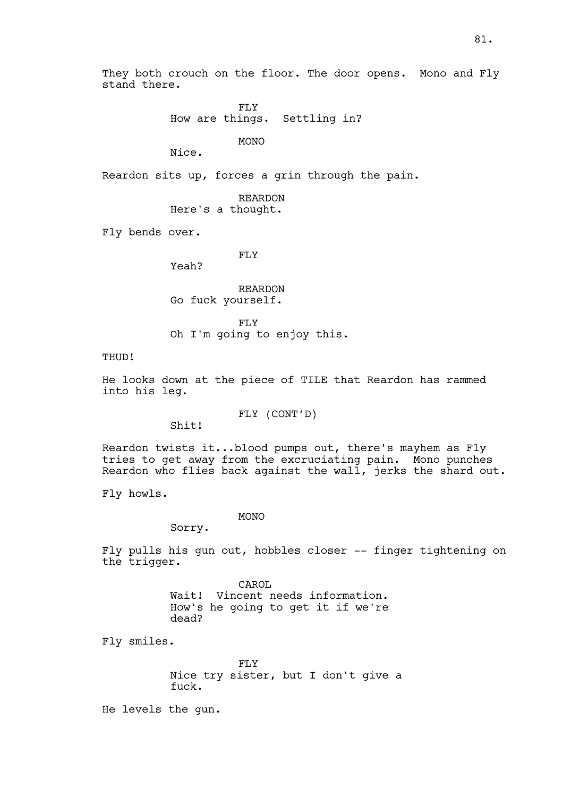FLY How are things. Settling in?

MONO

Nice.

Reardon sits up, forces a grin through the pain.

REARDON Here's a thought.

Fly bends over.

FLY

Yeah?

REARDON Go fuck yourself.

FLY Oh I'm going to enjoy this.

THUD!

He looks down at the piece of TILE that Reardon has rammed into his leg.

FLY (CONT'D)

Shit!

Reardon twists it...blood pumps out, there's mayhem as Fly tries to get away from the excruciating pain. Mono punches Reardon who flies back against the wall, jerks the shard out.

Fly howls.

MONO

Sorry.

Fly pulls his gun out, hobbles closer -- finger tightening on the trigger.

> CAROL Wait! Vincent needs information. How's he going to get it if we're dead?

Fly smiles.

FLY Nice try sister, but I don't give a fuck.

He levels the gun.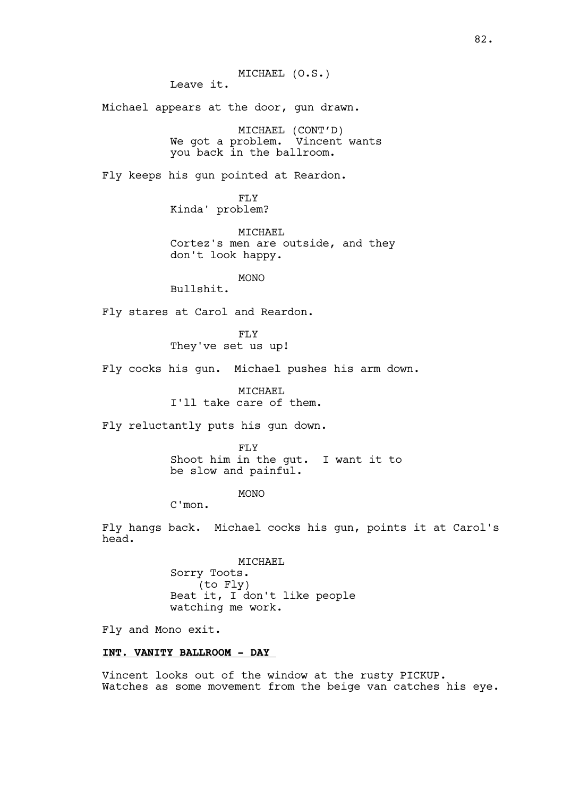Leave it.

Michael appears at the door, gun drawn.

MICHAEL (CONT'D) We got a problem. Vincent wants you back in the ballroom.

Fly keeps his gun pointed at Reardon.

FLY Kinda' problem?

MICHAEL Cortez's men are outside, and they don't look happy.

MONO

Bullshit.

Fly stares at Carol and Reardon.

FLY They've set us up!

Fly cocks his gun. Michael pushes his arm down.

MTCHAEL I'll take care of them.

Fly reluctantly puts his gun down.

FLY

Shoot him in the gut. I want it to be slow and painful.

MONO

C'mon.

Fly hangs back. Michael cocks his gun, points it at Carol's head.

> MICHAEL Sorry Toots. (to Fly) Beat it, I don't like people watching me work.

Fly and Mono exit.

# **INT. VANITY BALLROOM - DAY**

Vincent looks out of the window at the rusty PICKUP. Watches as some movement from the beige van catches his eye.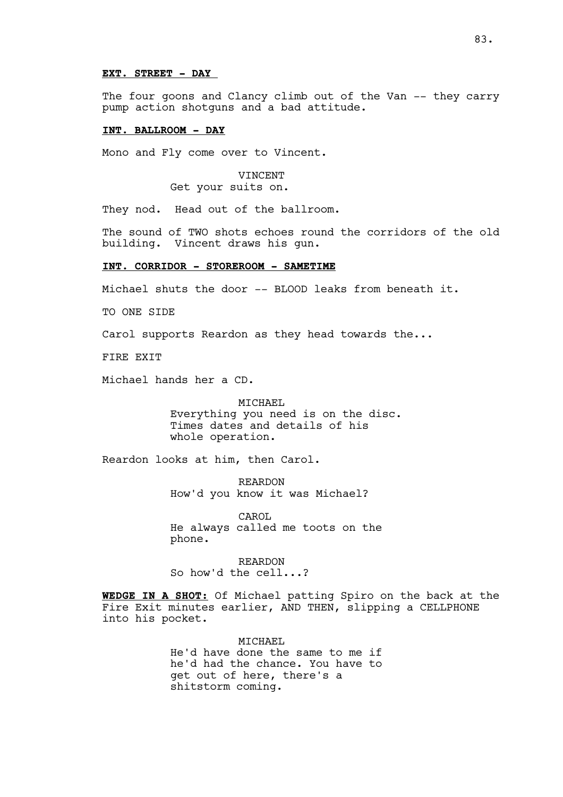#### **EXT. STREET - DAY**

The four goons and Clancy climb out of the Van -- they carry pump action shotguns and a bad attitude.

## **INT. BALLROOM - DAY**

Mono and Fly come over to Vincent.

# VINCENT Get your suits on.

They nod. Head out of the ballroom.

The sound of TWO shots echoes round the corridors of the old building. Vincent draws his gun.

# **INT. CORRIDOR - STOREROOM - SAMETIME**

Michael shuts the door -- BLOOD leaks from beneath it.

TO ONE SIDE

Carol supports Reardon as they head towards the...

FIRE EXIT

Michael hands her a CD.

#### MICHAEL

Everything you need is on the disc. Times dates and details of his whole operation.

Reardon looks at him, then Carol.

REARDON How'd you know it was Michael?

CAROL He always called me toots on the phone.

REARDON So how'd the cell...?

**WEDGE IN A SHOT:** Of Michael patting Spiro on the back at the Fire Exit minutes earlier, AND THEN, slipping a CELLPHONE into his pocket.

> MICHAEL. He'd have done the same to me if he'd had the chance. You have to get out of here, there's a shitstorm coming.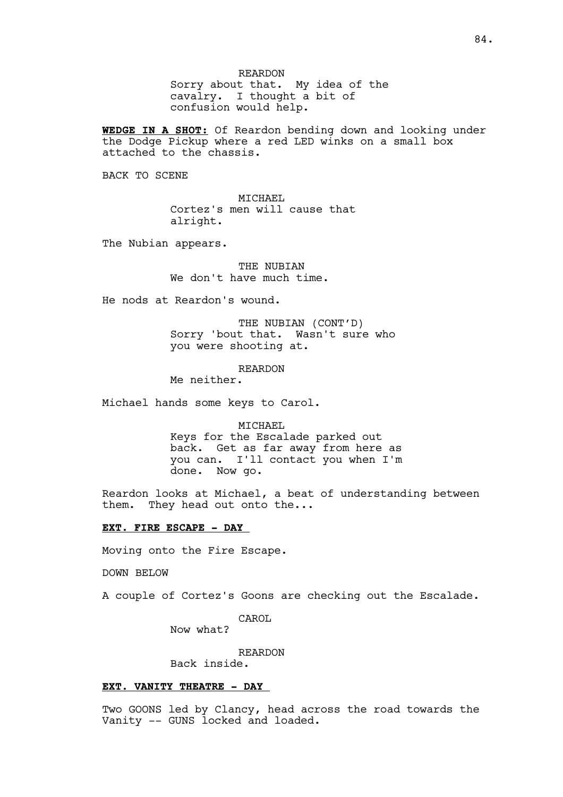REARDON Sorry about that. My idea of the cavalry. I thought a bit of confusion would help.

**WEDGE IN A SHOT:** Of Reardon bending down and looking under the Dodge Pickup where a red LED winks on a small box attached to the chassis.

BACK TO SCENE

MICHAEL Cortez's men will cause that alright.

The Nubian appears.

THE NUBIAN We don't have much time.

He nods at Reardon's wound.

THE NUBIAN (CONT'D) Sorry 'bout that. Wasn't sure who you were shooting at.

REARDON

Me neither.

Michael hands some keys to Carol.

MICHAEL Keys for the Escalade parked out back. Get as far away from here as you can. I'll contact you when I'm done. Now go.

Reardon looks at Michael, a beat of understanding between them. They head out onto the...

## **EXT. FIRE ESCAPE - DAY**

Moving onto the Fire Escape.

DOWN BELOW

A couple of Cortez's Goons are checking out the Escalade.

CAROL

Now what?

REARDON Back inside.

## **EXT. VANITY THEATRE - DAY**

Two GOONS led by Clancy, head across the road towards the Vanity -- GUNS locked and loaded.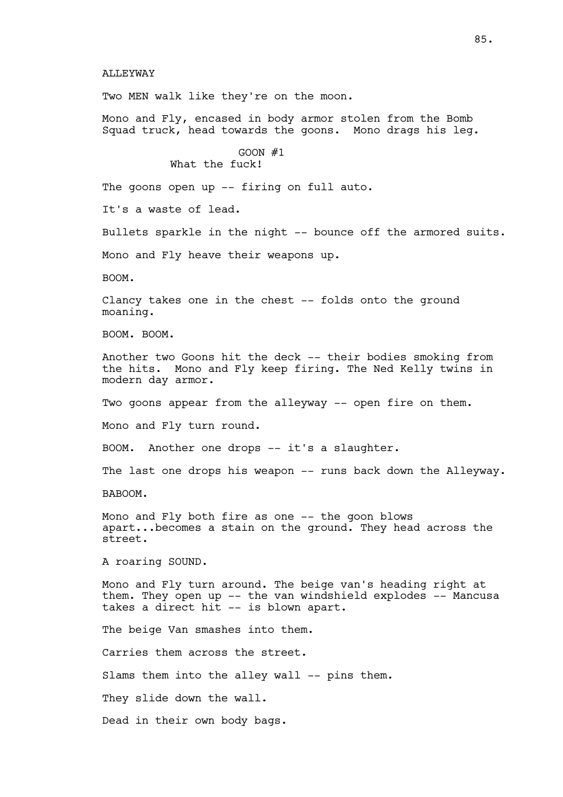## ALLEYWAY

Two MEN walk like they're on the moon.

Mono and Fly, encased in body armor stolen from the Bomb Squad truck, head towards the goons. Mono drags his leg.

> GOON #1 What the fuck!

The goons open up -- firing on full auto.

It's a waste of lead.

Bullets sparkle in the night -- bounce off the armored suits.

Mono and Fly heave their weapons up.

BOOM.

Clancy takes one in the chest -- folds onto the ground moaning.

BOOM. BOOM.

Another two Goons hit the deck -- their bodies smoking from the hits. Mono and Fly keep firing. The Ned Kelly twins in modern day armor.

Two goons appear from the alleyway -- open fire on them.

Mono and Fly turn round.

BOOM. Another one drops -- it's a slaughter.

The last one drops his weapon -- runs back down the Alleyway.

BABOOM.

Mono and Fly both fire as one -- the goon blows apart...becomes a stain on the ground. They head across the street.

A roaring SOUND.

Mono and Fly turn around. The beige van's heading right at them. They open up -- the van windshield explodes -- Mancusa takes a direct hit -- is blown apart.

The beige Van smashes into them. Carries them across the street. Slams them into the alley wall -- pins them. They slide down the wall. Dead in their own body bags.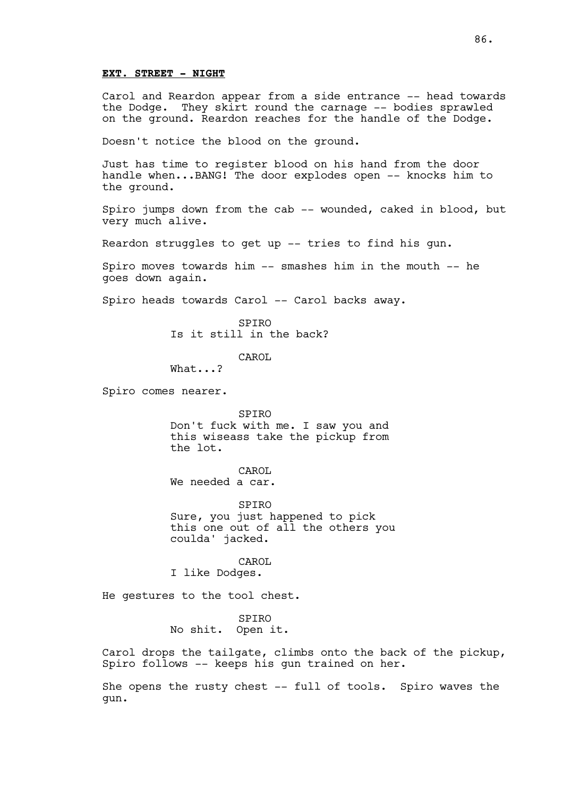## **EXT. STREET - NIGHT**

Carol and Reardon appear from a side entrance -- head towards the Dodge. They skirt round the carnage -- bodies sprawled on the ground. Reardon reaches for the handle of the Dodge.

Doesn't notice the blood on the ground.

Just has time to register blood on his hand from the door handle when...BANG! The door explodes open -- knocks him to the ground.

Spiro jumps down from the cab -- wounded, caked in blood, but very much alive.

Reardon struggles to get up  $--$  tries to find his gun.

Spiro moves towards him -- smashes him in the mouth -- he goes down again.

Spiro heads towards Carol -- Carol backs away.

SPIRO Is it still in the back?

CAROL

What...?

Spiro comes nearer.

SPIRO Don't fuck with me. I saw you and this wiseass take the pickup from the lot.

CAROL We needed a car.

SPIRO Sure, you just happened to pick this one out of all the others you coulda' jacked.

CAROL I like Dodges.

He gestures to the tool chest.

SPIRO No shit. Open it.

Carol drops the tailgate, climbs onto the back of the pickup, Spiro follows -- keeps his gun trained on her.

She opens the rusty chest -- full of tools. Spiro waves the gun.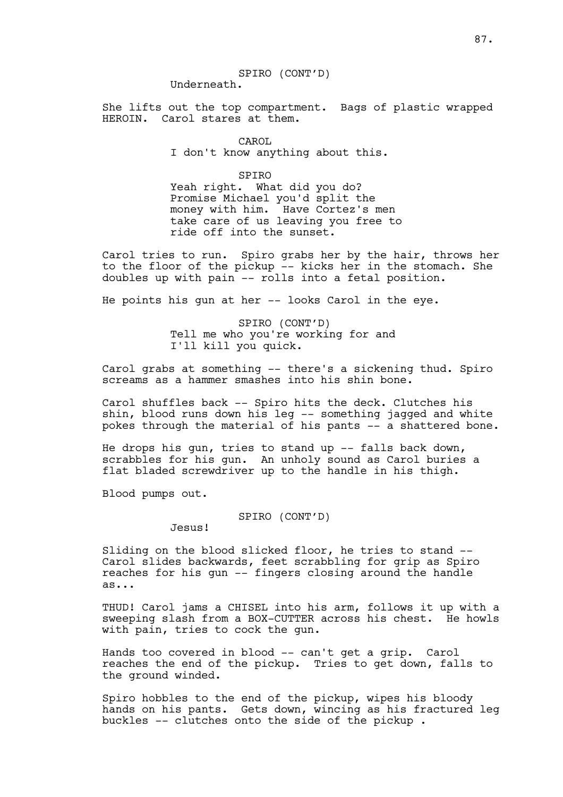#### SPIRO (CONT'D) Underneath.

She lifts out the top compartment. Bags of plastic wrapped HEROIN. Carol stares at them.

> CAROL I don't know anything about this.

SPIRO Yeah right. What did you do? Promise Michael you'd split the money with him. Have Cortez's men take care of us leaving you free to ride off into the sunset.

Carol tries to run. Spiro grabs her by the hair, throws her to the floor of the pickup -- kicks her in the stomach. She doubles up with pain -- rolls into a fetal position.

He points his gun at her -- looks Carol in the eye.

SPIRO (CONT'D) Tell me who you're working for and I'll kill you quick.

Carol grabs at something -- there's a sickening thud. Spiro screams as a hammer smashes into his shin bone.

Carol shuffles back -- Spiro hits the deck. Clutches his shin, blood runs down his leg -- something jagged and white pokes through the material of his pants -- a shattered bone.

He drops his gun, tries to stand up  $-$ - falls back down, scrabbles for his gun. An unholy sound as Carol buries a flat bladed screwdriver up to the handle in his thigh.

Blood pumps out.

SPIRO (CONT'D)

Jesus!

Sliding on the blood slicked floor, he tries to stand -- Carol slides backwards, feet scrabbling for grip as Spiro reaches for his gun -- fingers closing around the handle as...

THUD! Carol jams a CHISEL into his arm, follows it up with a sweeping slash from a BOX-CUTTER across his chest. He howls with pain, tries to cock the gun.

Hands too covered in blood -- can't get a grip. Carol reaches the end of the pickup. Tries to get down, falls to the ground winded.

Spiro hobbles to the end of the pickup, wipes his bloody hands on his pants. Gets down, wincing as his fractured leg buckles -- clutches onto the side of the pickup .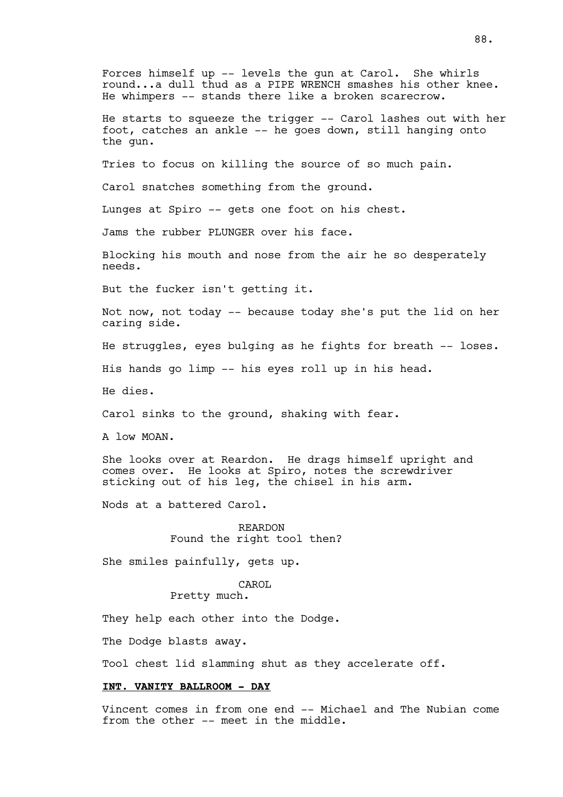Forces himself up -- levels the gun at Carol. She whirls round...a dull thud as a PIPE WRENCH smashes his other knee. He whimpers -- stands there like a broken scarecrow. He starts to squeeze the trigger -- Carol lashes out with her foot, catches an ankle -- he goes down, still hanging onto the gun. Tries to focus on killing the source of so much pain. Carol snatches something from the ground. Lunges at Spiro -- gets one foot on his chest. Jams the rubber PLUNGER over his face. Blocking his mouth and nose from the air he so desperately needs. But the fucker isn't getting it. Not now, not today -- because today she's put the lid on her caring side. He struggles, eyes bulging as he fights for breath -- loses. His hands go limp -- his eyes roll up in his head. He dies. Carol sinks to the ground, shaking with fear. A low MOAN. She looks over at Reardon. He drags himself upright and comes over. He looks at Spiro, notes the screwdriver sticking out of his leg, the chisel in his arm. Nods at a battered Carol. REARDON Found the right tool then? She smiles painfully, gets up. CAROL Pretty much. They help each other into the Dodge. The Dodge blasts away. Tool chest lid slamming shut as they accelerate off. **INT. VANITY BALLROOM - DAY**

Vincent comes in from one end -- Michael and The Nubian come from the other -- meet in the middle.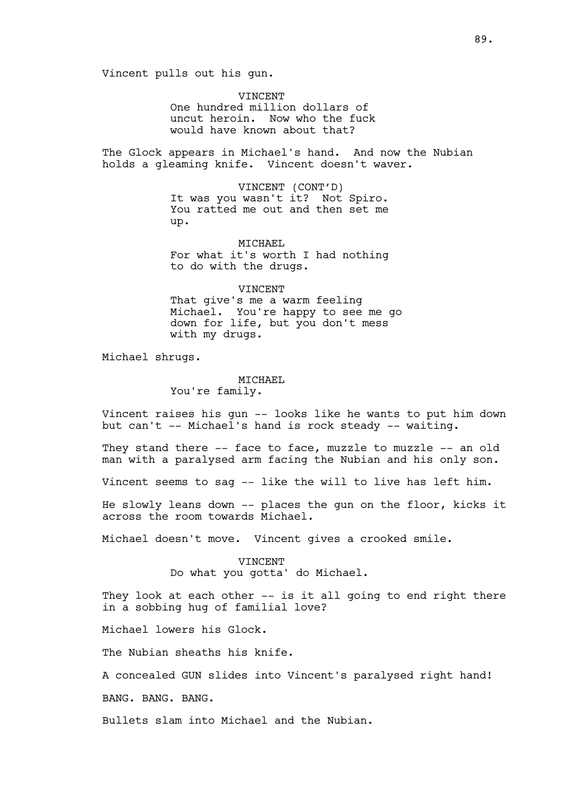Vincent pulls out his gun.

VINCENT One hundred million dollars of uncut heroin. Now who the fuck would have known about that?

The Glock appears in Michael's hand. And now the Nubian holds a gleaming knife. Vincent doesn't waver.

> VINCENT (CONT'D) It was you wasn't it? Not Spiro. You ratted me out and then set me up.

> MICHAEL For what it's worth I had nothing to do with the drugs.

VINCENT That give's me a warm feeling Michael. You're happy to see me go down for life, but you don't mess with my drugs.

Michael shrugs.

# MICHAEL

You're family.

Vincent raises his gun -- looks like he wants to put him down but can't -- Michael's hand is rock steady -- waiting.

They stand there -- face to face, muzzle to muzzle -- an old man with a paralysed arm facing the Nubian and his only son.

Vincent seems to sag -- like the will to live has left him.

He slowly leans down -- places the gun on the floor, kicks it across the room towards Michael.

Michael doesn't move. Vincent gives a crooked smile.

VINCENT Do what you gotta' do Michael.

They look at each other -- is it all going to end right there in a sobbing hug of familial love?

Michael lowers his Glock.

The Nubian sheaths his knife.

A concealed GUN slides into Vincent's paralysed right hand!

BANG. BANG. BANG.

Bullets slam into Michael and the Nubian.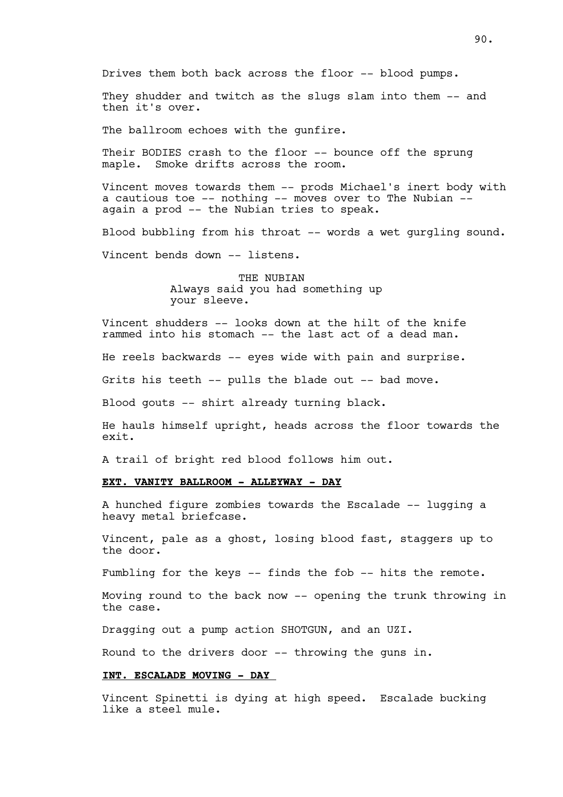They shudder and twitch as the slugs slam into them -- and then it's over.

The ballroom echoes with the qunfire.

Their BODIES crash to the floor -- bounce off the sprung maple. Smoke drifts across the room.

Vincent moves towards them -- prods Michael's inert body with a cautious toe -- nothing -- moves over to The Nubian - again a prod -- the Nubian tries to speak.

Blood bubbling from his throat -- words a wet gurgling sound.

Vincent bends down -- listens.

THE NUBIAN Always said you had something up your sleeve.

Vincent shudders -- looks down at the hilt of the knife rammed into his stomach -- the last act of a dead man.

He reels backwards -- eyes wide with pain and surprise.

Grits his teeth -- pulls the blade out -- bad move.

Blood gouts -- shirt already turning black.

He hauls himself upright, heads across the floor towards the exit.

A trail of bright red blood follows him out.

# **EXT. VANITY BALLROOM - ALLEYWAY - DAY**

A hunched figure zombies towards the Escalade -- lugging a heavy metal briefcase.

Vincent, pale as a ghost, losing blood fast, staggers up to the door.

Fumbling for the keys -- finds the fob -- hits the remote.

Moving round to the back now -- opening the trunk throwing in the case.

Dragging out a pump action SHOTGUN, and an UZI.

Round to the drivers door -- throwing the guns in.

# **INT. ESCALADE MOVING - DAY**

Vincent Spinetti is dying at high speed. Escalade bucking like a steel mule.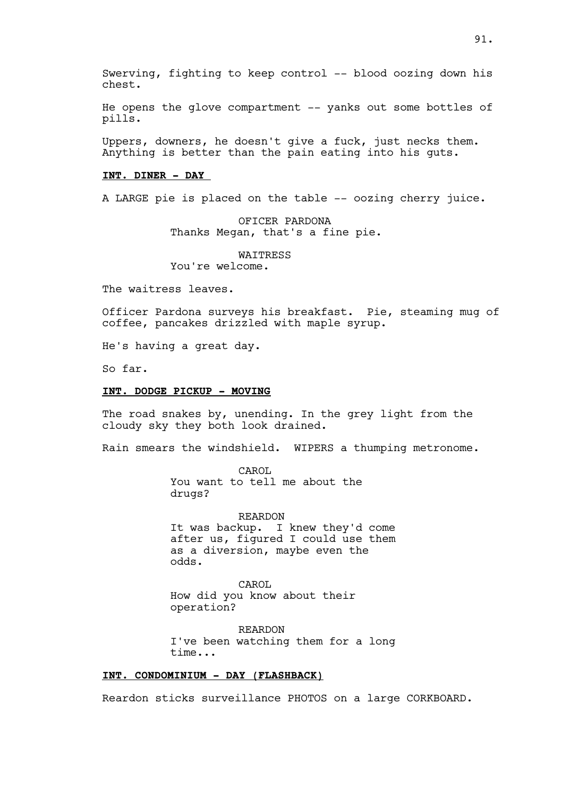Swerving, fighting to keep control -- blood oozing down his chest.

He opens the glove compartment -- yanks out some bottles of pills.

Uppers, downers, he doesn't give a fuck, just necks them. Anything is better than the pain eating into his guts.

## **INT. DINER - DAY**

A LARGE pie is placed on the table -- oozing cherry juice.

OFICER PARDONA Thanks Megan, that's a fine pie.

WAITRESS You're welcome.

The waitress leaves.

Officer Pardona surveys his breakfast. Pie, steaming mug of coffee, pancakes drizzled with maple syrup.

He's having a great day.

So far.

# **INT. DODGE PICKUP - MOVING**

The road snakes by, unending. In the grey light from the cloudy sky they both look drained.

Rain smears the windshield. WIPERS a thumping metronome.

CAROL You want to tell me about the drugs?

REARDON It was backup. I knew they'd come after us, figured I could use them as a diversion, maybe even the odds.

CAROL How did you know about their operation?

REARDON I've been watching them for a long time...

# **INT. CONDOMINIUM - DAY (FLASHBACK)**

Reardon sticks surveillance PHOTOS on a large CORKBOARD.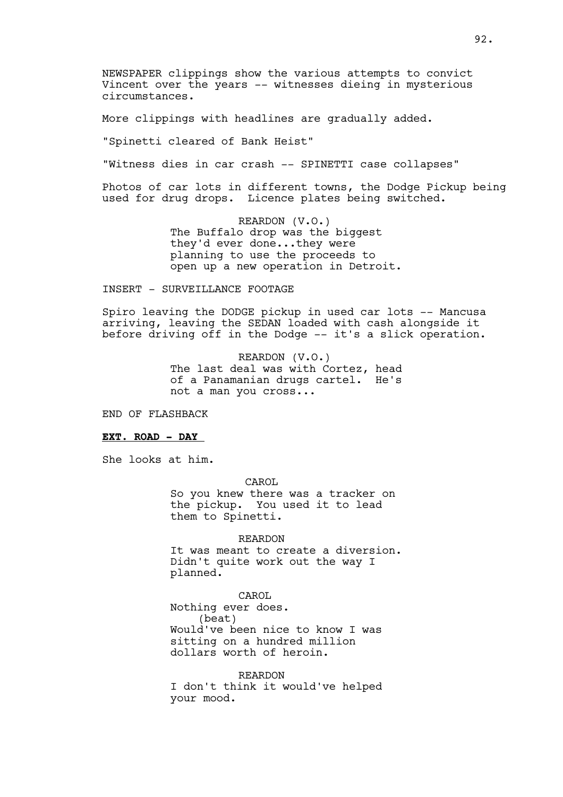NEWSPAPER clippings show the various attempts to convict Vincent over the years -- witnesses dieing in mysterious circumstances.

More clippings with headlines are gradually added.

"Spinetti cleared of Bank Heist"

"Witness dies in car crash -- SPINETTI case collapses"

Photos of car lots in different towns, the Dodge Pickup being used for drug drops. Licence plates being switched.

> REARDON (V.O.) The Buffalo drop was the biggest they'd ever done...they were planning to use the proceeds to open up a new operation in Detroit.

## INSERT - SURVEILLANCE FOOTAGE

Spiro leaving the DODGE pickup in used car lots -- Mancusa arriving, leaving the SEDAN loaded with cash alongside it before driving off in the Dodge -- it's a slick operation.

> REARDON (V.O.) The last deal was with Cortez, head of a Panamanian drugs cartel. He's not a man you cross...

END OF FLASHBACK

# **EXT. ROAD - DAY**

She looks at him.

 CAROL So you knew there was a tracker on the pickup. You used it to lead them to Spinetti.

REARDON It was meant to create a diversion. Didn't quite work out the way I planned.

CAROL Nothing ever does. (beat) Would've been nice to know I was sitting on a hundred million dollars worth of heroin.

REARDON I don't think it would've helped your mood.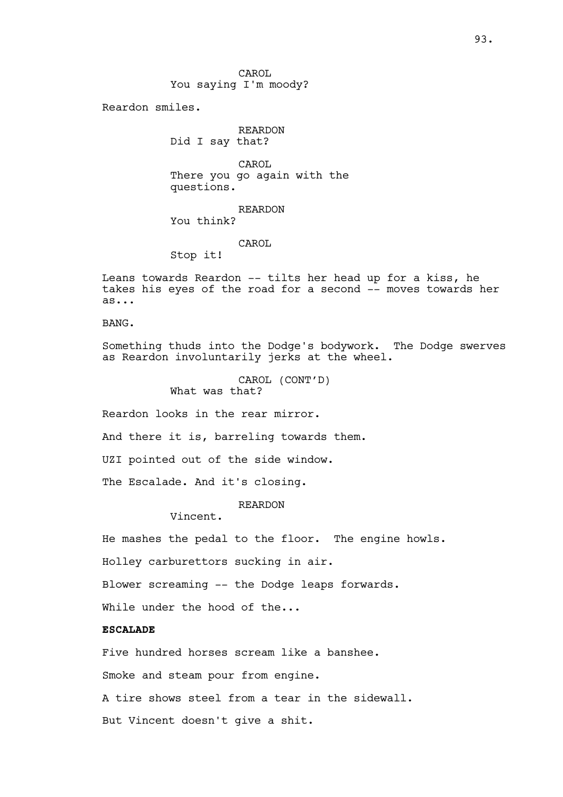CAROL You saying I'm moody?

Reardon smiles.

REARDON Did I say that?

CAROL There you go again with the questions.

REARDON You think?

CAROL

Stop it!

Leans towards Reardon -- tilts her head up for a kiss, he takes his eyes of the road for a second -- moves towards her as...

BANG.

Something thuds into the Dodge's bodywork. The Dodge swerves as Reardon involuntarily jerks at the wheel.

> CAROL (CONT'D) What was that?

Reardon looks in the rear mirror.

And there it is, barreling towards them.

UZI pointed out of the side window.

The Escalade. And it's closing.

REARDON

Vincent.

He mashes the pedal to the floor. The engine howls.

Holley carburettors sucking in air.

Blower screaming -- the Dodge leaps forwards.

While under the hood of the...

# **ESCALADE**

Five hundred horses scream like a banshee.

Smoke and steam pour from engine.

A tire shows steel from a tear in the sidewall.

But Vincent doesn't give a shit.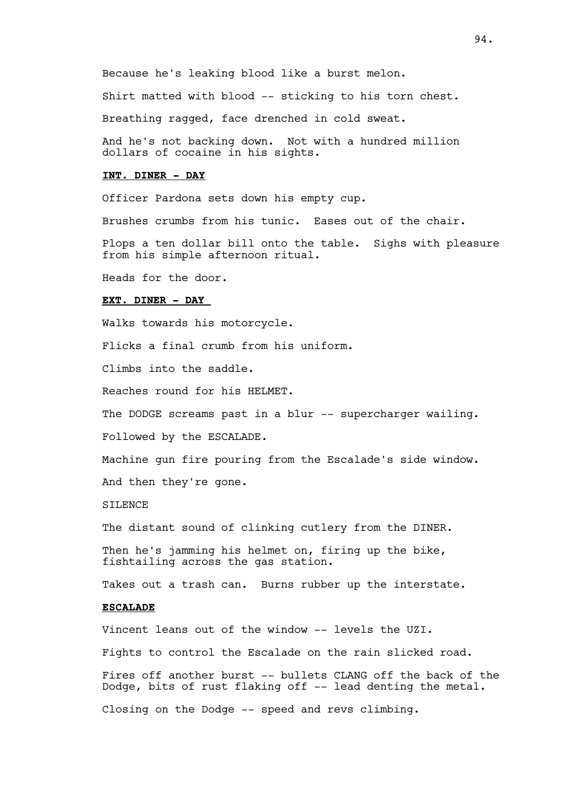Because he's leaking blood like a burst melon.

Shirt matted with blood -- sticking to his torn chest.

Breathing ragged, face drenched in cold sweat.

And he's not backing down. Not with a hundred million dollars of cocaine in his sights.

## **INT. DINER - DAY**

Officer Pardona sets down his empty cup.

Brushes crumbs from his tunic. Eases out of the chair.

Plops a ten dollar bill onto the table. Sighs with pleasure from his simple afternoon ritual.

Heads for the door.

# **EXT. DINER - DAY**

Walks towards his motorcycle.

Flicks a final crumb from his uniform.

Climbs into the saddle.

Reaches round for his HELMET.

The DODGE screams past in a blur -- supercharger wailing.

Followed by the ESCALADE.

Machine gun fire pouring from the Escalade's side window.

And then they're gone.

# SILENCE.

The distant sound of clinking cutlery from the DINER.

Then he's jamming his helmet on, firing up the bike, fishtailing across the gas station.

Takes out a trash can. Burns rubber up the interstate.

# **ESCALADE**

Vincent leans out of the window -- levels the UZI.

Fights to control the Escalade on the rain slicked road.

Fires off another burst -- bullets CLANG off the back of the Dodge, bits of rust flaking off -- lead denting the metal.

Closing on the Dodge -- speed and revs climbing.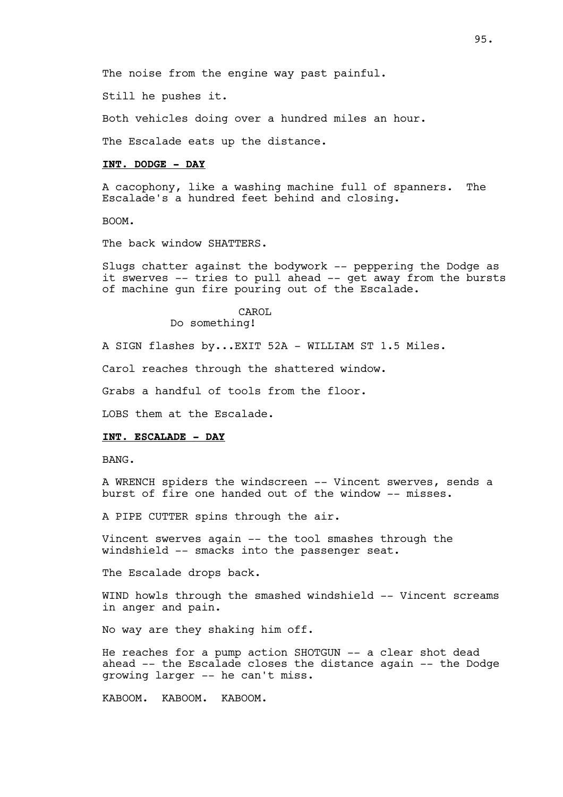Still he pushes it.

Both vehicles doing over a hundred miles an hour.

The Escalade eats up the distance.

## **INT. DODGE - DAY**

A cacophony, like a washing machine full of spanners. The Escalade's a hundred feet behind and closing.

BOOM.

The back window SHATTERS.

Slugs chatter against the bodywork -- peppering the Dodge as it swerves -- tries to pull ahead -- get away from the bursts of machine gun fire pouring out of the Escalade.

> CAROL Do something!

A SIGN flashes by...EXIT 52A - WILLIAM ST 1.5 Miles.

Carol reaches through the shattered window.

Grabs a handful of tools from the floor.

LOBS them at the Escalade.

## **INT. ESCALADE - DAY**

BANG.

A WRENCH spiders the windscreen -- Vincent swerves, sends a burst of fire one handed out of the window -- misses.

A PIPE CUTTER spins through the air.

Vincent swerves again -- the tool smashes through the windshield -- smacks into the passenger seat.

The Escalade drops back.

WIND howls through the smashed windshield -- Vincent screams in anger and pain.

No way are they shaking him off.

He reaches for a pump action SHOTGUN -- a clear shot dead ahead -- the Escalade closes the distance again -- the Dodge growing larger -- he can't miss.

KABOOM. KABOOM. KABOOM.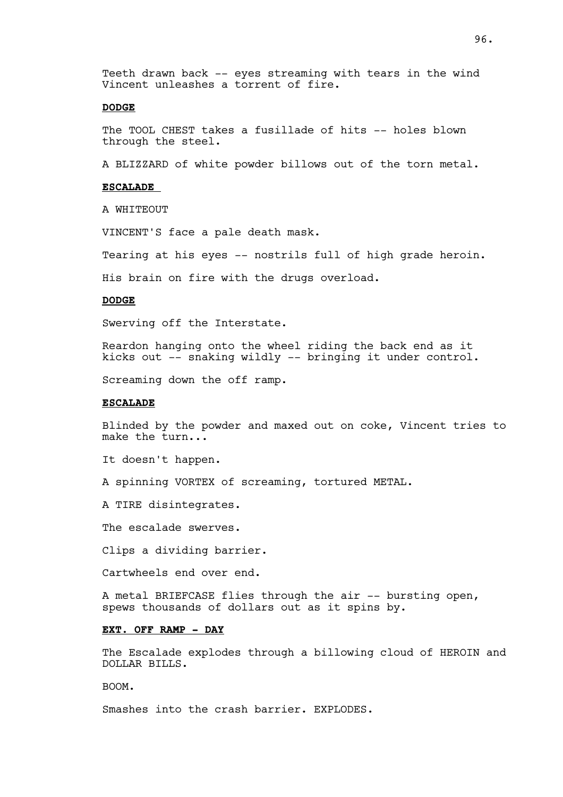Teeth drawn back -- eyes streaming with tears in the wind Vincent unleashes a torrent of fire.

# **DODGE**

The TOOL CHEST takes a fusillade of hits -- holes blown through the steel.

A BLIZZARD of white powder billows out of the torn metal.

## **ESCALADE**

A WHITEOUT

VINCENT'S face a pale death mask.

Tearing at his eyes -- nostrils full of high grade heroin.

His brain on fire with the drugs overload.

## **DODGE**

Swerving off the Interstate.

Reardon hanging onto the wheel riding the back end as it kicks out -- snaking wildly -- bringing it under control.

Screaming down the off ramp.

## **ESCALADE**

Blinded by the powder and maxed out on coke, Vincent tries to make the turn...

It doesn't happen.

A spinning VORTEX of screaming, tortured METAL.

A TIRE disintegrates.

The escalade swerves.

Clips a dividing barrier.

Cartwheels end over end.

A metal BRIEFCASE flies through the air -- bursting open, spews thousands of dollars out as it spins by.

# **EXT. OFF RAMP - DAY**

The Escalade explodes through a billowing cloud of HEROIN and DOLLAR BILLS.

BOOM.

Smashes into the crash barrier. EXPLODES.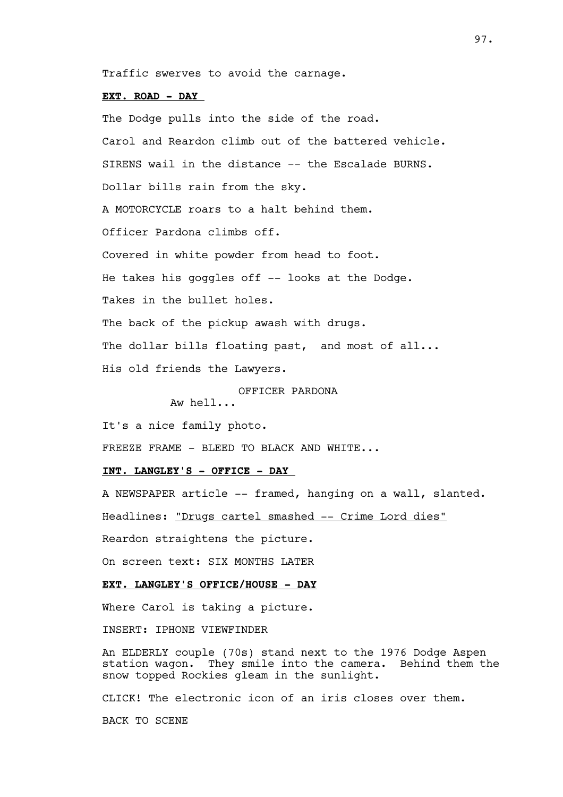Traffic swerves to avoid the carnage.

## **EXT. ROAD - DAY**

The Dodge pulls into the side of the road. Carol and Reardon climb out of the battered vehicle. SIRENS wail in the distance -- the Escalade BURNS. Dollar bills rain from the sky. A MOTORCYCLE roars to a halt behind them. Officer Pardona climbs off. Covered in white powder from head to foot. He takes his goggles off -- looks at the Dodge. Takes in the bullet holes. The back of the pickup awash with drugs. The dollar bills floating past, and most of all... His old friends the Lawyers.

OFFICER PARDONA

Aw hell...

It's a nice family photo.

FREEZE FRAME - BLEED TO BLACK AND WHITE...

# **INT. LANGLEY'S - OFFICE - DAY**

A NEWSPAPER article -- framed, hanging on a wall, slanted.

Headlines: "Drugs cartel smashed -- Crime Lord dies"

Reardon straightens the picture.

On screen text: SIX MONTHS LATER

# **EXT. LANGLEY'S OFFICE/HOUSE - DAY**

Where Carol is taking a picture.

INSERT: IPHONE VIEWFINDER

An ELDERLY couple (70s) stand next to the 1976 Dodge Aspen station wagon. They smile into the camera. Behind them the snow topped Rockies gleam in the sunlight.

CLICK! The electronic icon of an iris closes over them.

BACK TO SCENE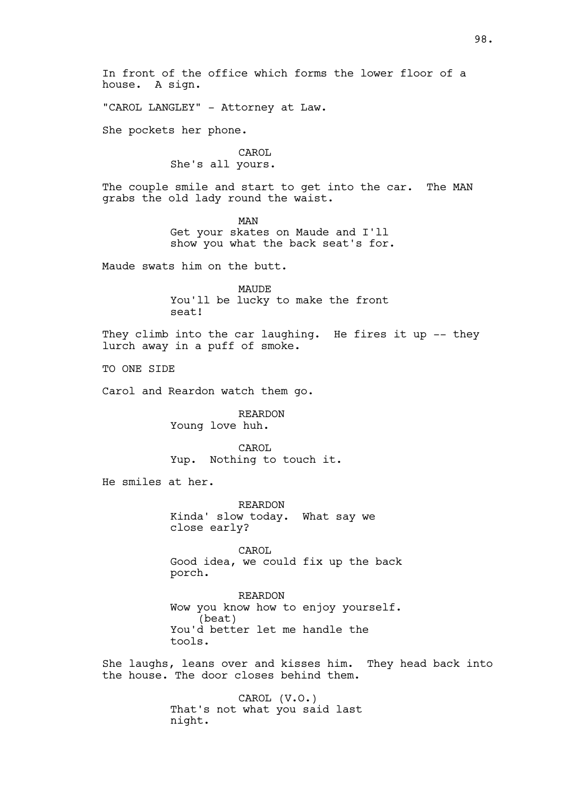In front of the office which forms the lower floor of a house. A sign.

"CAROL LANGLEY" - Attorney at Law.

She pockets her phone.

CAROL She's all yours.

The couple smile and start to get into the car. The MAN grabs the old lady round the waist.

> MAN Get your skates on Maude and I'll show you what the back seat's for.

Maude swats him on the butt.

MAUDE You'll be lucky to make the front seat!

They climb into the car laughing. He fires it up -- they lurch away in a puff of smoke.

TO ONE SIDE

Carol and Reardon watch them go.

REARDON Young love huh.

CAROL Yup. Nothing to touch it.

He smiles at her.

REARDON Kinda' slow today. What say we close early?

CAROL Good idea, we could fix up the back porch.

REARDON Wow you know how to enjoy yourself. (beat) You'd better let me handle the tools.

She laughs, leans over and kisses him. They head back into the house. The door closes behind them.

> CAROL (V.O.) That's not what you said last night.